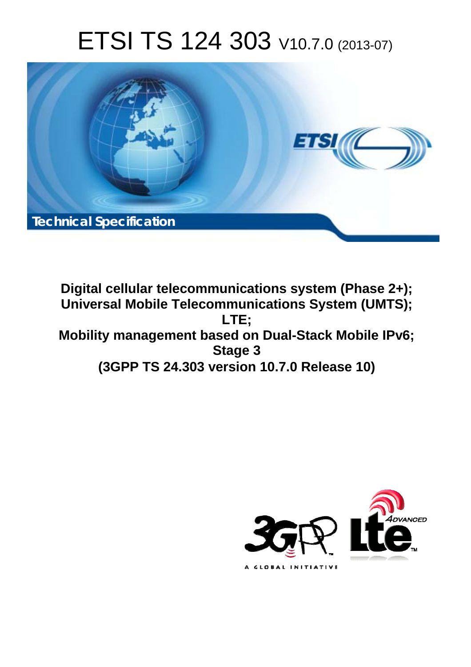# ETSI TS 124 303 V10.7.0 (2013-07)



**Digital cellular telecommunications system (Phase 2+); Universal Mobile Telecommunications System (UMTS); LTE; Mobility management based on Dual-Stack Mobile IPv6; Stage 3 (3GPP TS 24.303 version 10.7.0 Release 10)** 

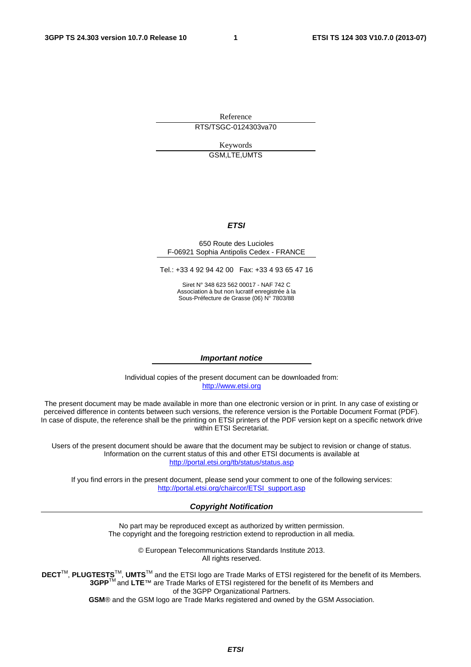Reference

RTS/TSGC-0124303va70

Keywords GSM,LTE,UMTS

#### *ETSI*

#### 650 Route des Lucioles F-06921 Sophia Antipolis Cedex - FRANCE

Tel.: +33 4 92 94 42 00 Fax: +33 4 93 65 47 16

Siret N° 348 623 562 00017 - NAF 742 C Association à but non lucratif enregistrée à la Sous-Préfecture de Grasse (06) N° 7803/88

#### *Important notice*

Individual copies of the present document can be downloaded from: [http://www.etsi.org](http://www.etsi.org/)

The present document may be made available in more than one electronic version or in print. In any case of existing or perceived difference in contents between such versions, the reference version is the Portable Document Format (PDF). In case of dispute, the reference shall be the printing on ETSI printers of the PDF version kept on a specific network drive within ETSI Secretariat.

Users of the present document should be aware that the document may be subject to revision or change of status. Information on the current status of this and other ETSI documents is available at <http://portal.etsi.org/tb/status/status.asp>

If you find errors in the present document, please send your comment to one of the following services: [http://portal.etsi.org/chaircor/ETSI\\_support.asp](http://portal.etsi.org/chaircor/ETSI_support.asp)

#### *Copyright Notification*

No part may be reproduced except as authorized by written permission. The copyright and the foregoing restriction extend to reproduction in all media.

> © European Telecommunications Standards Institute 2013. All rights reserved.

**DECT**TM, **PLUGTESTS**TM, **UMTS**TM and the ETSI logo are Trade Marks of ETSI registered for the benefit of its Members. **3GPP**TM and **LTE**™ are Trade Marks of ETSI registered for the benefit of its Members and of the 3GPP Organizational Partners.

**GSM**® and the GSM logo are Trade Marks registered and owned by the GSM Association.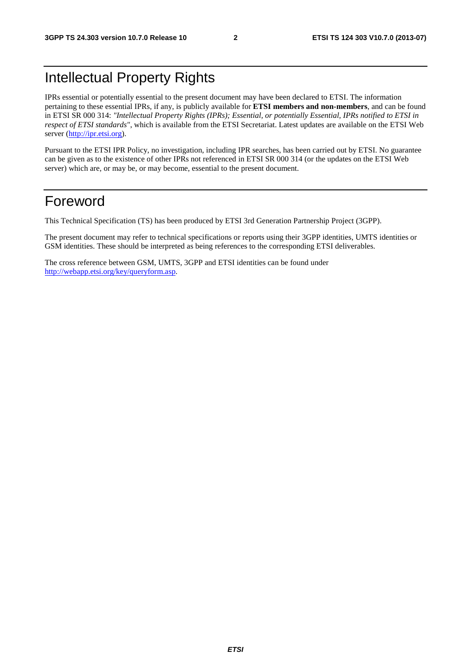## Intellectual Property Rights

IPRs essential or potentially essential to the present document may have been declared to ETSI. The information pertaining to these essential IPRs, if any, is publicly available for **ETSI members and non-members**, and can be found in ETSI SR 000 314: *"Intellectual Property Rights (IPRs); Essential, or potentially Essential, IPRs notified to ETSI in respect of ETSI standards"*, which is available from the ETSI Secretariat. Latest updates are available on the ETSI Web server [\(http://ipr.etsi.org](http://webapp.etsi.org/IPR/home.asp)).

Pursuant to the ETSI IPR Policy, no investigation, including IPR searches, has been carried out by ETSI. No guarantee can be given as to the existence of other IPRs not referenced in ETSI SR 000 314 (or the updates on the ETSI Web server) which are, or may be, or may become, essential to the present document.

## Foreword

This Technical Specification (TS) has been produced by ETSI 3rd Generation Partnership Project (3GPP).

The present document may refer to technical specifications or reports using their 3GPP identities, UMTS identities or GSM identities. These should be interpreted as being references to the corresponding ETSI deliverables.

The cross reference between GSM, UMTS, 3GPP and ETSI identities can be found under [http://webapp.etsi.org/key/queryform.asp.](http://webapp.etsi.org/key/queryform.asp)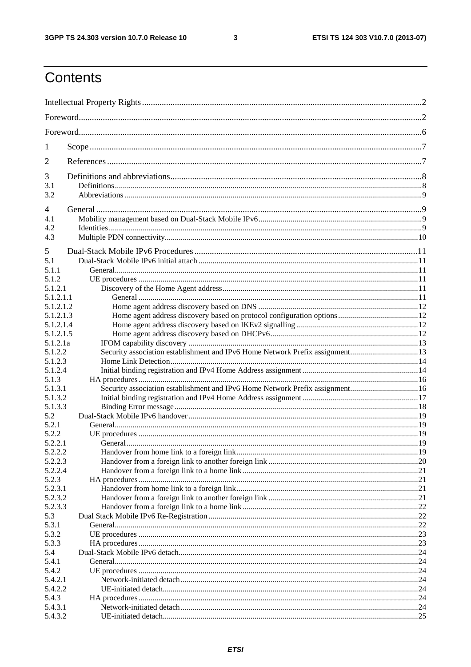$\mathbf{3}$ 

## Contents

| 1                      |                                                                               |  |
|------------------------|-------------------------------------------------------------------------------|--|
| 2                      |                                                                               |  |
| 3                      |                                                                               |  |
| 3.1<br>3.2             |                                                                               |  |
|                        |                                                                               |  |
| $\overline{4}$<br>4.1  |                                                                               |  |
| 4.2                    |                                                                               |  |
| 4.3                    |                                                                               |  |
| 5                      |                                                                               |  |
| 5.1                    |                                                                               |  |
| 5.1.1                  |                                                                               |  |
| 5.1.2                  |                                                                               |  |
| 5.1.2.1                |                                                                               |  |
| 5.1.2.1.1<br>5.1.2.1.2 |                                                                               |  |
| 5.1.2.1.3              |                                                                               |  |
| 5.1.2.1.4              |                                                                               |  |
| 5.1.2.1.5              |                                                                               |  |
| 5.1.2.1a               |                                                                               |  |
| 5.1.2.2                | Security association establishment and IPv6 Home Network Prefix assignment13  |  |
| 5.1.2.3                |                                                                               |  |
| 5.1.2.4                |                                                                               |  |
| 5.1.3                  |                                                                               |  |
| 5.1.3.1                | Security association establishment and IPv6 Home Network Prefix assignment 16 |  |
| 5.1.3.2                |                                                                               |  |
| 5.1.3.3                |                                                                               |  |
| 5.2                    |                                                                               |  |
| 5.2.1                  |                                                                               |  |
| 5.2.2                  |                                                                               |  |
| 5.2.2.1                |                                                                               |  |
| 5.2.2.2                |                                                                               |  |
| 5.2.2.3<br>5.2.2.4     |                                                                               |  |
| 5.2.3                  |                                                                               |  |
| 5.2.3.1                |                                                                               |  |
| 5.2.3.2                |                                                                               |  |
| 5.2.3.3                |                                                                               |  |
| 5.3                    |                                                                               |  |
| 5.3.1                  |                                                                               |  |
| 5.3.2                  |                                                                               |  |
| 5.3.3                  |                                                                               |  |
| 5.4                    |                                                                               |  |
| 5.4.1                  |                                                                               |  |
| 5.4.2                  |                                                                               |  |
| 5.4.2.1                |                                                                               |  |
| 5.4.2.2                |                                                                               |  |
| 5.4.3                  |                                                                               |  |
| 5.4.3.1                |                                                                               |  |
| 5.4.3.2                |                                                                               |  |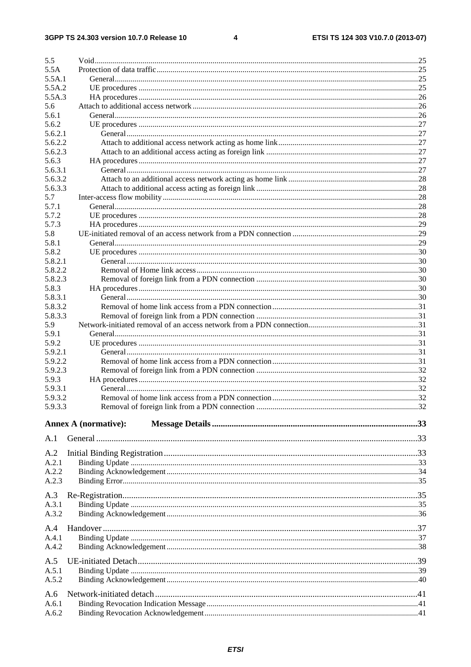$\overline{\mathbf{4}}$ 

| 5.5                |                             |  |
|--------------------|-----------------------------|--|
| 5.5A               |                             |  |
| 5.5A.1             |                             |  |
| 5.5A.2             |                             |  |
| 5.5A.3             |                             |  |
| 5.6                |                             |  |
| 5.6.1              |                             |  |
| 5.6.2              |                             |  |
| 5.6.2.1<br>5.6.2.2 |                             |  |
| 5.6.2.3            |                             |  |
| 5.6.3              |                             |  |
| 5.6.3.1            |                             |  |
| 5.6.3.2            |                             |  |
| 5.6.3.3            |                             |  |
| 5.7                |                             |  |
| 5.7.1              |                             |  |
| 5.7.2              |                             |  |
| 5.7.3              |                             |  |
| 5.8                |                             |  |
| 5.8.1              |                             |  |
| 5.8.2              |                             |  |
| 5.8.2.1            |                             |  |
| 5.8.2.2            |                             |  |
| 5.8.2.3            |                             |  |
| 5.8.3              |                             |  |
| 5.8.3.1            |                             |  |
| 5.8.3.2            |                             |  |
| 5.8.3.3            |                             |  |
| 5.9                |                             |  |
| 5.9.1              |                             |  |
| 5.9.2              |                             |  |
| 5.9.2.1            |                             |  |
| 5.9.2.2            |                             |  |
| 5.9.2.3            |                             |  |
| 5.9.3              |                             |  |
| 5.9.3.1            |                             |  |
| 5.9.3.2            |                             |  |
| 5.9.3.3            |                             |  |
|                    |                             |  |
|                    | <b>Annex A (normative):</b> |  |
| A.1                |                             |  |
|                    |                             |  |
| A.2                |                             |  |
| A.2.1              |                             |  |
| A.2.2              |                             |  |
| A.2.3              |                             |  |
| A.3                |                             |  |
| A.3.1              |                             |  |
| A.3.2              |                             |  |
|                    |                             |  |
| A.4                |                             |  |
| A.4.1              |                             |  |
| A.4.2              |                             |  |
| A.5                |                             |  |
|                    |                             |  |
| A.5.1              |                             |  |
| A.5.2              |                             |  |
| A.6                |                             |  |
| A.6.1              |                             |  |
| A.6.2              |                             |  |
|                    |                             |  |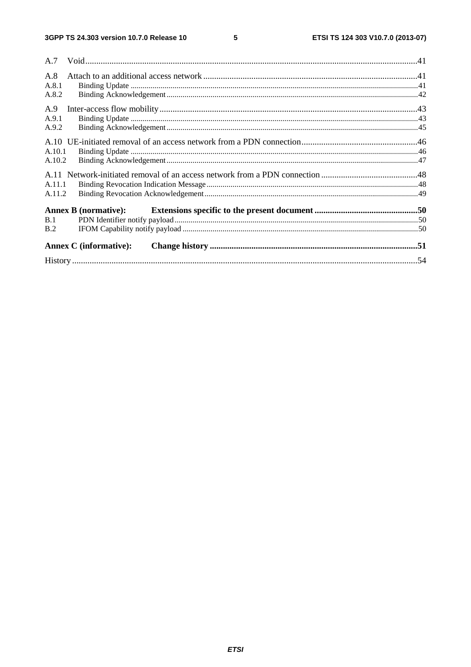| A.8<br>A.8.1<br>A.8.2 |                               |  |
|-----------------------|-------------------------------|--|
| A.9<br>A.9.1<br>A.9.2 |                               |  |
| A.10.1<br>A.10.2      |                               |  |
| A.11.1<br>A.11.2      |                               |  |
| B.1<br>B.2            | <b>Annex B</b> (normative):   |  |
|                       | <b>Annex C</b> (informative): |  |
|                       |                               |  |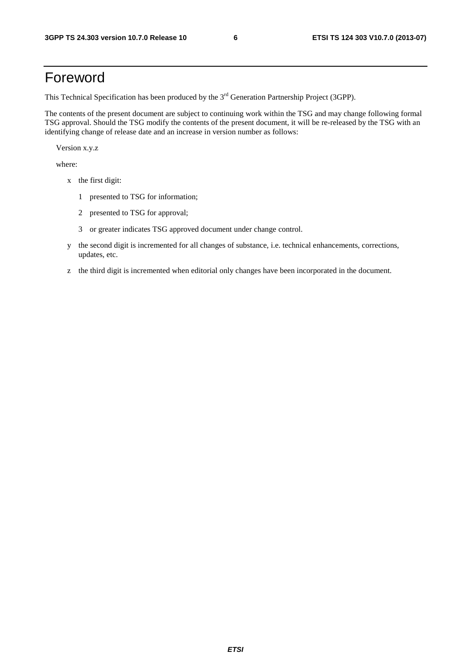## Foreword

This Technical Specification has been produced by the 3<sup>rd</sup> Generation Partnership Project (3GPP).

The contents of the present document are subject to continuing work within the TSG and may change following formal TSG approval. Should the TSG modify the contents of the present document, it will be re-released by the TSG with an identifying change of release date and an increase in version number as follows:

Version x.y.z

where:

- x the first digit:
	- 1 presented to TSG for information;
	- 2 presented to TSG for approval;
	- 3 or greater indicates TSG approved document under change control.
- y the second digit is incremented for all changes of substance, i.e. technical enhancements, corrections, updates, etc.
- z the third digit is incremented when editorial only changes have been incorporated in the document.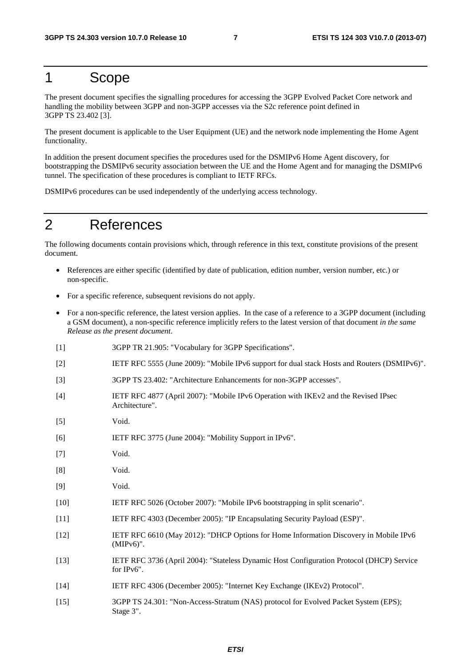### 1 Scope

The present document specifies the signalling procedures for accessing the 3GPP Evolved Packet Core network and handling the mobility between 3GPP and non-3GPP accesses via the S2c reference point defined in 3GPP TS 23.402 [3].

The present document is applicable to the User Equipment (UE) and the network node implementing the Home Agent functionality.

In addition the present document specifies the procedures used for the DSMIPv6 Home Agent discovery, for bootstrapping the DSMIPv6 security association between the UE and the Home Agent and for managing the DSMIPv6 tunnel. The specification of these procedures is compliant to IETF RFCs.

DSMIPv6 procedures can be used independently of the underlying access technology.

## 2 References

The following documents contain provisions which, through reference in this text, constitute provisions of the present document.

- References are either specific (identified by date of publication, edition number, version number, etc.) or non-specific.
- For a specific reference, subsequent revisions do not apply.
- For a non-specific reference, the latest version applies. In the case of a reference to a 3GPP document (including a GSM document), a non-specific reference implicitly refers to the latest version of that document *in the same Release as the present document*.
- [1] 3GPP TR 21.905: "Vocabulary for 3GPP Specifications".
- [2] IETF RFC 5555 (June 2009): "Mobile IPv6 support for dual stack Hosts and Routers (DSMIPv6)".
- [3] 3GPP TS 23.402: "Architecture Enhancements for non-3GPP accesses".
- [4] IETF RFC 4877 (April 2007): "Mobile IPv6 Operation with IKEv2 and the Revised IPsec Architecture".
- [5] Void.
- [6] IETF RFC 3775 (June 2004): "Mobility Support in IPv6".
- [7] Void.
- [8] Void.
- [9] Void.
- [10] IETF RFC 5026 (October 2007): "Mobile IPv6 bootstrapping in split scenario".
- [11] IETF RFC 4303 (December 2005): "IP Encapsulating Security Payload (ESP)".
- [12] IETF RFC 6610 (May 2012): "DHCP Options for Home Information Discovery in Mobile IPv6 (MIPv6)".
- [13] IETF RFC 3736 (April 2004): "Stateless Dynamic Host Configuration Protocol (DHCP) Service for IPv6".
- [14] IETF RFC 4306 (December 2005): "Internet Key Exchange (IKEv2) Protocol".
- [15] 3GPP TS 24.301: "Non-Access-Stratum (NAS) protocol for Evolved Packet System (EPS); Stage 3".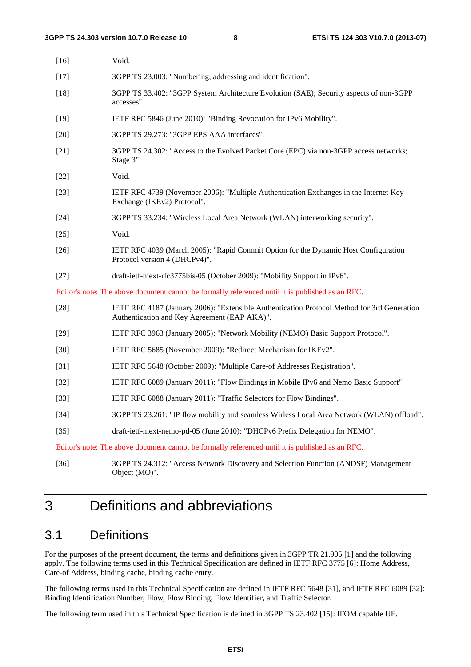| $[16]$ | Void.                                                                                                                                       |
|--------|---------------------------------------------------------------------------------------------------------------------------------------------|
| $[17]$ | 3GPP TS 23.003: "Numbering, addressing and identification".                                                                                 |
| $[18]$ | 3GPP TS 33.402: "3GPP System Architecture Evolution (SAE); Security aspects of non-3GPP<br>accesses"                                        |
| $[19]$ | IETF RFC 5846 (June 2010): "Binding Revocation for IPv6 Mobility".                                                                          |
| $[20]$ | 3GPP TS 29.273: "3GPP EPS AAA interfaces".                                                                                                  |
| $[21]$ | 3GPP TS 24.302: "Access to the Evolved Packet Core (EPC) via non-3GPP access networks;<br>Stage 3".                                         |
| $[22]$ | Void.                                                                                                                                       |
| $[23]$ | IETF RFC 4739 (November 2006): "Multiple Authentication Exchanges in the Internet Key<br>Exchange (IKEv2) Protocol".                        |
| $[24]$ | 3GPP TS 33.234: "Wireless Local Area Network (WLAN) interworking security".                                                                 |
| $[25]$ | Void.                                                                                                                                       |
| $[26]$ | IETF RFC 4039 (March 2005): "Rapid Commit Option for the Dynamic Host Configuration<br>Protocol version 4 (DHCPv4)".                        |
| $[27]$ | draft-ietf-mext-rfc3775bis-05 (October 2009): "Mobility Support in IPv6".                                                                   |
|        | Editor's note: The above document cannot be formally referenced until it is published as an RFC.                                            |
| $[28]$ | IETF RFC 4187 (January 2006): "Extensible Authentication Protocol Method for 3rd Generation<br>Authentication and Key Agreement (EAP AKA)". |
| $[29]$ | IETF RFC 3963 (January 2005): "Network Mobility (NEMO) Basic Support Protocol".                                                             |
| $[30]$ | IETF RFC 5685 (November 2009): "Redirect Mechanism for IKEv2".                                                                              |
| $[31]$ | IETF RFC 5648 (October 2009): "Multiple Care-of Addresses Registration".                                                                    |
| $[32]$ | IETF RFC 6089 (January 2011): "Flow Bindings in Mobile IPv6 and Nemo Basic Support".                                                        |
| $[33]$ | IETF RFC 6088 (January 2011): "Traffic Selectors for Flow Bindings".                                                                        |
| $[34]$ | 3GPP TS 23.261: "IP flow mobility and seamless Wirless Local Area Network (WLAN) offload".                                                  |
| $[35]$ | draft-ietf-mext-nemo-pd-05 (June 2010): "DHCPv6 Prefix Delegation for NEMO".                                                                |
|        | Editor's note: The above document cannot be formally referenced until it is published as an RFC.                                            |
| $[36]$ | 3GPP TS 24.312: "Access Network Discovery and Selection Function (ANDSF) Management<br>Object (MO)".                                        |

## 3 Definitions and abbreviations

### 3.1 Definitions

For the purposes of the present document, the terms and definitions given in 3GPP TR 21.905 [1] and the following apply. The following terms used in this Technical Specification are defined in IETF RFC 3775 [6]: Home Address, Care-of Address, binding cache, binding cache entry.

The following terms used in this Technical Specification are defined in IETF RFC 5648 [31], and IETF RFC 6089 [32]: Binding Identification Number, Flow, Flow Binding, Flow Identifier, and Traffic Selector.

The following term used in this Technical Specification is defined in 3GPP TS 23.402 [15]: IFOM capable UE.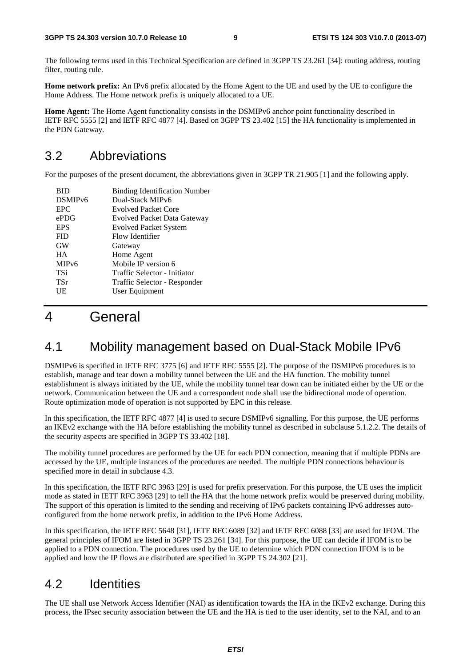The following terms used in this Technical Specification are defined in 3GPP TS 23.261 [34]: routing address, routing filter, routing rule.

**Home network prefix:** An IPv6 prefix allocated by the Home Agent to the UE and used by the UE to configure the Home Address. The Home network prefix is uniquely allocated to a UE.

**Home Agent:** The Home Agent functionality consists in the DSMIPv6 anchor point functionality described in IETF RFC 5555 [2] and IETF RFC 4877 [4]. Based on 3GPP TS 23.402 [15] the HA functionality is implemented in the PDN Gateway.

### 3.2 Abbreviations

For the purposes of the present document, the abbreviations given in 3GPP TR 21.905 [1] and the following apply.

| <b>BID</b>          | <b>Binding Identification Number</b> |
|---------------------|--------------------------------------|
| DSMIP <sub>v6</sub> | Dual-Stack MIPv6                     |
| <b>EPC</b>          | <b>Evolved Packet Core</b>           |
| ePDG                | Evolved Packet Data Gateway          |
| <b>EPS</b>          | <b>Evolved Packet System</b>         |
| <b>FID</b>          | Flow Identifier                      |
| <b>GW</b>           | Gateway                              |
| <b>HA</b>           | Home Agent                           |
| MIP <sub>v</sub> 6  | Mobile IP version 6                  |
| TSi                 | Traffic Selector - Initiator         |
| <b>TSr</b>          | Traffic Selector - Responder         |
| UE                  | User Equipment                       |
|                     |                                      |

## 4 General

### 4.1 Mobility management based on Dual-Stack Mobile IPv6

DSMIPv6 is specified in IETF RFC 3775 [6] and IETF RFC 5555 [2]. The purpose of the DSMIPv6 procedures is to establish, manage and tear down a mobility tunnel between the UE and the HA function. The mobility tunnel establishment is always initiated by the UE, while the mobility tunnel tear down can be initiated either by the UE or the network. Communication between the UE and a correspondent node shall use the bidirectional mode of operation. Route optimization mode of operation is not supported by EPC in this release.

In this specification, the IETF RFC 4877 [4] is used to secure DSMIPv6 signalling. For this purpose, the UE performs an IKEv2 exchange with the HA before establishing the mobility tunnel as described in subclause 5.1.2.2. The details of the security aspects are specified in 3GPP TS 33.402 [18].

The mobility tunnel procedures are performed by the UE for each PDN connection, meaning that if multiple PDNs are accessed by the UE, multiple instances of the procedures are needed. The multiple PDN connections behaviour is specified more in detail in subclause 4.3.

In this specification, the IETF RFC 3963 [29] is used for prefix preservation. For this purpose, the UE uses the implicit mode as stated in IETF RFC 3963 [29] to tell the HA that the home network prefix would be preserved during mobility. The support of this operation is limited to the sending and receiving of IPv6 packets containing IPv6 addresses autoconfigured from the home network prefix, in addition to the IPv6 Home Address.

In this specification, the IETF RFC 5648 [31], IETF RFC 6089 [32] and IETF RFC 6088 [33] are used for IFOM. The general principles of IFOM are listed in 3GPP TS 23.261 [34]. For this purpose, the UE can decide if IFOM is to be applied to a PDN connection. The procedures used by the UE to determine which PDN connection IFOM is to be applied and how the IP flows are distributed are specified in 3GPP TS 24.302 [21].

### 4.2 Identities

The UE shall use Network Access Identifier (NAI) as identification towards the HA in the IKEv2 exchange. During this process, the IPsec security association between the UE and the HA is tied to the user identity, set to the NAI, and to an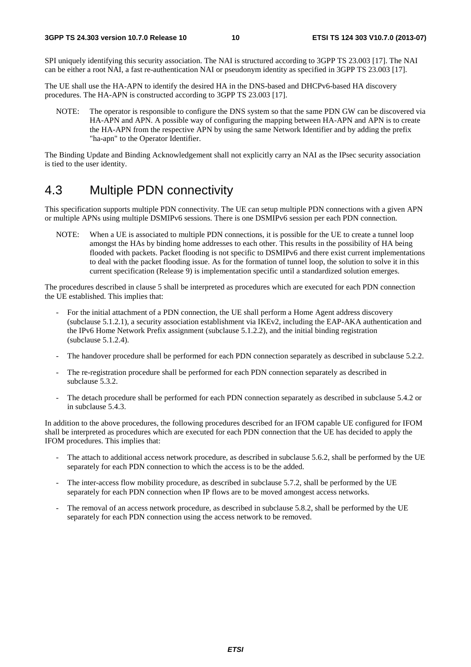SPI uniquely identifying this security association. The NAI is structured according to 3GPP TS 23.003 [17]. The NAI can be either a root NAI, a fast re-authentication NAI or pseudonym identity as specified in 3GPP TS 23.003 [17].

The UE shall use the HA-APN to identify the desired HA in the DNS-based and DHCPv6-based HA discovery procedures. The HA-APN is constructed according to 3GPP TS 23.003 [17].

NOTE: The operator is responsible to configure the DNS system so that the same PDN GW can be discovered via HA-APN and APN. A possible way of configuring the mapping between HA-APN and APN is to create the HA-APN from the respective APN by using the same Network Identifier and by adding the prefix "ha-apn" to the Operator Identifier.

The Binding Update and Binding Acknowledgement shall not explicitly carry an NAI as the IPsec security association is tied to the user identity.

### 4.3 Multiple PDN connectivity

This specification supports multiple PDN connectivity. The UE can setup multiple PDN connections with a given APN or multiple APNs using multiple DSMIPv6 sessions. There is one DSMIPv6 session per each PDN connection.

NOTE: When a UE is associated to multiple PDN connections, it is possible for the UE to create a tunnel loop amongst the HAs by binding home addresses to each other. This results in the possibility of HA being flooded with packets. Packet flooding is not specific to DSMIPv6 and there exist current implementations to deal with the packet flooding issue. As for the formation of tunnel loop, the solution to solve it in this current specification (Release 9) is implementation specific until a standardized solution emerges.

The procedures described in clause 5 shall be interpreted as procedures which are executed for each PDN connection the UE established. This implies that:

- For the initial attachment of a PDN connection, the UE shall perform a Home Agent address discovery (subclause 5.1.2.1), a security association establishment via IKEv2, including the EAP-AKA authentication and the IPv6 Home Network Prefix assignment (subclause 5.1.2.2), and the initial binding registration (subclause 5.1.2.4).
- The handover procedure shall be performed for each PDN connection separately as described in subclause 5.2.2.
- The re-registration procedure shall be performed for each PDN connection separately as described in subclause 5.3.2.
- The detach procedure shall be performed for each PDN connection separately as described in subclause 5.4.2 or in subclause 5.4.3.

In addition to the above procedures, the following procedures described for an IFOM capable UE configured for IFOM shall be interpreted as procedures which are executed for each PDN connection that the UE has decided to apply the IFOM procedures. This implies that:

- The attach to additional access network procedure, as described in subclause 5.6.2, shall be performed by the UE separately for each PDN connection to which the access is to be the added.
- The inter-access flow mobility procedure, as described in subclause 5.7.2, shall be performed by the UE separately for each PDN connection when IP flows are to be moved amongest access networks.
- The removal of an access network procedure, as described in subclause 5.8.2, shall be performed by the UE separately for each PDN connection using the access network to be removed.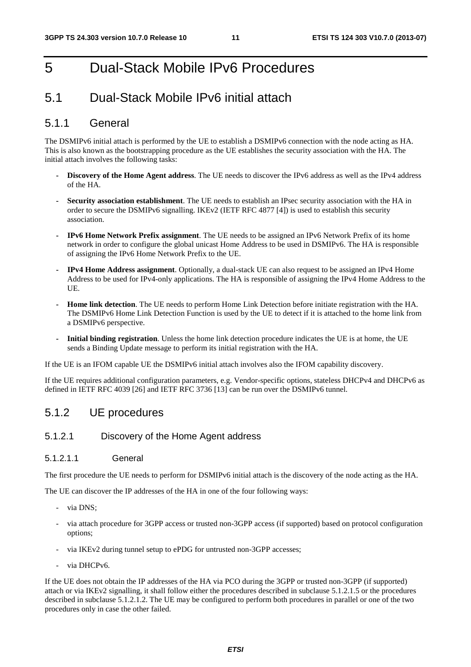## 5 Dual-Stack Mobile IPv6 Procedures

### 5.1 Dual-Stack Mobile IPv6 initial attach

#### 5.1.1 General

The DSMIPv6 initial attach is performed by the UE to establish a DSMIPv6 connection with the node acting as HA. This is also known as the bootstrapping procedure as the UE establishes the security association with the HA. The initial attach involves the following tasks:

- **Discovery of the Home Agent address**. The UE needs to discover the IPv6 address as well as the IPv4 address of the HA.
- **Security association establishment**. The UE needs to establish an IPsec security association with the HA in order to secure the DSMIPv6 signalling. IKEv2 (IETF RFC 4877 [4]) is used to establish this security association.
- **IPv6 Home Network Prefix assignment**. The UE needs to be assigned an IPv6 Network Prefix of its home network in order to configure the global unicast Home Address to be used in DSMIPv6. The HA is responsible of assigning the IPv6 Home Network Prefix to the UE.
- **IPv4 Home Address assignment**. Optionally, a dual-stack UE can also request to be assigned an IPv4 Home Address to be used for IPv4-only applications. The HA is responsible of assigning the IPv4 Home Address to the UE.
- **Home link detection**. The UE needs to perform Home Link Detection before initiate registration with the HA. The DSMIPv6 Home Link Detection Function is used by the UE to detect if it is attached to the home link from a DSMIPv6 perspective.
- **Initial binding registration**. Unless the home link detection procedure indicates the UE is at home, the UE sends a Binding Update message to perform its initial registration with the HA.

If the UE is an IFOM capable UE the DSMIPv6 initial attach involves also the IFOM capability discovery.

If the UE requires additional configuration parameters, e.g. Vendor-specific options, stateless DHCPv4 and DHCPv6 as defined in IETF RFC 4039 [26] and IETF RFC 3736 [13] can be run over the DSMIPv6 tunnel.

#### 5.1.2 UE procedures

#### 5.1.2.1 Discovery of the Home Agent address

#### 5.1.2.1.1 General

The first procedure the UE needs to perform for DSMIPv6 initial attach is the discovery of the node acting as the HA.

The UE can discover the IP addresses of the HA in one of the four following ways:

- via DNS;
- via attach procedure for 3GPP access or trusted non-3GPP access (if supported) based on protocol configuration options;
- via IKEv2 during tunnel setup to ePDG for untrusted non-3GPP accesses;
- via DHCPv6.

If the UE does not obtain the IP addresses of the HA via PCO during the 3GPP or trusted non-3GPP (if supported) attach or via IKEv2 signalling, it shall follow either the procedures described in subclause 5.1.2.1.5 or the procedures described in subclause 5.1.2.1.2. The UE may be configured to perform both procedures in parallel or one of the two procedures only in case the other failed.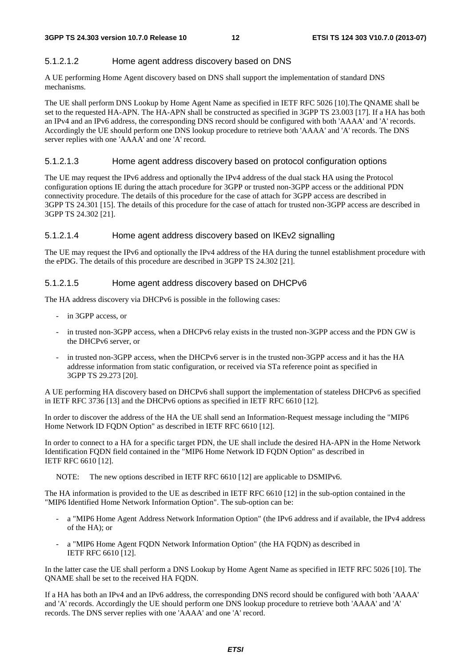#### 5.1.2.1.2 Home agent address discovery based on DNS

A UE performing Home Agent discovery based on DNS shall support the implementation of standard DNS mechanisms.

The UE shall perform DNS Lookup by Home Agent Name as specified in IETF RFC 5026 [10].The QNAME shall be set to the requested HA-APN. The HA-APN shall be constructed as specified in 3GPP TS 23.003 [17]. If a HA has both an IPv4 and an IPv6 address, the corresponding DNS record should be configured with both 'AAAA' and 'A' records. Accordingly the UE should perform one DNS lookup procedure to retrieve both 'AAAA' and 'A' records. The DNS server replies with one 'AAAA' and one 'A' record.

#### 5.1.2.1.3 Home agent address discovery based on protocol configuration options

The UE may request the IPv6 address and optionally the IPv4 address of the dual stack HA using the Protocol configuration options IE during the attach procedure for 3GPP or trusted non-3GPP access or the additional PDN connectivity procedure. The details of this procedure for the case of attach for 3GPP access are described in 3GPP TS 24.301 [15]. The details of this procedure for the case of attach for trusted non-3GPP access are described in 3GPP TS 24.302 [21].

#### 5.1.2.1.4 Home agent address discovery based on IKEv2 signalling

The UE may request the IPv6 and optionally the IPv4 address of the HA during the tunnel establishment procedure with the ePDG. The details of this procedure are described in 3GPP TS 24.302 [21].

#### 5.1.2.1.5 Home agent address discovery based on DHCPv6

The HA address discovery via DHCPv6 is possible in the following cases:

- in 3GPP access, or
- in trusted non-3GPP access, when a DHCPv6 relay exists in the trusted non-3GPP access and the PDN GW is the DHCPv6 server, or
- in trusted non-3GPP access, when the DHCPv6 server is in the trusted non-3GPP access and it has the HA addresse information from static configuration, or received via STa reference point as specified in 3GPP TS 29.273 [20].

A UE performing HA discovery based on DHCPv6 shall support the implementation of stateless DHCPv6 as specified in IETF RFC 3736 [13] and the DHCPv6 options as specified in IETF RFC 6610 [12].

In order to discover the address of the HA the UE shall send an Information-Request message including the "MIP6 Home Network ID FQDN Option" as described in IETF RFC 6610 [12].

In order to connect to a HA for a specific target PDN, the UE shall include the desired HA-APN in the Home Network Identification FQDN field contained in the "MIP6 Home Network ID FQDN Option" as described in IETF RFC 6610 [12].

NOTE: The new options described in IETF RFC 6610 [12] are applicable to DSMIPv6.

The HA information is provided to the UE as described in IETF RFC 6610 [12] in the sub-option contained in the "MIP6 Identified Home Network Information Option". The sub-option can be:

- a "MIP6 Home Agent Address Network Information Option" (the IPv6 address and if available, the IPv4 address of the HA); or
- a "MIP6 Home Agent FQDN Network Information Option" (the HA FQDN) as described in IETF RFC 6610 [12].

In the latter case the UE shall perform a DNS Lookup by Home Agent Name as specified in IETF RFC 5026 [10]. The QNAME shall be set to the received HA FQDN.

If a HA has both an IPv4 and an IPv6 address, the corresponding DNS record should be configured with both 'AAAA' and 'A' records. Accordingly the UE should perform one DNS lookup procedure to retrieve both 'AAAA' and 'A' records. The DNS server replies with one 'AAAA' and one 'A' record.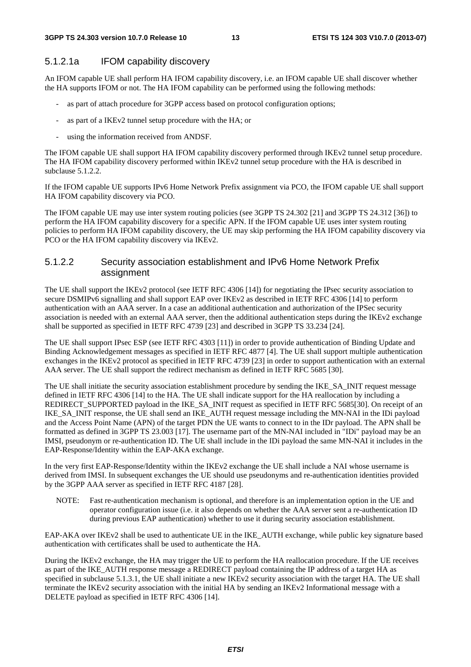#### 5.1.2.1a IFOM capability discovery

An IFOM capable UE shall perform HA IFOM capability discovery, i.e. an IFOM capable UE shall discover whether the HA supports IFOM or not. The HA IFOM capability can be performed using the following methods:

- as part of attach procedure for 3GPP access based on protocol configuration options;
- as part of a IKEv2 tunnel setup procedure with the HA; or
- using the information received from ANDSF.

The IFOM capable UE shall support HA IFOM capability discovery performed through IKEv2 tunnel setup procedure. The HA IFOM capability discovery performed within IKEv2 tunnel setup procedure with the HA is described in subclause 5.1.2.2.

If the IFOM capable UE supports IPv6 Home Network Prefix assignment via PCO, the IFOM capable UE shall support HA IFOM capability discovery via PCO.

The IFOM capable UE may use inter system routing policies (see 3GPP TS 24.302 [21] and 3GPP TS 24.312 [36]) to perform the HA IFOM capability discovery for a specific APN. If the IFOM capable UE uses inter system routing policies to perform HA IFOM capability discovery, the UE may skip performing the HA IFOM capability discovery via PCO or the HA IFOM capability discovery via IKEv2.

#### 5.1.2.2 Security association establishment and IPv6 Home Network Prefix assignment

The UE shall support the IKEv2 protocol (see IETF RFC 4306 [14]) for negotiating the IPsec security association to secure DSMIPv6 signalling and shall support EAP over IKEv2 as described in IETF RFC 4306 [14] to perform authentication with an AAA server. In a case an additional authentication and authorization of the IPSec security association is needed with an external AAA server, then the additional authentication steps during the IKEv2 exchange shall be supported as specified in IETF RFC 4739 [23] and described in 3GPP TS 33.234 [24].

The UE shall support IPsec ESP (see IETF RFC 4303 [11]) in order to provide authentication of Binding Update and Binding Acknowledgement messages as specified in IETF RFC 4877 [4]. The UE shall support multiple authentication exchanges in the IKEv2 protocol as specified in IETF RFC 4739 [23] in order to support authentication with an external AAA server. The UE shall support the redirect mechanism as defined in IETF RFC 5685 [30].

The UE shall initiate the security association establishment procedure by sending the IKE\_SA\_INIT request message defined in IETF RFC 4306 [14] to the HA. The UE shall indicate support for the HA reallocation by including a REDIRECT\_SUPPORTED payload in the IKE\_SA\_INIT request as specified in IETF RFC 5685[30]. On receipt of an IKE\_SA\_INIT response, the UE shall send an IKE\_AUTH request message including the MN-NAI in the IDi payload and the Access Point Name (APN) of the target PDN the UE wants to connect to in the IDr payload. The APN shall be formatted as defined in 3GPP TS 23.003 [17]. The username part of the MN-NAI included in "IDi" payload may be an IMSI, pseudonym or re-authentication ID. The UE shall include in the IDi payload the same MN-NAI it includes in the EAP-Response/Identity within the EAP-AKA exchange.

In the very first EAP-Response/Identity within the IKEv2 exchange the UE shall include a NAI whose username is derived from IMSI. In subsequent exchanges the UE should use pseudonyms and re-authentication identities provided by the 3GPP AAA server as specified in IETF RFC 4187 [28].

NOTE: Fast re-authentication mechanism is optional, and therefore is an implementation option in the UE and operator configuration issue (i.e. it also depends on whether the AAA server sent a re-authentication ID during previous EAP authentication) whether to use it during security association establishment.

EAP-AKA over IKEv2 shall be used to authenticate UE in the IKE\_AUTH exchange, while public key signature based authentication with certificates shall be used to authenticate the HA.

During the IKEv2 exchange, the HA may trigger the UE to perform the HA reallocation procedure. If the UE receives as part of the IKE\_AUTH response message a REDIRECT payload containing the IP address of a target HA as specified in subclause 5.1.3.1, the UE shall initiate a new IKEv2 security association with the target HA. The UE shall terminate the IKEv2 security association with the initial HA by sending an IKEv2 Informational message with a DELETE payload as specified in IETF RFC 4306 [14].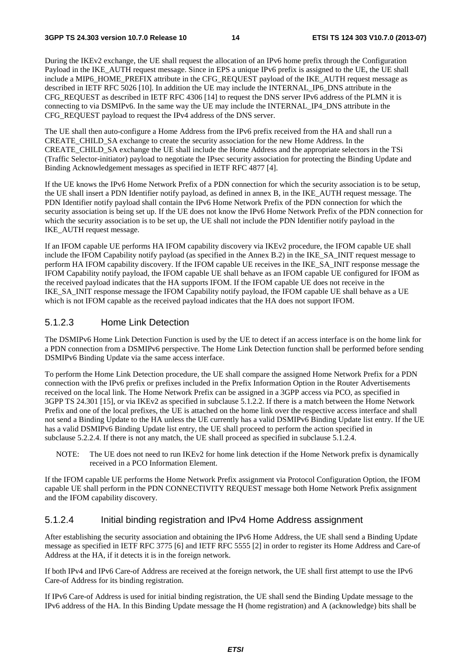During the IKEv2 exchange, the UE shall request the allocation of an IPv6 home prefix through the Configuration Payload in the IKE\_AUTH request message. Since in EPS a unique IPv6 prefix is assigned to the UE, the UE shall include a MIP6\_HOME\_PREFIX attribute in the CFG\_REQUEST payload of the IKE\_AUTH request message as described in IETF RFC 5026 [10]. In addition the UE may include the INTERNAL\_IP6\_DNS attribute in the CFG\_REQUEST as described in IETF RFC 4306 [14] to request the DNS server IPv6 address of the PLMN it is connecting to via DSMIPv6. In the same way the UE may include the INTERNAL\_IP4\_DNS attribute in the CFG\_REQUEST payload to request the IPv4 address of the DNS server.

The UE shall then auto-configure a Home Address from the IPv6 prefix received from the HA and shall run a CREATE\_CHILD\_SA exchange to create the security association for the new Home Address. In the CREATE\_CHILD\_SA exchange the UE shall include the Home Address and the appropriate selectors in the TSi (Traffic Selector-initiator) payload to negotiate the IPsec security association for protecting the Binding Update and Binding Acknowledgement messages as specified in IETF RFC 4877 [4].

If the UE knows the IPv6 Home Network Prefix of a PDN connection for which the security association is to be setup, the UE shall insert a PDN Identifier notify payload, as defined in annex B, in the IKE\_AUTH request message. The PDN Identifier notify payload shall contain the IPv6 Home Network Prefix of the PDN connection for which the security association is being set up. If the UE does not know the IPv6 Home Network Prefix of the PDN connection for which the security association is to be set up, the UE shall not include the PDN Identifier notify payload in the IKE\_AUTH request message.

If an IFOM capable UE performs HA IFOM capability discovery via IKEv2 procedure, the IFOM capable UE shall include the IFOM Capability notify payload (as specified in the Annex B.2) in the IKE\_SA\_INIT request message to perform HA IFOM capability discovery. If the IFOM capable UE receives in the IKE\_SA\_INIT response message the IFOM Capability notify payload, the IFOM capable UE shall behave as an IFOM capable UE configured for IFOM as the received payload indicates that the HA supports IFOM. If the IFOM capable UE does not receive in the IKE\_SA\_INIT response message the IFOM Capability notify payload, the IFOM capable UE shall behave as a UE which is not IFOM capable as the received payload indicates that the HA does not support IFOM.

#### 5.1.2.3 Home Link Detection

The DSMIPv6 Home Link Detection Function is used by the UE to detect if an access interface is on the home link for a PDN connection from a DSMIPv6 perspective. The Home Link Detection function shall be performed before sending DSMIPv6 Binding Update via the same access interface.

To perform the Home Link Detection procedure, the UE shall compare the assigned Home Network Prefix for a PDN connection with the IPv6 prefix or prefixes included in the Prefix Information Option in the Router Advertisements received on the local link. The Home Network Prefix can be assigned in a 3GPP access via PCO, as specified in 3GPP TS 24.301 [15], or via IKEv2 as specified in subclause 5.1.2.2. If there is a match between the Home Network Prefix and one of the local prefixes, the UE is attached on the home link over the respective access interface and shall not send a Binding Update to the HA unless the UE currently has a valid DSMIPv6 Binding Update list entry. If the UE has a valid DSMIPv6 Binding Update list entry, the UE shall proceed to perform the action specified in subclause 5.2.2.4. If there is not any match, the UE shall proceed as specified in subclause 5.1.2.4.

NOTE: The UE does not need to run IKEv2 for home link detection if the Home Network prefix is dynamically received in a PCO Information Element.

If the IFOM capable UE performs the Home Network Prefix assignment via Protocol Configuration Option, the IFOM capable UE shall perform in the PDN CONNECTIVITY REQUEST message both Home Network Prefix assignment and the IFOM capability discovery.

#### 5.1.2.4 Initial binding registration and IPv4 Home Address assignment

After establishing the security association and obtaining the IPv6 Home Address, the UE shall send a Binding Update message as specified in IETF RFC 3775 [6] and IETF RFC 5555 [2] in order to register its Home Address and Care-of Address at the HA, if it detects it is in the foreign network.

If both IPv4 and IPv6 Care-of Address are received at the foreign network, the UE shall first attempt to use the IPv6 Care-of Address for its binding registration.

If IPv6 Care-of Address is used for initial binding registration, the UE shall send the Binding Update message to the IPv6 address of the HA. In this Binding Update message the H (home registration) and A (acknowledge) bits shall be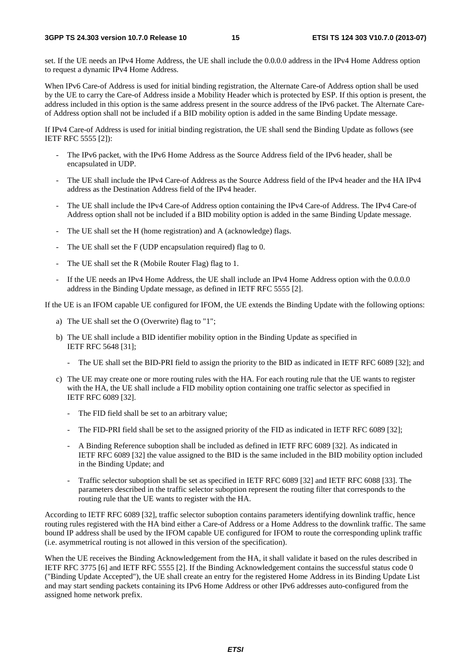set. If the UE needs an IPv4 Home Address, the UE shall include the 0.0.0.0 address in the IPv4 Home Address option to request a dynamic IPv4 Home Address.

When IPv6 Care-of Address is used for initial binding registration, the Alternate Care-of Address option shall be used by the UE to carry the Care-of Address inside a Mobility Header which is protected by ESP. If this option is present, the address included in this option is the same address present in the source address of the IPv6 packet. The Alternate Careof Address option shall not be included if a BID mobility option is added in the same Binding Update message.

If IPv4 Care-of Address is used for initial binding registration, the UE shall send the Binding Update as follows (see IETF RFC 5555 [2]):

- The IPv6 packet, with the IPv6 Home Address as the Source Address field of the IPv6 header, shall be encapsulated in UDP.
- The UE shall include the IPv4 Care-of Address as the Source Address field of the IPv4 header and the HA IPv4 address as the Destination Address field of the IPv4 header.
- The UE shall include the IPv4 Care-of Address option containing the IPv4 Care-of Address. The IPv4 Care-of Address option shall not be included if a BID mobility option is added in the same Binding Update message.
- The UE shall set the H (home registration) and A (acknowledge) flags.
- The UE shall set the F (UDP encapsulation required) flag to 0.
- The UE shall set the R (Mobile Router Flag) flag to 1.
- If the UE needs an IPv4 Home Address, the UE shall include an IPv4 Home Address option with the 0.0.0.0 address in the Binding Update message, as defined in IETF RFC 5555 [2].

If the UE is an IFOM capable UE configured for IFOM, the UE extends the Binding Update with the following options:

- a) The UE shall set the O (Overwrite) flag to "1";
- b) The UE shall include a BID identifier mobility option in the Binding Update as specified in IETF RFC 5648 [31];
	- The UE shall set the BID-PRI field to assign the priority to the BID as indicated in IETF RFC 6089 [32]; and
- c) The UE may create one or more routing rules with the HA. For each routing rule that the UE wants to register with the HA, the UE shall include a FID mobility option containing one traffic selector as specified in IETF RFC 6089 [32].
	- The FID field shall be set to an arbitrary value;
	- The FID-PRI field shall be set to the assigned priority of the FID as indicated in IETF RFC 6089 [32];
	- A Binding Reference suboption shall be included as defined in IETF RFC 6089 [32]. As indicated in IETF RFC 6089 [32] the value assigned to the BID is the same included in the BID mobility option included in the Binding Update; and
	- Traffic selector suboption shall be set as specified in IETF RFC 6089 [32] and IETF RFC 6088 [33]. The parameters described in the traffic selector suboption represent the routing filter that corresponds to the routing rule that the UE wants to register with the HA.

According to IETF RFC 6089 [32], traffic selector suboption contains parameters identifying downlink traffic, hence routing rules registered with the HA bind either a Care-of Address or a Home Address to the downlink traffic. The same bound IP address shall be used by the IFOM capable UE configured for IFOM to route the corresponding uplink traffic (i.e. asymmetrical routing is not allowed in this version of the specification).

When the UE receives the Binding Acknowledgement from the HA, it shall validate it based on the rules described in IETF RFC 3775 [6] and IETF RFC 5555 [2]. If the Binding Acknowledgement contains the successful status code 0 ("Binding Update Accepted"), the UE shall create an entry for the registered Home Address in its Binding Update List and may start sending packets containing its IPv6 Home Address or other IPv6 addresses auto-configured from the assigned home network prefix.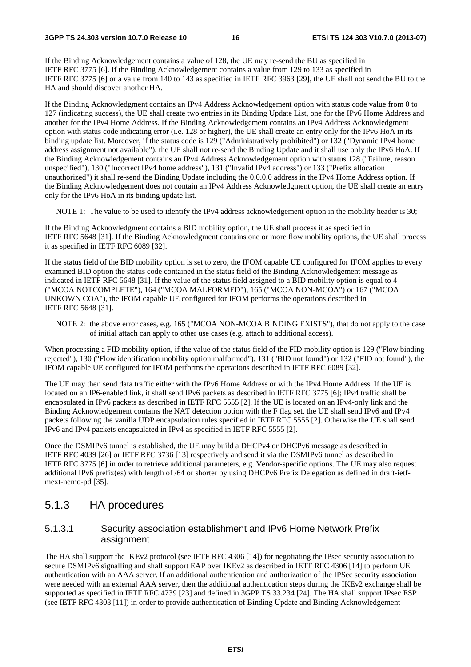#### **3GPP TS 24.303 version 10.7.0 Release 10 16 ETSI TS 124 303 V10.7.0 (2013-07)**

If the Binding Acknowledgement contains a value of 128, the UE may re-send the BU as specified in IETF RFC 3775 [6]. If the Binding Acknowledgement contains a value from 129 to 133 as specified in IETF RFC 3775 [6] or a value from 140 to 143 as specified in IETF RFC 3963 [29], the UE shall not send the BU to the HA and should discover another HA.

If the Binding Acknowledgment contains an IPv4 Address Acknowledgement option with status code value from 0 to 127 (indicating success), the UE shall create two entries in its Binding Update List, one for the IPv6 Home Address and another for the IPv4 Home Address. If the Binding Acknowledgement contains an IPv4 Address Acknowledgment option with status code indicating error (i.e. 128 or higher), the UE shall create an entry only for the IPv6 HoA in its binding update list. Moreover, if the status code is 129 ("Administratively prohibited") or 132 ("Dynamic IPv4 home address assignment not available"), the UE shall not re-send the Binding Update and it shall use only the IPv6 HoA. If the Binding Acknowledgement contains an IPv4 Address Acknowledgement option with status 128 ("Failure, reason unspecified"), 130 ("Incorrect IPv4 home address"), 131 ("Invalid IPv4 address") or 133 ("Prefix allocation unauthorized") it shall re-send the Binding Update including the 0.0.0.0 address in the IPv4 Home Address option. If the Binding Acknowledgement does not contain an IPv4 Address Acknowledgment option, the UE shall create an entry only for the IPv6 HoA in its binding update list.

NOTE 1: The value to be used to identify the IPv4 address acknowledgement option in the mobility header is 30;

If the Binding Acknowledgment contains a BID mobility option, the UE shall process it as specified in IETF RFC 5648 [31]. If the Binding Acknowledgment contains one or more flow mobility options, the UE shall process it as specified in IETF RFC 6089 [32].

If the status field of the BID mobility option is set to zero, the IFOM capable UE configured for IFOM applies to every examined BID option the status code contained in the status field of the Binding Acknowledgement message as indicated in IETF RFC 5648 [31]. If the value of the status field assigned to a BID mobility option is equal to 4 ("MCOA NOTCOMPLETE"), 164 ("MCOA MALFORMED"), 165 ("MCOA NON-MCOA") or 167 ("MCOA UNKOWN COA"), the IFOM capable UE configured for IFOM performs the operations described in IETF RFC 5648 [31].

NOTE 2: the above error cases, e.g. 165 ("MCOA NON-MCOA BINDING EXISTS"), that do not apply to the case of initial attach can apply to other use cases (e.g. attach to additional access).

When processing a FID mobility option, if the value of the status field of the FID mobility option is 129 ("Flow binding rejected"), 130 ("Flow identification mobility option malformed"), 131 ("BID not found") or 132 ("FID not found"), the IFOM capable UE configured for IFOM performs the operations described in IETF RFC 6089 [32].

The UE may then send data traffic either with the IPv6 Home Address or with the IPv4 Home Address. If the UE is located on an IP6-enabled link, it shall send IPv6 packets as described in IETF RFC 3775 [6]; IPv4 traffic shall be encapsulated in IPv6 packets as described in IETF RFC 5555 [2]. If the UE is located on an IPv4-only link and the Binding Acknowledgement contains the NAT detection option with the F flag set, the UE shall send IPv6 and IPv4 packets following the vanilla UDP encapsulation rules specified in IETF RFC 5555 [2]. Otherwise the UE shall send IPv6 and IPv4 packets encapsulated in IPv4 as specified in IETF RFC 5555 [2].

Once the DSMIPv6 tunnel is established, the UE may build a DHCPv4 or DHCPv6 message as described in IETF RFC 4039 [26] or IETF RFC 3736 [13] respectively and send it via the DSMIPv6 tunnel as described in IETF RFC 3775 [6] in order to retrieve additional parameters, e.g. Vendor-specific options. The UE may also request additional IPv6 prefix(es) with length of /64 or shorter by using DHCPv6 Prefix Delegation as defined in draft-ietfmext-nemo-pd [35].

### 5.1.3 HA procedures

#### 5.1.3.1 Security association establishment and IPv6 Home Network Prefix assignment

The HA shall support the IKEv2 protocol (see IETF RFC 4306 [14]) for negotiating the IPsec security association to secure DSMIPv6 signalling and shall support EAP over IKEv2 as described in IETF RFC 4306 [14] to perform UE authentication with an AAA server. If an additional authentication and authorization of the IPSec security association were needed with an external AAA server, then the additional authentication steps during the IKEv2 exchange shall be supported as specified in IETF RFC 4739 [23] and defined in 3GPP TS 33.234 [24]. The HA shall support IPsec ESP (see IETF RFC 4303 [11]) in order to provide authentication of Binding Update and Binding Acknowledgement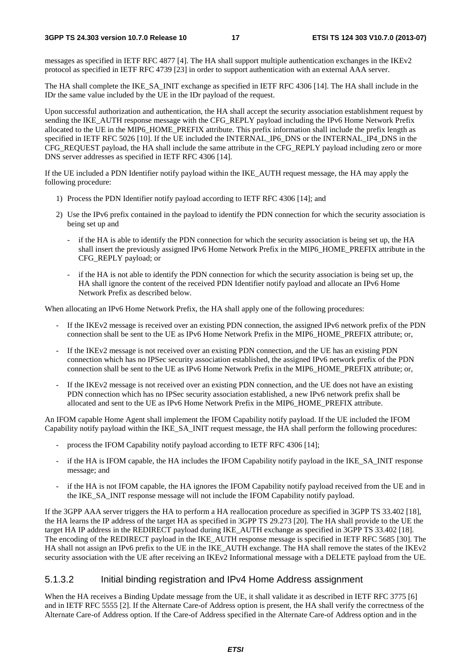messages as specified in IETF RFC 4877 [4]. The HA shall support multiple authentication exchanges in the IKEv2 protocol as specified in IETF RFC 4739 [23] in order to support authentication with an external AAA server.

The HA shall complete the IKE\_SA\_INIT exchange as specified in IETF RFC 4306 [14]. The HA shall include in the IDr the same value included by the UE in the IDr payload of the request.

Upon successful authorization and authentication, the HA shall accept the security association establishment request by sending the IKE\_AUTH response message with the CFG\_REPLY payload including the IPv6 Home Network Prefix allocated to the UE in the MIP6\_HOME\_PREFIX attribute. This prefix information shall include the prefix length as specified in IETF RFC 5026 [10]. If the UE included the INTERNAL\_IP6\_DNS or the INTERNAL\_IP4\_DNS in the CFG\_REQUEST payload, the HA shall include the same attribute in the CFG\_REPLY payload including zero or more DNS server addresses as specified in IETF RFC 4306 [14].

If the UE included a PDN Identifier notify payload within the IKE\_AUTH request message, the HA may apply the following procedure:

- 1) Process the PDN Identifier notify payload according to IETF RFC 4306 [14]; and
- 2) Use the IPv6 prefix contained in the payload to identify the PDN connection for which the security association is being set up and
	- if the HA is able to identify the PDN connection for which the security association is being set up, the HA shall insert the previously assigned IPv6 Home Network Prefix in the MIP6\_HOME\_PREFIX attribute in the CFG\_REPLY payload; or
	- if the HA is not able to identify the PDN connection for which the security association is being set up, the HA shall ignore the content of the received PDN Identifier notify payload and allocate an IPv6 Home Network Prefix as described below.

When allocating an IPv6 Home Network Prefix, the HA shall apply one of the following procedures:

- If the IKEv2 message is received over an existing PDN connection, the assigned IPv6 network prefix of the PDN connection shall be sent to the UE as IPv6 Home Network Prefix in the MIP6\_HOME\_PREFIX attribute; or,
- If the IKEv2 message is not received over an existing PDN connection, and the UE has an existing PDN connection which has no IPSec security association established, the assigned IPv6 network prefix of the PDN connection shall be sent to the UE as IPv6 Home Network Prefix in the MIP6\_HOME\_PREFIX attribute; or,
- If the IKEv2 message is not received over an existing PDN connection, and the UE does not have an existing PDN connection which has no IPSec security association established, a new IPv6 network prefix shall be allocated and sent to the UE as IPv6 Home Network Prefix in the MIP6\_HOME\_PREFIX attribute.

An IFOM capable Home Agent shall implement the IFOM Capability notify payload. If the UE included the IFOM Capability notify payload within the IKE\_SA\_INIT request message, the HA shall perform the following procedures:

- process the IFOM Capability notify payload according to IETF RFC 4306 [14];
- if the HA is IFOM capable, the HA includes the IFOM Capability notify payload in the IKE\_SA\_INIT response message; and
- if the HA is not IFOM capable, the HA ignores the IFOM Capability notify payload received from the UE and in the IKE\_SA\_INIT response message will not include the IFOM Capability notify payload.

If the 3GPP AAA server triggers the HA to perform a HA reallocation procedure as specified in 3GPP TS 33.402 [18], the HA learns the IP address of the target HA as specified in 3GPP TS 29.273 [20]. The HA shall provide to the UE the target HA IP address in the REDIRECT payload during IKE\_AUTH exchange as specified in 3GPP TS 33.402 [18]. The encoding of the REDIRECT payload in the IKE\_AUTH response message is specified in IETF RFC 5685 [30]. The HA shall not assign an IPv6 prefix to the UE in the IKE\_AUTH exchange. The HA shall remove the states of the IKEv2 security association with the UE after receiving an IKEv2 Informational message with a DELETE payload from the UE.

#### 5.1.3.2 Initial binding registration and IPv4 Home Address assignment

When the HA receives a Binding Update message from the UE, it shall validate it as described in IETF RFC 3775 [6] and in IETF RFC 5555 [2]. If the Alternate Care-of Address option is present, the HA shall verify the correctness of the Alternate Care-of Address option. If the Care-of Address specified in the Alternate Care-of Address option and in the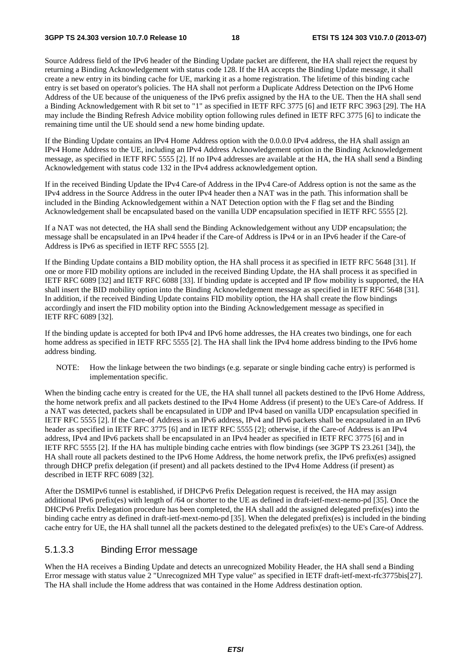Source Address field of the IPv6 header of the Binding Update packet are different, the HA shall reject the request by returning a Binding Acknowledgement with status code 128. If the HA accepts the Binding Update message, it shall create a new entry in its binding cache for UE, marking it as a home registration. The lifetime of this binding cache entry is set based on operator's policies. The HA shall not perform a Duplicate Address Detection on the IPv6 Home Address of the UE because of the uniqueness of the IPv6 prefix assigned by the HA to the UE. Then the HA shall send a Binding Acknowledgement with R bit set to "1" as specified in IETF RFC 3775 [6] and IETF RFC 3963 [29]. The HA may include the Binding Refresh Advice mobility option following rules defined in IETF RFC 3775 [6] to indicate the remaining time until the UE should send a new home binding update.

If the Binding Update contains an IPv4 Home Address option with the 0.0.0.0 IPv4 address, the HA shall assign an IPv4 Home Address to the UE, including an IPv4 Address Acknowledgement option in the Binding Acknowledgement message, as specified in IETF RFC 5555 [2]. If no IPv4 addresses are available at the HA, the HA shall send a Binding Acknowledgement with status code 132 in the IPv4 address acknowledgement option.

If in the received Binding Update the IPv4 Care-of Address in the IPv4 Care-of Address option is not the same as the IPv4 address in the Source Address in the outer IPv4 header then a NAT was in the path. This information shall be included in the Binding Acknowledgement within a NAT Detection option with the F flag set and the Binding Acknowledgement shall be encapsulated based on the vanilla UDP encapsulation specified in IETF RFC 5555 [2].

If a NAT was not detected, the HA shall send the Binding Acknowledgement without any UDP encapsulation; the message shall be encapsulated in an IPv4 header if the Care-of Address is IPv4 or in an IPv6 header if the Care-of Address is IPv6 as specified in IETF RFC 5555 [2].

If the Binding Update contains a BID mobility option, the HA shall process it as specified in IETF RFC 5648 [31]. If one or more FID mobility options are included in the received Binding Update, the HA shall process it as specified in IETF RFC 6089 [32] and IETF RFC 6088 [33]. If binding update is accepted and IP flow mobility is supported, the HA shall insert the BID mobility option into the Binding Acknowledgement message as specified in IETF RFC 5648 [31]. In addition, if the received Binding Update contains FID mobility option, the HA shall create the flow bindings accordingly and insert the FID mobility option into the Binding Acknowledgement message as specified in IETF RFC 6089 [32].

If the binding update is accepted for both IPv4 and IPv6 home addresses, the HA creates two bindings, one for each home address as specified in IETF RFC 5555 [2]. The HA shall link the IPv4 home address binding to the IPv6 home address binding.

NOTE: How the linkage between the two bindings (e.g. separate or single binding cache entry) is performed is implementation specific.

When the binding cache entry is created for the UE, the HA shall tunnel all packets destined to the IPv6 Home Address, the home network prefix and all packets destined to the IPv4 Home Address (if present) to the UE's Care-of Address. If a NAT was detected, packets shall be encapsulated in UDP and IPv4 based on vanilla UDP encapsulation specified in IETF RFC 5555 [2]. If the Care-of Address is an IPv6 address, IPv4 and IPv6 packets shall be encapsulated in an IPv6 header as specified in IETF RFC 3775 [6] and in IETF RFC 5555 [2]; otherwise, if the Care-of Address is an IPv4 address, IPv4 and IPv6 packets shall be encapsulated in an IPv4 header as specified in IETF RFC 3775 [6] and in IETF RFC 5555 [2]. If the HA has multiple binding cache entries with flow bindings (see 3GPP TS 23.261 [34]), the HA shall route all packets destined to the IPv6 Home Address, the home network prefix, the IPv6 prefix(es) assigned through DHCP prefix delegation (if present) and all packets destined to the IPv4 Home Address (if present) as described in IETF RFC 6089 [32].

After the DSMIPv6 tunnel is established, if DHCPv6 Prefix Delegation request is received, the HA may assign additional IPv6 prefix(es) with length of /64 or shorter to the UE as defined in draft-ietf-mext-nemo-pd [35]. Once the DHCPv6 Prefix Delegation procedure has been completed, the HA shall add the assigned delegated prefix(es) into the binding cache entry as defined in draft-ietf-mext-nemo-pd [35]. When the delegated prefix(es) is included in the binding cache entry for UE, the HA shall tunnel all the packets destined to the delegated prefix(es) to the UE's Care-of Address.

#### 5.1.3.3 Binding Error message

When the HA receives a Binding Update and detects an unrecognized Mobility Header, the HA shall send a Binding Error message with status value 2 "Unrecognized MH Type value" as specified in IETF draft-ietf-mext-rfc3775bis[27]. The HA shall include the Home address that was contained in the Home Address destination option.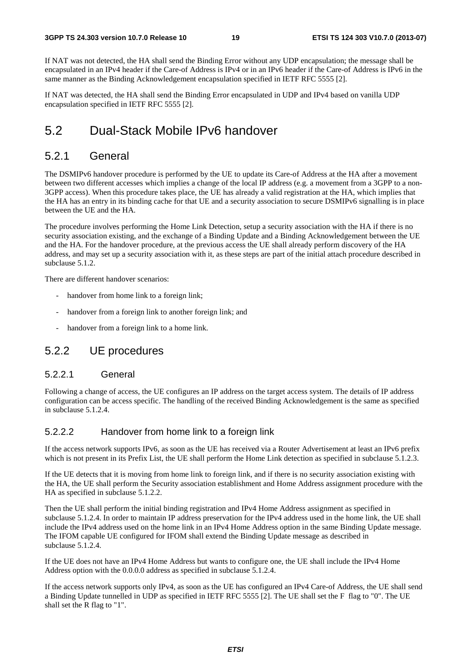If NAT was not detected, the HA shall send the Binding Error without any UDP encapsulation; the message shall be encapsulated in an IPv4 header if the Care-of Address is IPv4 or in an IPv6 header if the Care-of Address is IPv6 in the same manner as the Binding Acknowledgement encapsulation specified in IETF RFC 5555 [2].

If NAT was detected, the HA shall send the Binding Error encapsulated in UDP and IPv4 based on vanilla UDP encapsulation specified in IETF RFC 5555 [2].

### 5.2 Dual-Stack Mobile IPv6 handover

#### 5.2.1 General

The DSMIPv6 handover procedure is performed by the UE to update its Care-of Address at the HA after a movement between two different accesses which implies a change of the local IP address (e.g. a movement from a 3GPP to a non-3GPP access). When this procedure takes place, the UE has already a valid registration at the HA, which implies that the HA has an entry in its binding cache for that UE and a security association to secure DSMIPv6 signalling is in place between the UE and the HA.

The procedure involves performing the Home Link Detection, setup a security association with the HA if there is no security association existing, and the exchange of a Binding Update and a Binding Acknowledgement between the UE and the HA. For the handover procedure, at the previous access the UE shall already perform discovery of the HA address, and may set up a security association with it, as these steps are part of the initial attach procedure described in subclause 5.1.2.

There are different handover scenarios:

- handover from home link to a foreign link;
- handover from a foreign link to another foreign link; and
- handover from a foreign link to a home link.

### 5.2.2 UE procedures

#### 5.2.2.1 General

Following a change of access, the UE configures an IP address on the target access system. The details of IP address configuration can be access specific. The handling of the received Binding Acknowledgement is the same as specified in subclause 5.1.2.4.

#### 5.2.2.2 Handover from home link to a foreign link

If the access network supports IPv6, as soon as the UE has received via a Router Advertisement at least an IPv6 prefix which is not present in its Prefix List, the UE shall perform the Home Link detection as specified in subclause 5.1.2.3.

If the UE detects that it is moving from home link to foreign link, and if there is no security association existing with the HA, the UE shall perform the Security association establishment and Home Address assignment procedure with the HA as specified in subclause 5.1.2.2.

Then the UE shall perform the initial binding registration and IPv4 Home Address assignment as specified in subclause 5.1.2.4. In order to maintain IP address preservation for the IPv4 address used in the home link, the UE shall include the IPv4 address used on the home link in an IPv4 Home Address option in the same Binding Update message. The IFOM capable UE configured for IFOM shall extend the Binding Update message as described in subclause 5.1.2.4.

If the UE does not have an IPv4 Home Address but wants to configure one, the UE shall include the IPv4 Home Address option with the 0.0.0.0 address as specified in subclause 5.1.2.4.

If the access network supports only IPv4, as soon as the UE has configured an IPv4 Care-of Address, the UE shall send a Binding Update tunnelled in UDP as specified in IETF RFC 5555 [2]. The UE shall set the F flag to "0". The UE shall set the R flag to "1".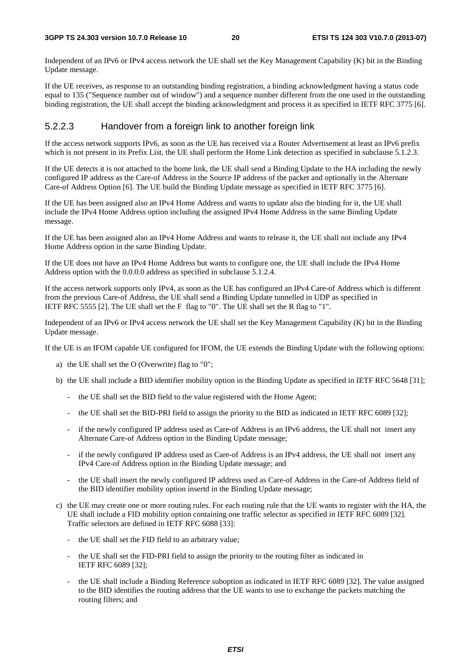Independent of an IPv6 or IPv4 access network the UE shall set the Key Management Capability (K) bit in the Binding Update message.

If the UE receives, as response to an outstanding binding registration, a binding acknowledgment having a status code equal to 135 ("Sequence number out of window") and a sequence number different from the one used in the outstanding binding registration, the UE shall accept the binding acknowledgment and process it as specified in IETF RFC 3775 [6].

#### 5.2.2.3 Handover from a foreign link to another foreign link

If the access network supports IPv6, as soon as the UE has received via a Router Advertisement at least an IPv6 prefix which is not present in its Prefix List, the UE shall perform the Home Link detection as specified in subclause 5.1.2.3.

If the UE detects it is not attached to the home link, the UE shall send a Binding Update to the HA including the newly configured IP address as the Care-of Address in the Source IP address of the packet and optionally in the Alternate Care-of Address Option [6]. The UE build the Binding Update message as specified in IETF RFC 3775 [6].

If the UE has been assigned also an IPv4 Home Address and wants to update also the binding for it, the UE shall include the IPv4 Home Address option including the assigned IPv4 Home Address in the same Binding Update message.

If the UE has been assigned also an IPv4 Home Address and wants to release it, the UE shall not include any IPv4 Home Address option in the same Binding Update.

If the UE does not have an IPv4 Home Address but wants to configure one, the UE shall include the IPv4 Home Address option with the 0.0.0.0 address as specified in subclause 5.1.2.4.

If the access network supports only IPv4, as soon as the UE has configured an IPv4 Care-of Address which is different from the previous Care-of Address, the UE shall send a Binding Update tunnelled in UDP as specified in IETF RFC 5555 [2]. The UE shall set the F flag to "0". The UE shall set the R flag to "1".

Independent of an IPv6 or IPv4 access network the UE shall set the Key Management Capability (K) bit in the Binding Update message.

If the UE is an IFOM capable UE configured for IFOM, the UE extends the Binding Update with the following options:

- a) the UE shall set the O (Overwrite) flag to "0";
- b) the UE shall include a BID identifier mobility option in the Binding Update as specified in IETF RFC 5648 [31];
	- the UE shall set the BID field to the value registered with the Home Agent;
	- the UE shall set the BID-PRI field to assign the priority to the BID as indicated in IETF RFC 6089 [32];
	- if the newly configured IP address used as Care-of Address is an IPv6 address, the UE shall not insert any Alternate Care-of Address option in the Binding Update message;
	- if the newly configured IP address used as Care-of Address is an IPv4 address, the UE shall not insert any IPv4 Care-of Address option in the Binding Update message; and
	- the UE shall insert the newly configured IP address used as Care-of Address in the Care-of Address field of the BID identifier mobility option insertd in the Binding Update message;
- c) the UE may create one or more routing rules. For each routing rule that the UE wants to register with the HA, the UE shall include a FID mobility option containing one traffic selector as specified in IETF RFC 6089 [32]. Traffic selectors are defined in IETF RFC 6088 [33]:
	- the UE shall set the FID field to an arbitrary value;
	- the UE shall set the FID-PRI field to assign the priority to the routing filter as indicated in IETF RFC 6089 [32];
	- the UE shall include a Binding Reference suboption as indicated in IETF RFC 6089 [32]. The value assigned to the BID identifies the routing address that the UE wants to use to exchange the packets matching the routing filters; and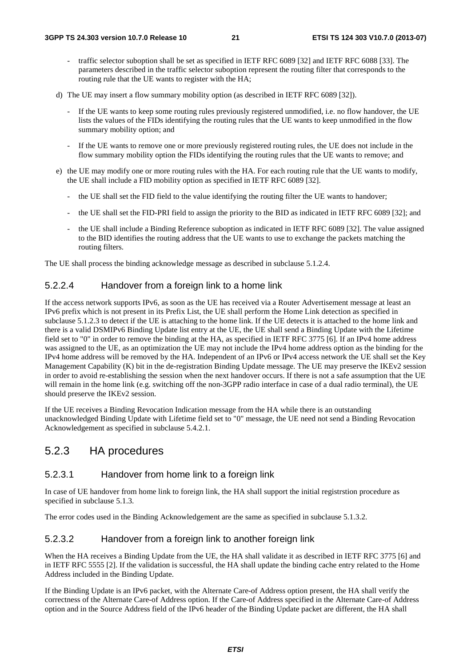- traffic selector suboption shall be set as specified in IETF RFC 6089 [32] and IETF RFC 6088 [33]. The parameters described in the traffic selector suboption represent the routing filter that corresponds to the routing rule that the UE wants to register with the HA;
- d) The UE may insert a flow summary mobility option (as described in IETF RFC 6089 [32]).
	- If the UE wants to keep some routing rules previously registered unmodified, i.e. no flow handover, the UE lists the values of the FIDs identifying the routing rules that the UE wants to keep unmodified in the flow summary mobility option; and
	- If the UE wants to remove one or more previously registered routing rules, the UE does not include in the flow summary mobility option the FIDs identifying the routing rules that the UE wants to remove; and
- e) the UE may modify one or more routing rules with the HA. For each routing rule that the UE wants to modify, the UE shall include a FID mobility option as specified in IETF RFC 6089 [32].
	- the UE shall set the FID field to the value identifying the routing filter the UE wants to handover;
	- the UE shall set the FID-PRI field to assign the priority to the BID as indicated in IETF RFC 6089 [32]; and
	- the UE shall include a Binding Reference suboption as indicated in IETF RFC 6089 [32]. The value assigned to the BID identifies the routing address that the UE wants to use to exchange the packets matching the routing filters.

The UE shall process the binding acknowledge message as described in subclause 5.1.2.4.

#### 5.2.2.4 Handover from a foreign link to a home link

If the access network supports IPv6, as soon as the UE has received via a Router Advertisement message at least an IPv6 prefix which is not present in its Prefix List, the UE shall perform the Home Link detection as specified in subclause 5.1.2.3 to detect if the UE is attaching to the home link. If the UE detects it is attached to the home link and there is a valid DSMIPv6 Binding Update list entry at the UE, the UE shall send a Binding Update with the Lifetime field set to "0" in order to remove the binding at the HA, as specified in IETF RFC 3775 [6]. If an IPv4 home address was assigned to the UE, as an optimization the UE may not include the IPv4 home address option as the binding for the IPv4 home address will be removed by the HA. Independent of an IPv6 or IPv4 access network the UE shall set the Key Management Capability (K) bit in the de-registration Binding Update message. The UE may preserve the IKEv2 session in order to avoid re-establishing the session when the next handover occurs. If there is not a safe assumption that the UE will remain in the home link (e.g. switching off the non-3GPP radio interface in case of a dual radio terminal), the UE should preserve the IKEv2 session.

If the UE receives a Binding Revocation Indication message from the HA while there is an outstanding unacknowledged Binding Update with Lifetime field set to "0" message, the UE need not send a Binding Revocation Acknowledgement as specified in subclause 5.4.2.1.

### 5.2.3 HA procedures

#### 5.2.3.1 Handover from home link to a foreign link

In case of UE handover from home link to foreign link, the HA shall support the initial registrstion procedure as specified in subclause 5.1.3.

The error codes used in the Binding Acknowledgement are the same as specified in subclause 5.1.3.2.

#### 5.2.3.2 Handover from a foreign link to another foreign link

When the HA receives a Binding Update from the UE, the HA shall validate it as described in IETF RFC 3775 [6] and in IETF RFC 5555 [2]. If the validation is successful, the HA shall update the binding cache entry related to the Home Address included in the Binding Update.

If the Binding Update is an IPv6 packet, with the Alternate Care-of Address option present, the HA shall verify the correctness of the Alternate Care-of Address option. If the Care-of Address specified in the Alternate Care-of Address option and in the Source Address field of the IPv6 header of the Binding Update packet are different, the HA shall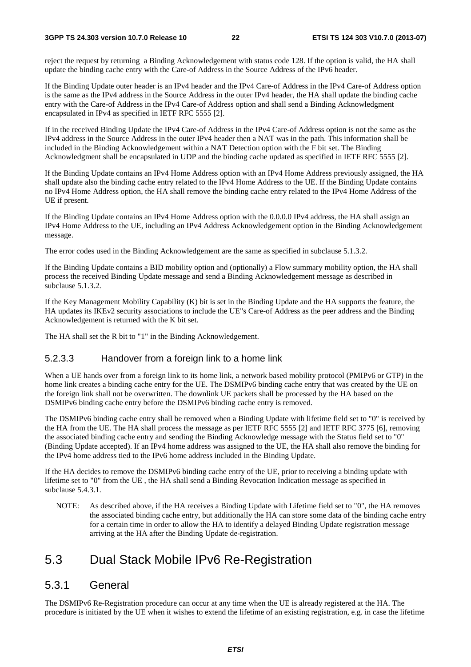#### **3GPP TS 24.303 version 10.7.0 Release 10 22 ETSI TS 124 303 V10.7.0 (2013-07)**

reject the request by returning a Binding Acknowledgement with status code 128. If the option is valid, the HA shall update the binding cache entry with the Care-of Address in the Source Address of the IPv6 header.

If the Binding Update outer header is an IPv4 header and the IPv4 Care-of Address in the IPv4 Care-of Address option is the same as the IPv4 address in the Source Address in the outer IPv4 header, the HA shall update the binding cache entry with the Care-of Address in the IPv4 Care-of Address option and shall send a Binding Acknowledgment encapsulated in IPv4 as specified in IETF RFC 5555 [2].

If in the received Binding Update the IPv4 Care-of Address in the IPv4 Care-of Address option is not the same as the IPv4 address in the Source Address in the outer IPv4 header then a NAT was in the path. This information shall be included in the Binding Acknowledgement within a NAT Detection option with the F bit set. The Binding Acknowledgment shall be encapsulated in UDP and the binding cache updated as specified in IETF RFC 5555 [2].

If the Binding Update contains an IPv4 Home Address option with an IPv4 Home Address previously assigned, the HA shall update also the binding cache entry related to the IPv4 Home Address to the UE. If the Binding Update contains no IPv4 Home Address option, the HA shall remove the binding cache entry related to the IPv4 Home Address of the UE if present.

If the Binding Update contains an IPv4 Home Address option with the 0.0.0.0 IPv4 address, the HA shall assign an IPv4 Home Address to the UE, including an IPv4 Address Acknowledgement option in the Binding Acknowledgement message.

The error codes used in the Binding Acknowledgement are the same as specified in subclause 5.1.3.2.

If the Binding Update contains a BID mobility option and (optionally) a Flow summary mobility option, the HA shall process the received Binding Update message and send a Binding Acknowledgement message as described in subclause 5.1.3.2.

If the Key Management Mobility Capability (K) bit is set in the Binding Update and the HA supports the feature, the HA updates its IKEv2 security associations to include the UE"s Care-of Address as the peer address and the Binding Acknowledgement is returned with the K bit set.

The HA shall set the R bit to "1" in the Binding Acknowledgement.

#### 5.2.3.3 Handover from a foreign link to a home link

When a UE hands over from a foreign link to its home link, a network based mobility protocol (PMIPv6 or GTP) in the home link creates a binding cache entry for the UE. The DSMIPv6 binding cache entry that was created by the UE on the foreign link shall not be overwritten. The downlink UE packets shall be processed by the HA based on the DSMIPv6 binding cache entry before the DSMIPv6 binding cache entry is removed.

The DSMIPv6 binding cache entry shall be removed when a Binding Update with lifetime field set to "0" is received by the HA from the UE. The HA shall process the message as per IETF RFC 5555 [2] and IETF RFC 3775 [6], removing the associated binding cache entry and sending the Binding Acknowledge message with the Status field set to "0" (Binding Update accepted). If an IPv4 home address was assigned to the UE, the HA shall also remove the binding for the IPv4 home address tied to the IPv6 home address included in the Binding Update.

If the HA decides to remove the DSMIPv6 binding cache entry of the UE, prior to receiving a binding update with lifetime set to "0" from the UE , the HA shall send a Binding Revocation Indication message as specified in subclause 5.4.3.1.

NOTE: As described above, if the HA receives a Binding Update with Lifetime field set to "0", the HA removes the associated binding cache entry, but additionally the HA can store some data of the binding cache entry for a certain time in order to allow the HA to identify a delayed Binding Update registration message arriving at the HA after the Binding Update de-registration.

## 5.3 Dual Stack Mobile IPv6 Re-Registration

### 5.3.1 General

The DSMIPv6 Re-Registration procedure can occur at any time when the UE is already registered at the HA. The procedure is initiated by the UE when it wishes to extend the lifetime of an existing registration, e.g. in case the lifetime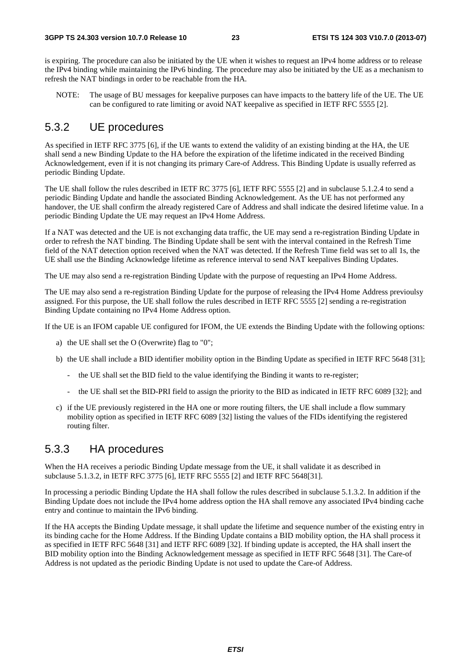is expiring. The procedure can also be initiated by the UE when it wishes to request an IPv4 home address or to release the IPv4 binding while maintaining the IPv6 binding. The procedure may also be initiated by the UE as a mechanism to refresh the NAT bindings in order to be reachable from the HA.

NOTE: The usage of BU messages for keepalive purposes can have impacts to the battery life of the UE. The UE can be configured to rate limiting or avoid NAT keepalive as specified in IETF RFC 5555 [2].

#### 5.3.2 UE procedures

As specified in IETF RFC 3775 [6], if the UE wants to extend the validity of an existing binding at the HA, the UE shall send a new Binding Update to the HA before the expiration of the lifetime indicated in the received Binding Acknowledgement, even if it is not changing its primary Care-of Address. This Binding Update is usually referred as periodic Binding Update.

The UE shall follow the rules described in IETF RC 3775 [6], IETF RFC 5555 [2] and in subclause 5.1.2.4 to send a periodic Binding Update and handle the associated Binding Acknowledgement. As the UE has not performed any handover, the UE shall confirm the already registered Care of Address and shall indicate the desired lifetime value. In a periodic Binding Update the UE may request an IPv4 Home Address.

If a NAT was detected and the UE is not exchanging data traffic, the UE may send a re-registration Binding Update in order to refresh the NAT binding. The Binding Update shall be sent with the interval contained in the Refresh Time field of the NAT detection option received when the NAT was detected. If the Refresh Time field was set to all 1s, the UE shall use the Binding Acknowledge lifetime as reference interval to send NAT keepalives Binding Updates.

The UE may also send a re-registration Binding Update with the purpose of requesting an IPv4 Home Address.

The UE may also send a re-registration Binding Update for the purpose of releasing the IPv4 Home Address previoulsy assigned. For this purpose, the UE shall follow the rules described in IETF RFC 5555 [2] sending a re-registration Binding Update containing no IPv4 Home Address option.

If the UE is an IFOM capable UE configured for IFOM, the UE extends the Binding Update with the following options:

- a) the UE shall set the O (Overwrite) flag to "0";
- b) the UE shall include a BID identifier mobility option in the Binding Update as specified in IETF RFC 5648 [31];
	- the UE shall set the BID field to the value identifying the Binding it wants to re-register;
	- the UE shall set the BID-PRI field to assign the priority to the BID as indicated in IETF RFC 6089 [32]; and
- c) if the UE previously registered in the HA one or more routing filters, the UE shall include a flow summary mobility option as specified in IETF RFC 6089 [32] listing the values of the FIDs identifying the registered routing filter.

#### 5.3.3 HA procedures

When the HA receives a periodic Binding Update message from the UE, it shall validate it as described in subclause 5.1.3.2, in IETF RFC 3775 [6], IETF RFC 5555 [2] and IETF RFC 5648[31].

In processing a periodic Binding Update the HA shall follow the rules described in subclause 5.1.3.2. In addition if the Binding Update does not include the IPv4 home address option the HA shall remove any associated IPv4 binding cache entry and continue to maintain the IPv6 binding.

If the HA accepts the Binding Update message, it shall update the lifetime and sequence number of the existing entry in its binding cache for the Home Address. If the Binding Update contains a BID mobility option, the HA shall process it as specified in IETF RFC 5648 [31] and IETF RFC 6089 [32]. If binding update is accepted, the HA shall insert the BID mobility option into the Binding Acknowledgement message as specified in IETF RFC 5648 [31]. The Care-of Address is not updated as the periodic Binding Update is not used to update the Care-of Address.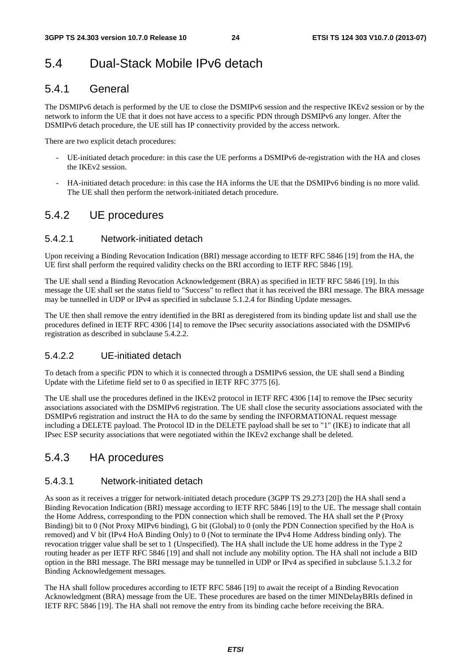## 5.4 Dual-Stack Mobile IPv6 detach

### 5.4.1 General

The DSMIPv6 detach is performed by the UE to close the DSMIPv6 session and the respective IKEv2 session or by the network to inform the UE that it does not have access to a specific PDN through DSMIPv6 any longer. After the DSMIPv6 detach procedure, the UE still has IP connectivity provided by the access network.

There are two explicit detach procedures:

- UE-initiated detach procedure: in this case the UE performs a DSMIPv6 de-registration with the HA and closes the IKEv2 session.
- HA-initiated detach procedure: in this case the HA informs the UE that the DSMIPv6 binding is no more valid. The UE shall then perform the network-initiated detach procedure.

### 5.4.2 UE procedures

#### 5.4.2.1 Network-initiated detach

Upon receiving a Binding Revocation Indication (BRI) message according to IETF RFC 5846 [19] from the HA, the UE first shall perform the required validity checks on the BRI according to IETF RFC 5846 [19].

The UE shall send a Binding Revocation Acknowledgement (BRA) as specified in IETF RFC 5846 [19]. In this message the UE shall set the status field to "Success" to reflect that it has received the BRI message. The BRA message may be tunnelled in UDP or IPv4 as specified in subclause 5.1.2.4 for Binding Update messages.

The UE then shall remove the entry identified in the BRI as deregistered from its binding update list and shall use the procedures defined in IETF RFC 4306 [14] to remove the IPsec security associations associated with the DSMIPv6 registration as described in subclause 5.4.2.2.

#### 5.4.2.2 UE-initiated detach

To detach from a specific PDN to which it is connected through a DSMIPv6 session, the UE shall send a Binding Update with the Lifetime field set to 0 as specified in IETF RFC 3775 [6].

The UE shall use the procedures defined in the IKEv2 protocol in IETF RFC 4306 [14] to remove the IPsec security associations associated with the DSMIPv6 registration. The UE shall close the security associations associated with the DSMIPv6 registration and instruct the HA to do the same by sending the INFORMATIONAL request message including a DELETE payload. The Protocol ID in the DELETE payload shall be set to "1" (IKE) to indicate that all IPsec ESP security associations that were negotiated within the IKEv2 exchange shall be deleted.

### 5.4.3 HA procedures

#### 5.4.3.1 Network-initiated detach

As soon as it receives a trigger for network-initiated detach procedure (3GPP TS 29.273 [20]) the HA shall send a Binding Revocation Indication (BRI) message according to IETF RFC 5846 [19] to the UE. The message shall contain the Home Address, corresponding to the PDN connection which shall be removed. The HA shall set the P (Proxy Binding) bit to 0 (Not Proxy MIPv6 binding), G bit (Global) to 0 (only the PDN Connection specified by the HoA is removed) and V bit (IPv4 HoA Binding Only) to 0 (Not to terminate the IPv4 Home Address binding only). The revocation trigger value shall be set to 1 (Unspecified). The HA shall include the UE home address in the Type 2 routing header as per IETF RFC 5846 [19] and shall not include any mobility option. The HA shall not include a BID option in the BRI message. The BRI message may be tunnelled in UDP or IPv4 as specified in subclause 5.1.3.2 for Binding Acknowledgement messages.

The HA shall follow procedures according to IETF RFC 5846 [19] to await the receipt of a Binding Revocation Acknowledgment (BRA) message from the UE. These procedures are based on the timer MINDelayBRIs defined in IETF RFC 5846 [19]. The HA shall not remove the entry from its binding cache before receiving the BRA.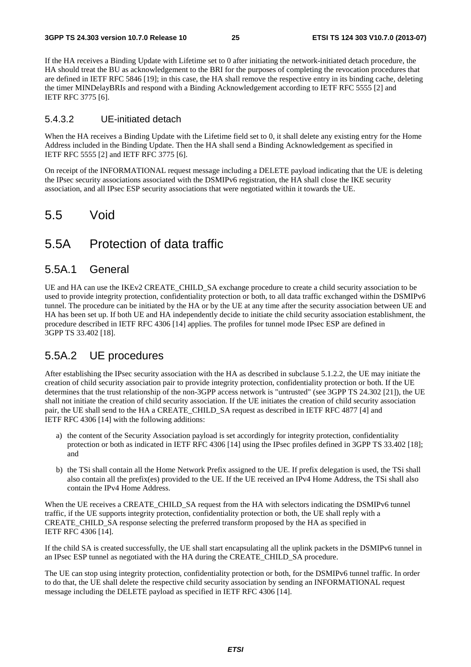If the HA receives a Binding Update with Lifetime set to 0 after initiating the network-initiated detach procedure, the HA should treat the BU as acknowledgement to the BRI for the purposes of completing the revocation procedures that are defined in IETF RFC 5846 [19]; in this case, the HA shall remove the respective entry in its binding cache, deleting the timer MINDelayBRIs and respond with a Binding Acknowledgement according to IETF RFC 5555 [2] and IETF RFC 3775 [6].

#### 5.4.3.2 UE-initiated detach

When the HA receives a Binding Update with the Lifetime field set to 0, it shall delete any existing entry for the Home Address included in the Binding Update. Then the HA shall send a Binding Acknowledgement as specified in IETF RFC 5555 [2] and IETF RFC 3775 [6].

On receipt of the INFORMATIONAL request message including a DELETE payload indicating that the UE is deleting the IPsec security associations associated with the DSMIPv6 registration, the HA shall close the IKE security association, and all IPsec ESP security associations that were negotiated within it towards the UE.

### 5.5 Void

### 5.5A Protection of data traffic

#### 5.5A.1 General

UE and HA can use the IKEv2 CREATE\_CHILD\_SA exchange procedure to create a child security association to be used to provide integrity protection, confidentiality protection or both, to all data traffic exchanged within the DSMIPv6 tunnel. The procedure can be initiated by the HA or by the UE at any time after the security association between UE and HA has been set up. If both UE and HA independently decide to initiate the child security association establishment, the procedure described in IETF RFC 4306 [14] applies. The profiles for tunnel mode IPsec ESP are defined in 3GPP TS 33.402 [18].

#### 5.5A.2 UE procedures

After establishing the IPsec security association with the HA as described in subclause 5.1.2.2, the UE may initiate the creation of child security association pair to provide integrity protection, confidentiality protection or both. If the UE determines that the trust relationship of the non-3GPP access network is "untrusted" (see 3GPP TS 24.302 [21]), the UE shall not initiate the creation of child security association. If the UE initiates the creation of child security association pair, the UE shall send to the HA a CREATE\_CHILD\_SA request as described in IETF RFC 4877 [4] and IETF RFC 4306 [14] with the following additions:

- a) the content of the Security Association payload is set accordingly for integrity protection, confidentiality protection or both as indicated in IETF RFC 4306 [14] using the IPsec profiles defined in 3GPP TS 33.402 [18]; and
- b) the TSi shall contain all the Home Network Prefix assigned to the UE. If prefix delegation is used, the TSi shall also contain all the prefix(es) provided to the UE. If the UE received an IPv4 Home Address, the TSi shall also contain the IPv4 Home Address.

When the UE receives a CREATE\_CHILD\_SA request from the HA with selectors indicating the DSMIPv6 tunnel traffic, if the UE supports integrity protection, confidentiality protection or both, the UE shall reply with a CREATE\_CHILD\_SA response selecting the preferred transform proposed by the HA as specified in IETF RFC 4306 [14].

If the child SA is created successfully, the UE shall start encapsulating all the uplink packets in the DSMIPv6 tunnel in an IPsec ESP tunnel as negotiated with the HA during the CREATE\_CHILD\_SA procedure.

The UE can stop using integrity protection, confidentiality protection or both, for the DSMIPv6 tunnel traffic. In order to do that, the UE shall delete the respective child security association by sending an INFORMATIONAL request message including the DELETE payload as specified in IETF RFC 4306 [14].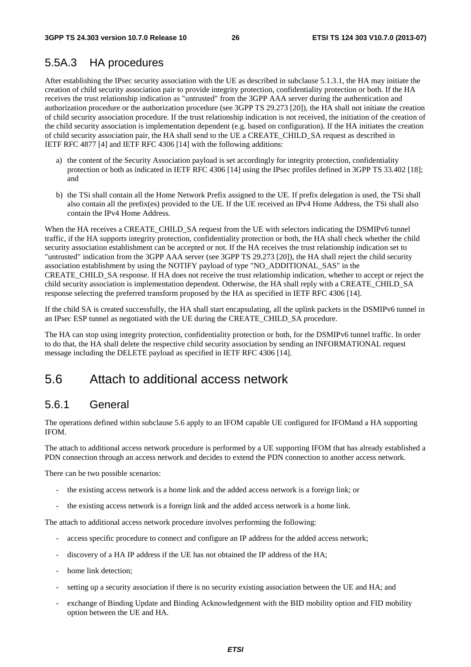### 5.5A.3 HA procedures

After establishing the IPsec security association with the UE as described in subclause 5.1.3.1, the HA may initiate the creation of child security association pair to provide integrity protection, confidentiality protection or both. If the HA receives the trust relationship indication as "untrusted" from the 3GPP AAA server during the authentication and authorization procedure or the authorization procedure (see 3GPP TS 29.273 [20]), the HA shall not initiate the creation of child security association procedure. If the trust relationship indication is not received, the initiation of the creation of the child security association is implementation dependent (e.g. based on configuration). If the HA initiates the creation of child security association pair, the HA shall send to the UE a CREATE\_CHILD\_SA request as described in IETF RFC 4877 [4] and IETF RFC 4306 [14] with the following additions:

- a) the content of the Security Association payload is set accordingly for integrity protection, confidentiality protection or both as indicated in IETF RFC 4306 [14] using the IPsec profiles defined in 3GPP TS 33.402 [18]; and
- b) the TSi shall contain all the Home Network Prefix assigned to the UE. If prefix delegation is used, the TSi shall also contain all the prefix(es) provided to the UE. If the UE received an IPv4 Home Address, the TSi shall also contain the IPv4 Home Address.

When the HA receives a CREATE\_CHILD\_SA request from the UE with selectors indicating the DSMIPv6 tunnel traffic, if the HA supports integrity protection, confidentiality protection or both, the HA shall check whether the child security association establishment can be accepted or not. If the HA receives the trust relationship indication set to "untrusted" indication from the 3GPP AAA server (see 3GPP TS 29.273 [20]), the HA shall reject the child security association establishment by using the NOTIFY payload of type "NO\_ADDITIONAL\_SAS" in the CREATE\_CHILD\_SA response. If HA does not receive the trust relationship indication, whether to accept or reject the child security association is implementation dependent. Otherwise, the HA shall reply with a CREATE\_CHILD\_SA response selecting the preferred transform proposed by the HA as specified in IETF RFC 4306 [14].

If the child SA is created successfully, the HA shall start encapsulating, all the uplink packets in the DSMIPv6 tunnel in an IPsec ESP tunnel as negotiated with the UE during the CREATE\_CHILD\_SA procedure.

The HA can stop using integrity protection, confidentiality protection or both, for the DSMIPv6 tunnel traffic. In order to do that, the HA shall delete the respective child security association by sending an INFORMATIONAL request message including the DELETE payload as specified in IETF RFC 4306 [14].

### 5.6 Attach to additional access network

### 5.6.1 General

The operations defined within subclause 5.6 apply to an IFOM capable UE configured for IFOMand a HA supporting IFOM.

The attach to additional access network procedure is performed by a UE supporting IFOM that has already established a PDN connection through an access network and decides to extend the PDN connection to another access network.

There can be two possible scenarios:

- the existing access network is a home link and the added access network is a foreign link; or
- the existing access network is a foreign link and the added access network is a home link.

The attach to additional access network procedure involves performing the following:

- access specific procedure to connect and configure an IP address for the added access network;
- discovery of a HA IP address if the UE has not obtained the IP address of the HA;
- home link detection;
- setting up a security association if there is no security existing association between the UE and HA; and
- exchange of Binding Update and Binding Acknowledgement with the BID mobility option and FID mobility option between the UE and HA.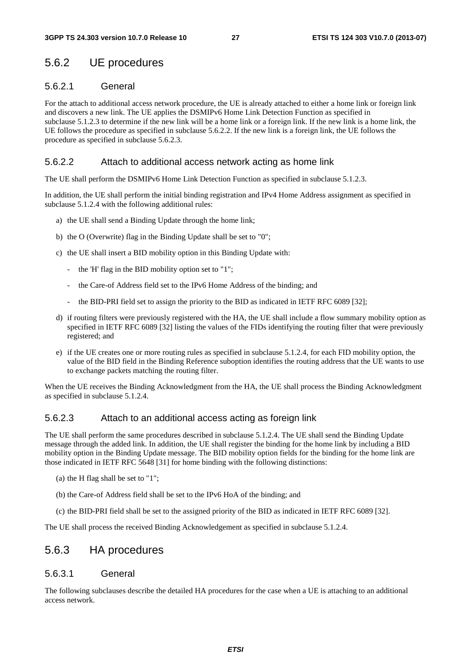### 5.6.2 UE procedures

#### 5.6.2.1 General

For the attach to additional access network procedure, the UE is already attached to either a home link or foreign link and discovers a new link. The UE applies the DSMIPv6 Home Link Detection Function as specified in subclause 5.1.2.3 to determine if the new link will be a home link or a foreign link. If the new link is a home link, the UE follows the procedure as specified in subclause 5.6.2.2. If the new link is a foreign link, the UE follows the procedure as specified in subclause 5.6.2.3.

#### 5.6.2.2 Attach to additional access network acting as home link

The UE shall perform the DSMIPv6 Home Link Detection Function as specified in subclause 5.1.2.3.

In addition, the UE shall perform the initial binding registration and IPv4 Home Address assignment as specified in subclause 5.1.2.4 with the following additional rules:

- a) the UE shall send a Binding Update through the home link;
- b) the O (Overwrite) flag in the Binding Update shall be set to "0";
- c) the UE shall insert a BID mobility option in this Binding Update with:
	- the 'H' flag in the BID mobility option set to "1";
	- the Care-of Address field set to the IPv6 Home Address of the binding; and
	- the BID-PRI field set to assign the priority to the BID as indicated in IETF RFC 6089 [32];
- d) if routing filters were previously registered with the HA, the UE shall include a flow summary mobility option as specified in IETF RFC 6089 [32] listing the values of the FIDs identifying the routing filter that were previously registered; and
- e) if the UE creates one or more routing rules as specified in subclause 5.1.2.4, for each FID mobility option, the value of the BID field in the Binding Reference suboption identifies the routing address that the UE wants to use to exchange packets matching the routing filter.

When the UE receives the Binding Acknowledgment from the HA, the UE shall process the Binding Acknowledgment as specified in subclause 5.1.2.4.

#### 5.6.2.3 Attach to an additional access acting as foreign link

The UE shall perform the same procedures described in subclause 5.1.2.4. The UE shall send the Binding Update message through the added link. In addition, the UE shall register the binding for the home link by including a BID mobility option in the Binding Update message. The BID mobility option fields for the binding for the home link are those indicated in IETF RFC 5648 [31] for home binding with the following distinctions:

- (a) the H flag shall be set to "1";
- (b) the Care-of Address field shall be set to the IPv6 HoA of the binding; and
- (c) the BID-PRI field shall be set to the assigned priority of the BID as indicated in IETF RFC 6089 [32].

The UE shall process the received Binding Acknowledgement as specified in subclause 5.1.2.4.

#### 5.6.3 HA procedures

#### 5.6.3.1 General

The following subclauses describe the detailed HA procedures for the case when a UE is attaching to an additional access network.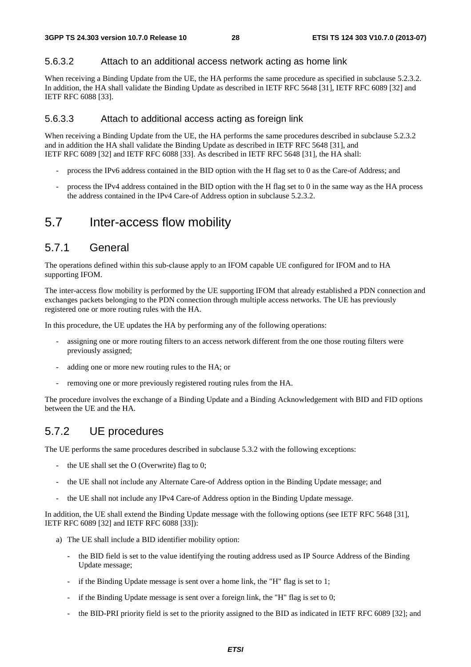#### 5.6.3.2 Attach to an additional access network acting as home link

When receiving a Binding Update from the UE, the HA performs the same procedure as specified in subclause 5.2.3.2. In addition, the HA shall validate the Binding Update as described in IETF RFC 5648 [31], IETF RFC 6089 [32] and IETF RFC 6088 [33].

#### 5.6.3.3 Attach to additional access acting as foreign link

When receiving a Binding Update from the UE, the HA performs the same procedures described in subclause 5.2.3.2 and in addition the HA shall validate the Binding Update as described in IETF RFC 5648 [31], and IETF RFC 6089 [32] and IETF RFC 6088 [33]. As described in IETF RFC 5648 [31], the HA shall:

- process the IPv6 address contained in the BID option with the H flag set to 0 as the Care-of Address; and
- process the IPv4 address contained in the BID option with the H flag set to 0 in the same way as the HA process the address contained in the IPv4 Care-of Address option in subclause 5.2.3.2.

### 5.7 Inter-access flow mobility

#### 5.7.1 General

The operations defined within this sub-clause apply to an IFOM capable UE configured for IFOM and to HA supporting IFOM.

The inter-access flow mobility is performed by the UE supporting IFOM that already established a PDN connection and exchanges packets belonging to the PDN connection through multiple access networks. The UE has previously registered one or more routing rules with the HA.

In this procedure, the UE updates the HA by performing any of the following operations:

- assigning one or more routing filters to an access network different from the one those routing filters were previously assigned;
- adding one or more new routing rules to the HA; or
- removing one or more previously registered routing rules from the HA.

The procedure involves the exchange of a Binding Update and a Binding Acknowledgement with BID and FID options between the UE and the HA.

### 5.7.2 UE procedures

The UE performs the same procedures described in subclause 5.3.2 with the following exceptions:

- the UE shall set the  $O$  (Overwrite) flag to 0;
- the UE shall not include any Alternate Care-of Address option in the Binding Update message; and
- the UE shall not include any IPv4 Care-of Address option in the Binding Update message.

In addition, the UE shall extend the Binding Update message with the following options (see IETF RFC 5648 [31], IETF RFC 6089 [32] and IETF RFC 6088 [33]):

- a) The UE shall include a BID identifier mobility option:
	- the BID field is set to the value identifying the routing address used as IP Source Address of the Binding Update message;
	- if the Binding Update message is sent over a home link, the "H" flag is set to 1;
	- if the Binding Update message is sent over a foreign link, the "H" flag is set to  $0$ ;
	- the BID-PRI priority field is set to the priority assigned to the BID as indicated in IETF RFC 6089 [32]; and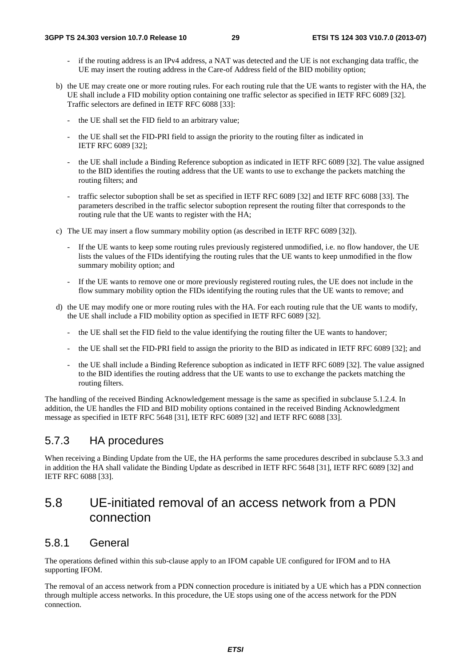- if the routing address is an IPv4 address, a NAT was detected and the UE is not exchanging data traffic, the UE may insert the routing address in the Care-of Address field of the BID mobility option;
- b) the UE may create one or more routing rules. For each routing rule that the UE wants to register with the HA, the UE shall include a FID mobility option containing one traffic selector as specified in IETF RFC 6089 [32]. Traffic selectors are defined in IETF RFC 6088 [33]:
	- the UE shall set the FID field to an arbitrary value:
	- the UE shall set the FID-PRI field to assign the priority to the routing filter as indicated in IETF RFC 6089 [32];
	- the UE shall include a Binding Reference suboption as indicated in IETF RFC 6089 [32]. The value assigned to the BID identifies the routing address that the UE wants to use to exchange the packets matching the routing filters; and
	- traffic selector suboption shall be set as specified in IETF RFC 6089 [32] and IETF RFC 6088 [33]. The parameters described in the traffic selector suboption represent the routing filter that corresponds to the routing rule that the UE wants to register with the HA;
- c) The UE may insert a flow summary mobility option (as described in IETF RFC 6089 [32]).
	- If the UE wants to keep some routing rules previously registered unmodified, i.e. no flow handover, the UE lists the values of the FIDs identifying the routing rules that the UE wants to keep unmodified in the flow summary mobility option; and
	- If the UE wants to remove one or more previously registered routing rules, the UE does not include in the flow summary mobility option the FIDs identifying the routing rules that the UE wants to remove; and
- d) the UE may modify one or more routing rules with the HA. For each routing rule that the UE wants to modify, the UE shall include a FID mobility option as specified in IETF RFC 6089 [32].
	- the UE shall set the FID field to the value identifying the routing filter the UE wants to handover;
	- the UE shall set the FID-PRI field to assign the priority to the BID as indicated in IETF RFC 6089 [32]; and
	- the UE shall include a Binding Reference suboption as indicated in IETF RFC 6089 [32]. The value assigned to the BID identifies the routing address that the UE wants to use to exchange the packets matching the routing filters.

The handling of the received Binding Acknowledgement message is the same as specified in subclause 5.1.2.4. In addition, the UE handles the FID and BID mobility options contained in the received Binding Acknowledgment message as specified in IETF RFC 5648 [31], IETF RFC 6089 [32] and IETF RFC 6088 [33].

### 5.7.3 HA procedures

When receiving a Binding Update from the UE, the HA performs the same procedures described in subclause 5.3.3 and in addition the HA shall validate the Binding Update as described in IETF RFC 5648 [31], IETF RFC 6089 [32] and IETF RFC 6088 [33].

### 5.8 UE-initiated removal of an access network from a PDN connection

### 5.8.1 General

The operations defined within this sub-clause apply to an IFOM capable UE configured for IFOM and to HA supporting IFOM.

The removal of an access network from a PDN connection procedure is initiated by a UE which has a PDN connection through multiple access networks. In this procedure, the UE stops using one of the access network for the PDN connection.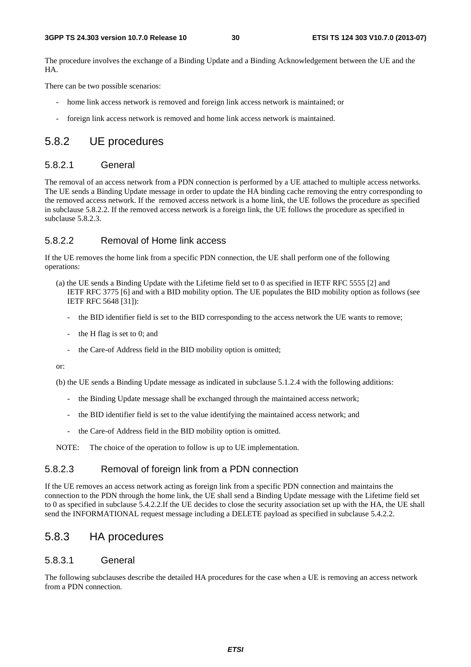The procedure involves the exchange of a Binding Update and a Binding Acknowledgement between the UE and the HA.

There can be two possible scenarios:

- home link access network is removed and foreign link access network is maintained; or
- foreign link access network is removed and home link access network is maintained.

#### 5.8.2 UE procedures

#### 5.8.2.1 General

The removal of an access network from a PDN connection is performed by a UE attached to multiple access networks. The UE sends a Binding Update message in order to update the HA binding cache removing the entry corresponding to the removed access network. If the removed access network is a home link, the UE follows the procedure as specified in subclause 5.8.2.2. If the removed access network is a foreign link, the UE follows the procedure as specified in subclause 5.8.2.3.

#### 5.8.2.2 Removal of Home link access

If the UE removes the home link from a specific PDN connection, the UE shall perform one of the following operations:

- (a) the UE sends a Binding Update with the Lifetime field set to 0 as specified in IETF RFC 5555 [2] and IETF RFC 3775 [6] and with a BID mobility option. The UE populates the BID mobility option as follows (see IETF RFC 5648 [31]):
	- the BID identifier field is set to the BID corresponding to the access network the UE wants to remove;
	- the H flag is set to  $0$ ; and
	- the Care-of Address field in the BID mobility option is omitted;

or:

(b) the UE sends a Binding Update message as indicated in subclause 5.1.2.4 with the following additions:

- the Binding Update message shall be exchanged through the maintained access network;
- the BID identifier field is set to the value identifying the maintained access network; and
- the Care-of Address field in the BID mobility option is omitted.

NOTE: The choice of the operation to follow is up to UE implementation.

#### 5.8.2.3 Removal of foreign link from a PDN connection

If the UE removes an access network acting as foreign link from a specific PDN connection and maintains the connection to the PDN through the home link, the UE shall send a Binding Update message with the Lifetime field set to 0 as specified in subclause 5.4.2.2.If the UE decides to close the security association set up with the HA, the UE shall send the INFORMATIONAL request message including a DELETE payload as specified in subclause 5.4.2.2.

#### 5.8.3 HA procedures

#### 5.8.3.1 General

The following subclauses describe the detailed HA procedures for the case when a UE is removing an access network from a PDN connection.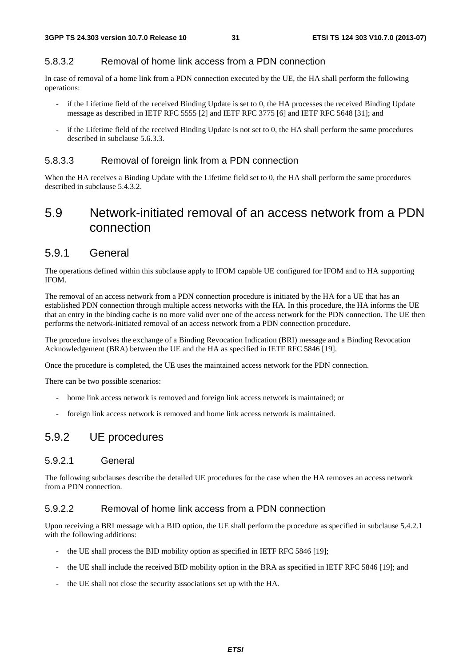#### 5.8.3.2 Removal of home link access from a PDN connection

In case of removal of a home link from a PDN connection executed by the UE, the HA shall perform the following operations:

- if the Lifetime field of the received Binding Update is set to 0, the HA processes the received Binding Update message as described in IETF RFC 5555 [2] and IETF RFC 3775 [6] and IETF RFC 5648 [31]; and
- if the Lifetime field of the received Binding Update is not set to 0, the HA shall perform the same procedures described in subclause 5.6.3.3.

#### 5.8.3.3 Removal of foreign link from a PDN connection

When the HA receives a Binding Update with the Lifetime field set to 0, the HA shall perform the same procedures described in subclause 5.4.3.2.

### 5.9 Network-initiated removal of an access network from a PDN connection

#### 5.9.1 General

The operations defined within this subclause apply to IFOM capable UE configured for IFOM and to HA supporting IFOM.

The removal of an access network from a PDN connection procedure is initiated by the HA for a UE that has an established PDN connection through multiple access networks with the HA. In this procedure, the HA informs the UE that an entry in the binding cache is no more valid over one of the access network for the PDN connection. The UE then performs the network-initiated removal of an access network from a PDN connection procedure.

The procedure involves the exchange of a Binding Revocation Indication (BRI) message and a Binding Revocation Acknowledgement (BRA) between the UE and the HA as specified in IETF RFC 5846 [19].

Once the procedure is completed, the UE uses the maintained access network for the PDN connection.

There can be two possible scenarios:

- home link access network is removed and foreign link access network is maintained; or
- foreign link access network is removed and home link access network is maintained.

### 5.9.2 UE procedures

#### 5.9.2.1 General

The following subclauses describe the detailed UE procedures for the case when the HA removes an access network from a PDN connection.

#### 5.9.2.2 Removal of home link access from a PDN connection

Upon receiving a BRI message with a BID option, the UE shall perform the procedure as specified in subclause 5.4.2.1 with the following additions:

- the UE shall process the BID mobility option as specified in IETF RFC 5846 [19];
- the UE shall include the received BID mobility option in the BRA as specified in IETF RFC 5846 [19]; and
- the UE shall not close the security associations set up with the HA.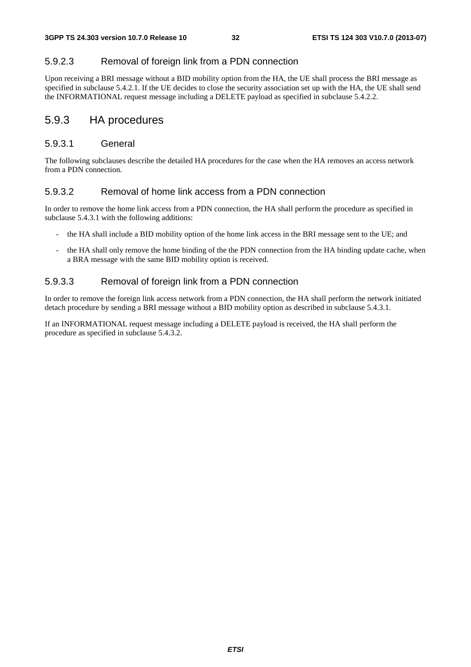#### 5.9.2.3 Removal of foreign link from a PDN connection

Upon receiving a BRI message without a BID mobility option from the HA, the UE shall process the BRI message as specified in subclause 5.4.2.1. If the UE decides to close the security association set up with the HA, the UE shall send the INFORMATIONAL request message including a DELETE payload as specified in subclause 5.4.2.2.

#### 5.9.3 HA procedures

#### 5.9.3.1 General

The following subclauses describe the detailed HA procedures for the case when the HA removes an access network from a PDN connection.

#### 5.9.3.2 Removal of home link access from a PDN connection

In order to remove the home link access from a PDN connection, the HA shall perform the procedure as specified in subclause 5.4.3.1 with the following additions:

- the HA shall include a BID mobility option of the home link access in the BRI message sent to the UE; and
- the HA shall only remove the home binding of the the PDN connection from the HA binding update cache, when a BRA message with the same BID mobility option is received.

#### 5.9.3.3 Removal of foreign link from a PDN connection

In order to remove the foreign link access network from a PDN connection, the HA shall perform the network initiated detach procedure by sending a BRI message without a BID mobility option as described in subclause 5.4.3.1.

If an INFORMATIONAL request message including a DELETE payload is received, the HA shall perform the procedure as specified in subclause 5.4.3.2.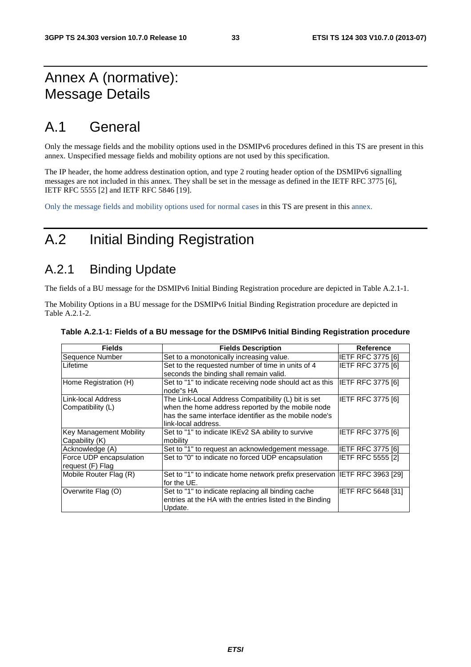## Annex A (normative): Message Details

## A.1 General

Only the message fields and the mobility options used in the DSMIPv6 procedures defined in this TS are present in this annex. Unspecified message fields and mobility options are not used by this specification.

The IP header, the home address destination option, and type 2 routing header option of the DSMIPv6 signalling messages are not included in this annex. They shall be set in the message as defined in the IETF RFC 3775 [6], IETF RFC 5555 [2] and IETF RFC 5846 [19].

Only the message fields and mobility options used for normal cases in this TS are present in this annex.

## A.2 Initial Binding Registration

### A.2.1 Binding Update

The fields of a BU message for the DSMIPv6 Initial Binding Registration procedure are depicted in Table A.2.1-1.

The Mobility Options in a BU message for the DSMIPv6 Initial Binding Registration procedure are depicted in Table A.2.1-2.

| <b>Fields</b>                                    | <b>Fields Description</b>                                                                                                                                                                 | <b>Reference</b>         |
|--------------------------------------------------|-------------------------------------------------------------------------------------------------------------------------------------------------------------------------------------------|--------------------------|
| Sequence Number                                  | Set to a monotonically increasing value.                                                                                                                                                  | <b>IETF RFC 3775 [6]</b> |
| Lifetime                                         | Set to the requested number of time in units of 4<br>seconds the binding shall remain valid.                                                                                              | IETF RFC 3775 [6]        |
| Home Registration (H)                            | Set to "1" to indicate receiving node should act as this<br>node"s HA                                                                                                                     | <b>IETF RFC 3775 [6]</b> |
| Link-local Address<br>Compatibility (L)          | The Link-Local Address Compatibility (L) bit is set<br>when the home address reported by the mobile node<br>has the same interface identifier as the mobile node's<br>link-local address. | <b>IETF RFC 3775 [6]</b> |
| <b>Key Management Mobility</b><br>Capability (K) | Set to "1" to indicate IKEv2 SA ability to survive<br>mobility                                                                                                                            | <b>IETF RFC 3775 [6]</b> |
| Acknowledge (A)                                  | Set to "1" to request an acknowledgement message.                                                                                                                                         | IETF RFC 3775 [6]        |
| Force UDP encapsulation<br>request (F) Flag      | Set to "0" to indicate no forced UDP encapsulation                                                                                                                                        | <b>IETF RFC 5555 [2]</b> |
| Mobile Router Flag (R)                           | Set to "1" to indicate home network prefix preservation IETF RFC 3963 [29]<br>for the UE.                                                                                                 |                          |
| Overwrite Flag (O)                               | Set to "1" to indicate replacing all binding cache<br>entries at the HA with the entries listed in the Binding<br>Update.                                                                 | IETF RFC 5648 [31]       |

**Table A.2.1-1: Fields of a BU message for the DSMIPv6 Initial Binding Registration procedure**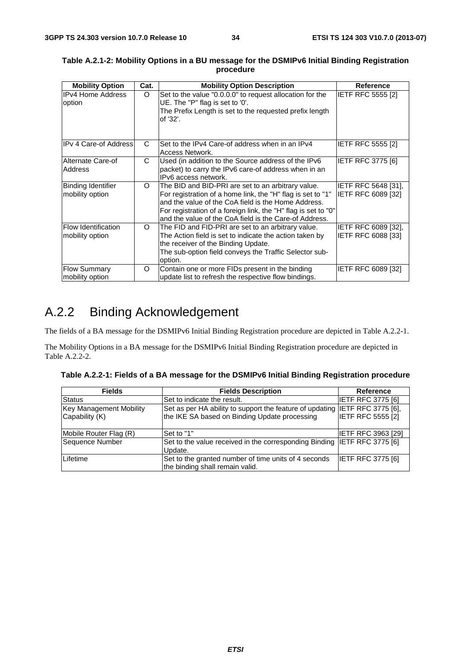| <b>Mobility Option</b>                        | Cat. | <b>Mobility Option Description</b>                                                                                                                                                                                                                                                                   | Reference                                        |
|-----------------------------------------------|------|------------------------------------------------------------------------------------------------------------------------------------------------------------------------------------------------------------------------------------------------------------------------------------------------------|--------------------------------------------------|
| <b>IPv4 Home Address</b><br>option            | O    | Set to the value "0.0.0.0" to request allocation for the<br>UE. The "P" flag is set to '0'.<br>The Prefix Length is set to the requested prefix length<br>of '32'.                                                                                                                                   | <b>IETF RFC 5555 [2]</b>                         |
| <b>IPv 4 Care-of Address</b>                  | C.   | Set to the IPv4 Care-of address when in an IPv4<br>Access Network.                                                                                                                                                                                                                                   | <b>IETF RFC 5555 [2]</b>                         |
| Alternate Care-of<br><b>Address</b>           | C    | Used (in addition to the Source address of the IPv6<br>packet) to carry the IPv6 care-of address when in an<br>IPv6 access network.                                                                                                                                                                  | IETF RFC 3775 [6]                                |
| <b>Binding Identifier</b><br>mobility option  | O    | The BID and BID-PRI are set to an arbitrary value.<br>For registration of a home link, the "H" flag is set to "1"<br>and the value of the CoA field is the Home Address.<br>For registration of a foreign link, the "H" flag is set to "0"<br>and the value of the CoA field is the Care-of Address. | <b>IETF RFC 5648 [31].</b><br>IETF RFC 6089 [32] |
| <b>Flow Identification</b><br>mobility option | O    | The FID and FID-PRI are set to an arbitrary value.<br>The Action field is set to indicate the action taken by<br>the receiver of the Binding Update.<br>The sub-option field conveys the Traffic Selector sub-<br>option.                                                                            | <b>IETF RFC 6089 [32].</b><br>IETF RFC 6088 [33] |
| <b>Flow Summary</b><br>mobility option        | O    | Contain one or more FIDs present in the binding<br>update list to refresh the respective flow bindings.                                                                                                                                                                                              | <b>IETF RFC 6089 [32]</b>                        |

#### **Table A.2.1-2: Mobility Options in a BU message for the DSMIPv6 Initial Binding Registration procedure**

## A.2.2 Binding Acknowledgement

The fields of a BA message for the DSMIPv6 Initial Binding Registration procedure are depicted in Table A.2.2-1.

The Mobility Options in a BA message for the DSMIPv6 Initial Binding Registration procedure are depicted in Table A.2.2-2.

|  | Table A.2.2-1: Fields of a BA message for the DSMIPv6 Initial Binding Registration procedure |  |
|--|----------------------------------------------------------------------------------------------|--|
|  |                                                                                              |  |

| <b>Fields</b>                             | <b>Fields Description</b>                                                                                                    | <b>Reference</b>          |
|-------------------------------------------|------------------------------------------------------------------------------------------------------------------------------|---------------------------|
| <b>Status</b>                             | Set to indicate the result.                                                                                                  | IETF RFC 3775 [6]         |
| Key Management Mobility<br>Capability (K) | Set as per HA ability to support the feature of updating IETF RFC 3775 [6],<br>the IKE SA based on Binding Update processing | <b>IETF RFC 5555 [2]</b>  |
| Mobile Router Flag (R)                    | Set to "1"                                                                                                                   | <b>IETF RFC 3963 [29]</b> |
| Sequence Number                           | Set to the value received in the corresponding Binding IETF RFC 3775 [6]<br>Update.                                          |                           |
| Lifetime                                  | Set to the granted number of time units of 4 seconds<br>the binding shall remain valid.                                      | <b>IETF RFC 3775 [6]</b>  |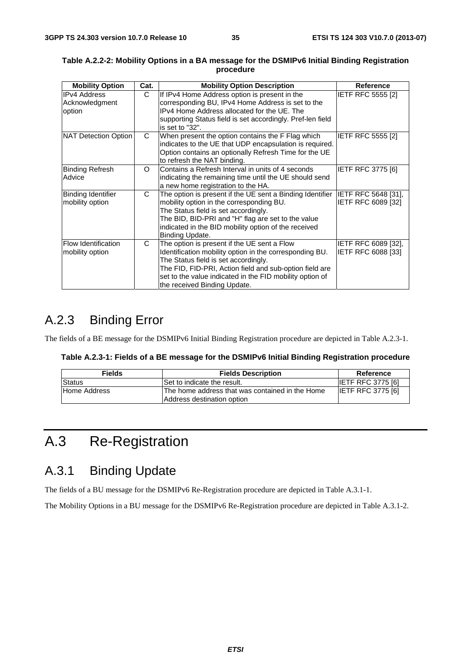| <b>Mobility Option</b>                          | Cat. | <b>Mobility Option Description</b>                                                                                                                                                                                                                                                                    | Reference                                 |
|-------------------------------------------------|------|-------------------------------------------------------------------------------------------------------------------------------------------------------------------------------------------------------------------------------------------------------------------------------------------------------|-------------------------------------------|
| <b>IPv4 Address</b><br>Acknowledgment<br>option | C    | If IPv4 Home Address option is present in the<br>corresponding BU, IPv4 Home Address is set to the<br>IPv4 Home Address allocated for the UE. The<br>supporting Status field is set accordingly. Pref-len field<br>is set to "32".                                                                    | <b>IETF RFC 5555 [2]</b>                  |
| NAT Detection Option                            | C    | When present the option contains the F Flag which<br>indicates to the UE that UDP encapsulation is required.<br>Option contains an optionally Refresh Time for the UE<br>to refresh the NAT binding.                                                                                                  | <b>IETF RFC 5555 [2]</b>                  |
| Binding Refresh<br>Advice                       | Ω    | Contains a Refresh Interval in units of 4 seconds<br>indicating the remaining time until the UE should send<br>a new home registration to the HA.                                                                                                                                                     | <b>IETF RFC 3775 [6]</b>                  |
| Binding Identifier<br>mobility option           | C    | The option is present if the UE sent a Binding Identifier $ IETF$ RFC 5648 [31],<br>mobility option in the corresponding BU.<br>The Status field is set accordingly.<br>The BID, BID-PRI and "H" flag are set to the value<br>indicated in the BID mobility option of the received<br>Binding Update. | IETF RFC 6089 [32]                        |
| <b>Flow Identification</b><br>mobility option   | C    | The option is present if the UE sent a Flow<br>Identification mobility option in the corresponding BU.<br>The Status field is set accordingly.<br>The FID, FID-PRI, Action field and sub-option field are<br>set to the value indicated in the FID mobility option of<br>the received Binding Update. | IETF RFC 6089 [32],<br>IETF RFC 6088 [33] |

#### **Table A.2.2-2: Mobility Options in a BA message for the DSMIPv6 Initial Binding Registration procedure**

## A.2.3 Binding Error

The fields of a BE message for the DSMIPv6 Initial Binding Registration procedure are depicted in Table A.2.3-1.

| Table A.2.3-1: Fields of a BE message for the DSMIPv6 Initial Binding Registration procedure |  |  |
|----------------------------------------------------------------------------------------------|--|--|
|----------------------------------------------------------------------------------------------|--|--|

| <b>Fields</b> | <b>Fields Description</b>                                                      | Reference                |
|---------------|--------------------------------------------------------------------------------|--------------------------|
| <b>Status</b> | Set to indicate the result.                                                    | <b>IETF RFC 3775 [6]</b> |
| Home Address  | IThe home address that was contained in the Home<br>Address destination option | <b>IETF RFC 3775 [6]</b> |

## A.3 Re-Registration

### A.3.1 Binding Update

The fields of a BU message for the DSMIPv6 Re-Registration procedure are depicted in Table A.3.1-1.

The Mobility Options in a BU message for the DSMIPv6 Re-Registration procedure are depicted in Table A.3.1-2.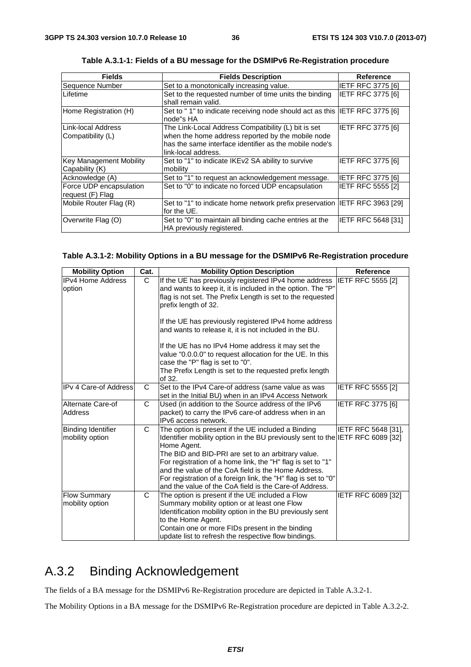| <b>Fields</b>                               | <b>Fields Description</b>                                                                                                                                                                 | <b>Reference</b>   |
|---------------------------------------------|-------------------------------------------------------------------------------------------------------------------------------------------------------------------------------------------|--------------------|
| Sequence Number                             | Set to a monotonically increasing value.                                                                                                                                                  | IETF RFC 3775 [6]  |
| Lifetime                                    | Set to the requested number of time units the binding                                                                                                                                     | IETF RFC 3775 [6]  |
|                                             | shall remain valid.                                                                                                                                                                       |                    |
| Home Registration (H)                       | Set to "1" to indicate receiving node should act as this IETF RFC 3775 [6]<br>node"s HA                                                                                                   |                    |
| Link-local Address<br>Compatibility (L)     | The Link-Local Address Compatibility (L) bit is set<br>when the home address reported by the mobile node<br>has the same interface identifier as the mobile node's<br>link-local address. | IETF RFC 3775 [6]  |
| Key Management Mobility<br>Capability (K)   | Set to "1" to indicate IKEv2 SA ability to survive<br>mobility                                                                                                                            | IETF RFC 3775 [6]  |
| Acknowledge (A)                             | Set to "1" to request an acknowledgement message.                                                                                                                                         | IETF RFC 3775 [6]  |
| Force UDP encapsulation<br>request (F) Flag | Set to "0" to indicate no forced UDP encapsulation                                                                                                                                        | IETF RFC 5555 [2]  |
| Mobile Router Flag (R)                      | Set to "1" to indicate home network prefix preservation  IETF RFC 3963 [29]<br>for the UE.                                                                                                |                    |
| Overwrite Flag (O)                          | Set to "0" to maintain all binding cache entries at the<br>HA previously registered.                                                                                                      | IETF RFC 5648 [31] |

**Table A.3.1-1: Fields of a BU message for the DSMIPv6 Re-Registration procedure** 

#### **Table A.3.1-2: Mobility Options in a BU message for the DSMIPv6 Re-Registration procedure**

| <b>Mobility Option</b>                       | Cat.         | <b>Mobility Option Description</b>                                                                                                                                                                                                                                                                                                                                                                                                                          | <b>Reference</b>         |
|----------------------------------------------|--------------|-------------------------------------------------------------------------------------------------------------------------------------------------------------------------------------------------------------------------------------------------------------------------------------------------------------------------------------------------------------------------------------------------------------------------------------------------------------|--------------------------|
| <b>IPv4 Home Address</b><br>option           | C.           | If the UE has previously registered IPv4 home address<br>and wants to keep it, it is included in the option. The "P"<br>flag is not set. The Prefix Length is set to the requested<br>prefix length of 32.                                                                                                                                                                                                                                                  | <b>IETF RFC 5555 [2]</b> |
|                                              |              | If the UE has previously registered IPv4 home address<br>and wants to release it, it is not included in the BU.                                                                                                                                                                                                                                                                                                                                             |                          |
|                                              |              | If the UE has no IPv4 Home address it may set the<br>value "0.0.0.0" to request allocation for the UE. In this<br>case the "P" flag is set to "0".                                                                                                                                                                                                                                                                                                          |                          |
|                                              |              | The Prefix Length is set to the requested prefix length<br>of 32.                                                                                                                                                                                                                                                                                                                                                                                           |                          |
| <b>IPv 4 Care-of Address</b>                 | C            | Set to the IPv4 Care-of address (same value as was<br>set in the Initial BU) when in an IPv4 Access Network                                                                                                                                                                                                                                                                                                                                                 | <b>IETF RFC 5555 [2]</b> |
| Alternate Care-of<br>Address                 | $\mathsf{C}$ | Used (in addition to the Source address of the IPv6<br>packet) to carry the IPv6 care-of address when in an<br>IPv6 access network.                                                                                                                                                                                                                                                                                                                         | IETF RFC 3775 [6]        |
| <b>Binding Identifier</b><br>mobility option | C            | The option is present if the UE included a Binding<br>Identifier mobility option in the BU previously sent to the IETF RFC 6089 [32]<br>Home Agent.<br>The BID and BID-PRI are set to an arbitrary value.<br>For registration of a home link, the "H" flag is set to "1"<br>and the value of the CoA field is the Home Address.<br>For registration of a foreign link, the "H" flag is set to "0"<br>and the value of the CoA field is the Care-of Address. | IETF RFC 5648 [31],      |
| <b>Flow Summary</b><br>mobility option       | C            | The option is present if the UE included a Flow<br>Summary mobility option or at least one Flow<br>Identification mobility option in the BU previously sent<br>to the Home Agent.<br>Contain one or more FIDs present in the binding<br>update list to refresh the respective flow bindings.                                                                                                                                                                | IETF RFC 6089 [32]       |

## A.3.2 Binding Acknowledgement

The fields of a BA message for the DSMIPv6 Re-Registration procedure are depicted in Table A.3.2-1.

The Mobility Options in a BA message for the DSMIPv6 Re-Registration procedure are depicted in Table A.3.2-2.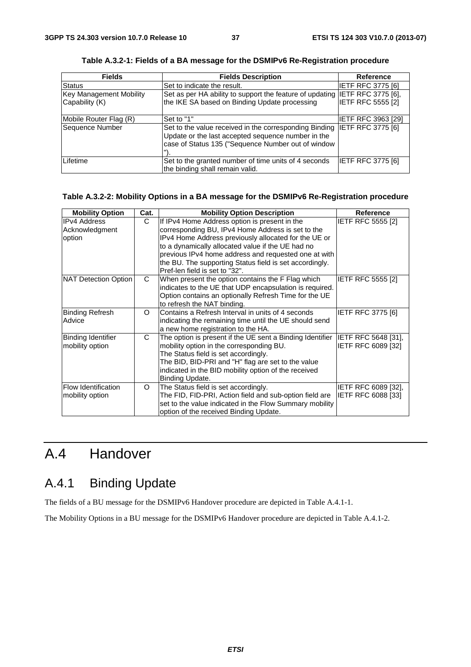| <b>Fields</b>           | <b>Fields Description</b>                                                                                                                                                            | <b>Reference</b>          |
|-------------------------|--------------------------------------------------------------------------------------------------------------------------------------------------------------------------------------|---------------------------|
| Status                  | Set to indicate the result.                                                                                                                                                          | IETF RFC 3775 [6]         |
| Key Management Mobility | Set as per HA ability to support the feature of updating IETF RFC 3775 [6],                                                                                                          |                           |
| Capability (K)          | the IKE SA based on Binding Update processing                                                                                                                                        | <b>IETF RFC 5555 [2]</b>  |
| Mobile Router Flag (R)  | Set to "1"                                                                                                                                                                           | <b>IETF RFC 3963 [29]</b> |
| Sequence Number         | Set to the value received in the corresponding Binding IETF RFC 3775 [6]<br>Update or the last accepted sequence number in the<br>case of Status 135 ("Sequence Number out of window |                           |
| Lifetime                | Set to the granted number of time units of 4 seconds<br>the binding shall remain valid.                                                                                              | <b>IETF RFC 3775 [6]</b>  |

**Table A.3.2-1: Fields of a BA message for the DSMIPv6 Re-Registration procedure** 

#### **Table A.3.2-2: Mobility Options in a BA message for the DSMIPv6 Re-Registration procedure**

| <b>Mobility Option</b>                    | Cat.     | <b>Mobility Option Description</b>                                                                                                                                                                                                                                                                                                                                   | <b>Reference</b>                                 |
|-------------------------------------------|----------|----------------------------------------------------------------------------------------------------------------------------------------------------------------------------------------------------------------------------------------------------------------------------------------------------------------------------------------------------------------------|--------------------------------------------------|
| IIPv4 Address<br>Acknowledgment<br>option | C        | If IPv4 Home Address option is present in the<br>corresponding BU, IPv4 Home Address is set to the<br>IPv4 Home Address previously allocated for the UE or<br>to a dynamically allocated value if the UE had no<br>previous IPv4 home address and requested one at with<br>the BU. The supporting Status field is set accordingly.<br>Pref-len field is set to "32". | <b>IETF RFC 5555 [2]</b>                         |
| NAT Detection Option                      | C        | When present the option contains the F Flag which<br>indicates to the UE that UDP encapsulation is required.<br>Option contains an optionally Refresh Time for the UE<br>to refresh the NAT binding.                                                                                                                                                                 | IETF RFC 5555 [2]                                |
| Binding Refresh<br>Advice                 | $\Omega$ | Contains a Refresh Interval in units of 4 seconds<br>indicating the remaining time until the UE should send<br>a new home registration to the HA.                                                                                                                                                                                                                    | <b>IETF RFC 3775 [6]</b>                         |
| Binding Identifier<br>mobility option     | C        | The option is present if the UE sent a Binding Identifier<br>mobility option in the corresponding BU.<br>The Status field is set accordingly.<br>The BID, BID-PRI and "H" flag are set to the value<br>indicated in the BID mobility option of the received<br>Binding Update.                                                                                       | IETF RFC 5648 [31],<br>IETF RFC 6089 [32]        |
| Flow Identification<br>mobility option    | O        | The Status field is set accordingly.<br>The FID, FID-PRI, Action field and sub-option field are<br>set to the value indicated in the Flow Summary mobility<br>option of the received Binding Update.                                                                                                                                                                 | IETF RFC 6089 [32],<br><b>IETF RFC 6088 [33]</b> |

## A.4 Handover

## A.4.1 Binding Update

The fields of a BU message for the DSMIPv6 Handover procedure are depicted in Table A.4.1-1.

The Mobility Options in a BU message for the DSMIPv6 Handover procedure are depicted in Table A.4.1-2.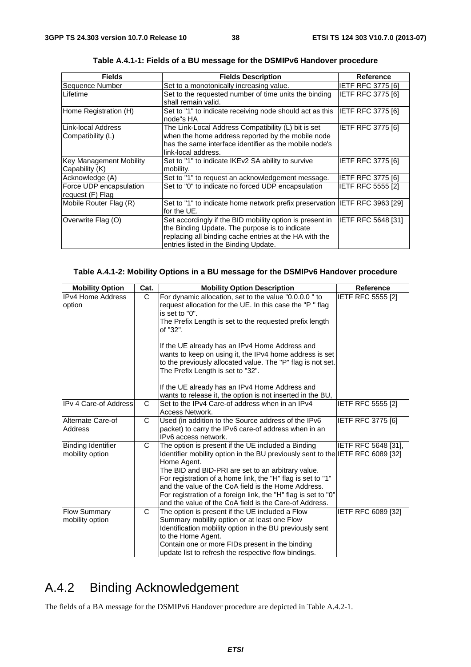| <b>Fields</b>                                    | <b>Fields Description</b>                                                                                                                                                                                     | <b>Reference</b>          |
|--------------------------------------------------|---------------------------------------------------------------------------------------------------------------------------------------------------------------------------------------------------------------|---------------------------|
| Sequence Number                                  | Set to a monotonically increasing value.                                                                                                                                                                      | <b>IETF RFC 3775 [6]</b>  |
| ILifetime                                        | Set to the requested number of time units the binding<br>shall remain valid.                                                                                                                                  | IETF RFC 3775 [6]         |
| Home Registration (H)                            | Set to "1" to indicate receiving node should act as this<br>node"s HA                                                                                                                                         | <b>IETF RFC 3775 [6]</b>  |
| ILink-local Address<br>Compatibility (L)         | The Link-Local Address Compatibility (L) bit is set<br>when the home address reported by the mobile node<br>has the same interface identifier as the mobile node's<br>link-local address.                     | <b>IETF RFC 3775 [6]</b>  |
| <b>Key Management Mobility</b><br>Capability (K) | Set to "1" to indicate IKEv2 SA ability to survive<br>mobility.                                                                                                                                               | <b>IETF RFC 3775 [6]</b>  |
| Acknowledge (A)                                  | Set to "1" to request an acknowledgement message.                                                                                                                                                             | IETF RFC 3775 [6]         |
| Force UDP encapsulation<br>request (F) Flag      | Set to "0" to indicate no forced UDP encapsulation                                                                                                                                                            | <b>IETF RFC 5555 [2]</b>  |
| Mobile Router Flag (R)                           | Set to "1" to indicate home network prefix preservation IETF RFC 3963 [29]<br>for the UE.                                                                                                                     |                           |
| Overwrite Flag (O)                               | Set accordingly if the BID mobility option is present in<br>the Binding Update. The purpose is to indicate<br>replacing all binding cache entries at the HA with the<br>entries listed in the Binding Update. | <b>IETF RFC 5648 [31]</b> |

**Table A.4.1-1: Fields of a BU message for the DSMIPv6 Handover procedure** 

#### **Table A.4.1-2: Mobility Options in a BU message for the DSMIPv6 Handover procedure**

| <b>Mobility Option</b>                       | Cat. | <b>Mobility Option Description</b>                                                                                                                                                                                                                                                                                                                                                                                                                          | <b>Reference</b>         |
|----------------------------------------------|------|-------------------------------------------------------------------------------------------------------------------------------------------------------------------------------------------------------------------------------------------------------------------------------------------------------------------------------------------------------------------------------------------------------------------------------------------------------------|--------------------------|
| <b>IPv4 Home Address</b><br>option           | C    | For dynamic allocation, set to the value "0.0.0.0" to<br>request allocation for the UE. In this case the "P" flag<br>is set to "0".<br>The Prefix Length is set to the requested prefix length<br>of "32".<br>If the UE already has an IPv4 Home Address and<br>wants to keep on using it, the IPv4 home address is set<br>to the previously allocated value. The "P" flag is not set.<br>The Prefix Length is set to "32".                                 | IETF RFC 5555 [2]        |
|                                              |      | If the UE already has an IPv4 Home Address and<br>wants to release it, the option is not inserted in the BU,                                                                                                                                                                                                                                                                                                                                                |                          |
| <b>IPv 4 Care-of Address</b>                 | C    | Set to the IPv4 Care-of address when in an IPv4<br>Access Network.                                                                                                                                                                                                                                                                                                                                                                                          | <b>IETF RFC 5555 [2]</b> |
| Alternate Care-of<br><b>Address</b>          | C    | Used (in addition to the Source address of the IPv6<br>packet) to carry the IPv6 care-of address when in an<br>IPv6 access network.                                                                                                                                                                                                                                                                                                                         | <b>IETF RFC 3775 [6]</b> |
| <b>Binding Identifier</b><br>mobility option | C    | The option is present if the UE included a Binding<br>Identifier mobility option in the BU previously sent to the IETF RFC 6089 [32]<br>Home Agent.<br>The BID and BID-PRI are set to an arbitrary value.<br>For registration of a home link, the "H" flag is set to "1"<br>and the value of the CoA field is the Home Address.<br>For registration of a foreign link, the "H" flag is set to "0"<br>and the value of the CoA field is the Care-of Address. | IETF RFC 5648 [31],      |
| <b>Flow Summary</b><br>mobility option       | C    | The option is present if the UE included a Flow<br>Summary mobility option or at least one Flow<br>Identification mobility option in the BU previously sent<br>to the Home Agent.<br>Contain one or more FIDs present in the binding<br>update list to refresh the respective flow bindings.                                                                                                                                                                | IETF RFC 6089 [32]       |

## A.4.2 Binding Acknowledgement

The fields of a BA message for the DSMIPv6 Handover procedure are depicted in Table A.4.2-1.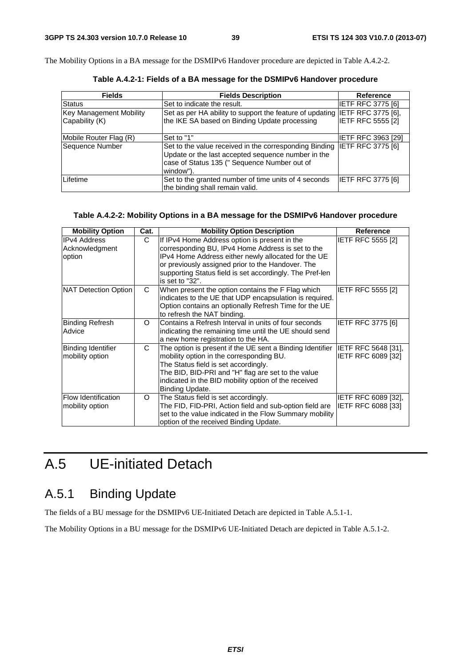The Mobility Options in a BA message for the DSMIPv6 Handover procedure are depicted in Table A.4.2-2.

| <b>Fields</b>                  | <b>Fields Description</b>                                                                                                                                                                   | <b>Reference</b>         |
|--------------------------------|---------------------------------------------------------------------------------------------------------------------------------------------------------------------------------------------|--------------------------|
| Status                         | Set to indicate the result.                                                                                                                                                                 | <b>IETF RFC 3775 [6]</b> |
| <b>Key Management Mobility</b> | Set as per HA ability to support the feature of updating IETF RFC 3775 [6],                                                                                                                 |                          |
| Capability (K)                 | the IKE SA based on Binding Update processing                                                                                                                                               | <b>IETF RFC 5555 [2]</b> |
| Mobile Router Flag (R)         | Set to "1"                                                                                                                                                                                  | IETF RFC 3963 [29]       |
| Sequence Number                | Set to the value received in the corresponding Binding IETF RFC 3775 [6]<br>Update or the last accepted sequence number in the<br>case of Status 135 (" Sequence Number out of<br>window"). |                          |
| Lifetime                       | Set to the granted number of time units of 4 seconds<br>the binding shall remain valid.                                                                                                     | <b>IETF RFC 3775 [6]</b> |

**Table A.4.2-1: Fields of a BA message for the DSMIPv6 Handover procedure** 

#### **Table A.4.2-2: Mobility Options in a BA message for the DSMIPv6 Handover procedure**

| <b>Mobility Option</b>                        | Cat.     | <b>Mobility Option Description</b>                                                                                                                                                                                                                                             | <b>Reference</b>                                 |
|-----------------------------------------------|----------|--------------------------------------------------------------------------------------------------------------------------------------------------------------------------------------------------------------------------------------------------------------------------------|--------------------------------------------------|
| IIPv4 Address<br>Acknowledgment<br>option     | C        | If IPv4 Home Address option is present in the<br>corresponding BU, IPv4 Home Address is set to the<br>IPv4 Home Address either newly allocated for the UE                                                                                                                      | <b>IETF RFC 5555 [2]</b>                         |
|                                               |          | or previously assigned prior to the Handover. The<br>supporting Status field is set accordingly. The Pref-len<br>is set to "32".                                                                                                                                               |                                                  |
| NAT Detection Option                          | C        | When present the option contains the F Flag which<br>indicates to the UE that UDP encapsulation is required.<br>Option contains an optionally Refresh Time for the UE<br>to refresh the NAT binding.                                                                           | <b>IETF RFC 5555 [2]</b>                         |
| Binding Refresh<br>Advice                     | $\Omega$ | Contains a Refresh Interval in units of four seconds<br>indicating the remaining time until the UE should send<br>a new home registration to the HA.                                                                                                                           | <b>IETF RFC 3775 [6]</b>                         |
| Binding Identifier<br>mobility option         | C        | The option is present if the UE sent a Binding Identifier<br>mobility option in the corresponding BU.<br>The Status field is set accordingly.<br>The BID, BID-PRI and "H" flag are set to the value<br>indicated in the BID mobility option of the received<br>Binding Update. | IETF RFC 5648 [31],<br>IETF RFC 6089 [32]        |
| <b>Flow Identification</b><br>mobility option | O        | The Status field is set accordingly.<br>The FID, FID-PRI, Action field and sub-option field are<br>set to the value indicated in the Flow Summary mobility<br>option of the received Binding Update.                                                                           | <b>IETF RFC 6089 [32].</b><br>IETF RFC 6088 [33] |

## A.5 UE-initiated Detach

## A.5.1 Binding Update

The fields of a BU message for the DSMIPv6 UE-Initiated Detach are depicted in Table A.5.1-1.

The Mobility Options in a BU message for the DSMIPv6 UE-Initiated Detach are depicted in Table A.5.1-2.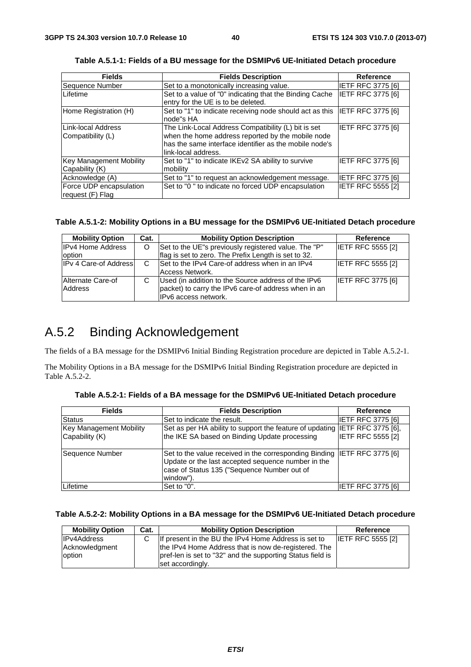| <b>Fields</b>                               | <b>Fields Description</b>                                                                                                                                                                 | Reference                |
|---------------------------------------------|-------------------------------------------------------------------------------------------------------------------------------------------------------------------------------------------|--------------------------|
| Sequence Number                             | Set to a monotonically increasing value.                                                                                                                                                  | IETF RFC 3775 [6]        |
| Lifetime                                    | Set to a value of "0" indicating that the Binding Cache<br>entry for the UE is to be deleted.                                                                                             | <b>IETF RFC 3775 [6]</b> |
| Home Registration (H)                       | Set to "1" to indicate receiving node should act as this IETF RFC 3775 [6]<br>node"s HA                                                                                                   |                          |
| Link-local Address<br>Compatibility (L)     | The Link-Local Address Compatibility (L) bit is set<br>when the home address reported by the mobile node<br>has the same interface identifier as the mobile node's<br>link-local address. | <b>IETF RFC 3775 [6]</b> |
| Key Management Mobility<br>Capability (K)   | Set to "1" to indicate IKEv2 SA ability to survive<br>mobility                                                                                                                            | <b>IETF RFC 3775 [6]</b> |
| Acknowledge (A)                             | Set to "1" to request an acknowledgement message.                                                                                                                                         | <b>IETF RFC 3775 [6]</b> |
| Force UDP encapsulation<br>request (F) Flag | Set to "0" to indicate no forced UDP encapsulation                                                                                                                                        | <b>IETF RFC 5555 [2]</b> |

**Table A.5.1-1: Fields of a BU message for the DSMIPv6 UE-Initiated Detach procedure** 

#### **Table A.5.1-2: Mobility Options in a BU message for the DSMIPv6 UE-Initiated Detach procedure**

| <b>Mobility Option</b>       | Cat. | <b>Mobility Option Description</b>                                                                                                  | Reference                |
|------------------------------|------|-------------------------------------------------------------------------------------------------------------------------------------|--------------------------|
| <b>IPv4 Home Address</b>     | O    | Set to the UE"s previously registered value. The "P"                                                                                | <b>IETF RFC 5555 [2]</b> |
| option                       |      | flag is set to zero. The Prefix Length is set to 32.                                                                                |                          |
| <b>IPv 4 Care-of Address</b> | C    | Set to the IPv4 Care-of address when in an IPv4<br>Access Network.                                                                  | <b>IETF RFC 5555 [2]</b> |
| Alternate Care-of<br>Address | C    | Used (in addition to the Source address of the IPv6<br>packet) to carry the IPv6 care-of address when in an<br>IPv6 access network. | <b>IETF RFC 3775 [6]</b> |

### A.5.2 Binding Acknowledgement

The fields of a BA message for the DSMIPv6 Initial Binding Registration procedure are depicted in Table A.5.2-1.

The Mobility Options in a BA message for the DSMIPv6 Initial Binding Registration procedure are depicted in Table A.5.2-2.

| <b>Fields</b>                  | <b>Fields Description</b>                                                                                                                                                                  | Reference                |
|--------------------------------|--------------------------------------------------------------------------------------------------------------------------------------------------------------------------------------------|--------------------------|
| Status                         | Set to indicate the result.                                                                                                                                                                | IETF RFC 3775 [6]        |
| <b>Key Management Mobility</b> | Set as per HA ability to support the feature of updating IETF RFC 3775 [6],                                                                                                                |                          |
| Capability (K)                 | the IKE SA based on Binding Update processing                                                                                                                                              | <b>IETF RFC 5555 [2]</b> |
| Sequence Number                | Set to the value received in the corresponding Binding IETF RFC 3775 [6]<br>Update or the last accepted sequence number in the<br>case of Status 135 ("Sequence Number out of<br>window"). |                          |
| Lifetime                       | Set to "0".                                                                                                                                                                                | <b>IETF RFC 3775 [6]</b> |

**Table A.5.2-1: Fields of a BA message for the DSMIPv6 UE-Initiated Detach procedure** 

#### **Table A.5.2-2: Mobility Options in a BA message for the DSMIPv6 UE-Initiated Detach procedure**

| <b>Mobility Option</b> | Cat. | <b>Mobility Option Description</b>                         | Reference                |
|------------------------|------|------------------------------------------------------------|--------------------------|
| <b>IPv4Address</b>     | C.   | If present in the BU the IPv4 Home Address is set to       | <b>IETF RFC 5555 [2]</b> |
| Acknowledgment         |      | the IPv4 Home Address that is now de-registered. The       |                          |
| option                 |      | pref-len is set to "32" and the supporting Status field is |                          |
|                        |      | set accordingly.                                           |                          |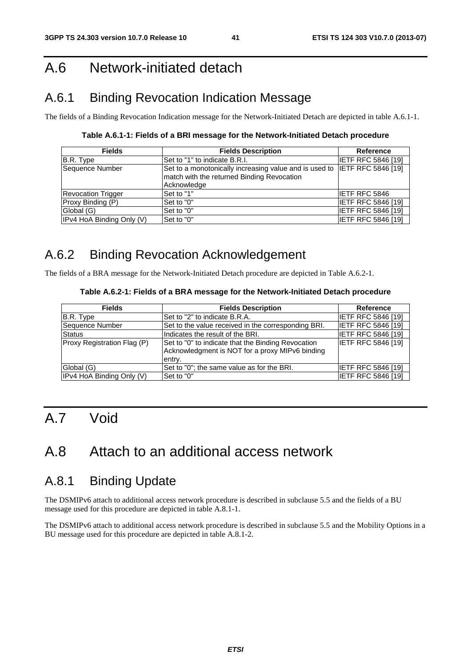## A.6 Network-initiated detach

## A.6.1 Binding Revocation Indication Message

The fields of a Binding Revocation Indication message for the Network-Initiated Detach are depicted in table A.6.1-1.

**Table A.6.1-1: Fields of a BRI message for the Network-Initiated Detach procedure** 

| <b>Fields</b>             | <b>Fields Description</b>                                                                                                              | Reference                 |
|---------------------------|----------------------------------------------------------------------------------------------------------------------------------------|---------------------------|
| B.R. Type                 | Set to "1" to indicate B.R.I.                                                                                                          | <b>IETF RFC 5846 [19]</b> |
| Sequence Number           | Set to a monotonically increasing value and is used to IETF RFC 5846 [19]<br>match with the returned Binding Revocation<br>Acknowledge |                           |
| <b>Revocation Trigger</b> | Set to "1"                                                                                                                             | <b>IETF RFC 5846</b>      |
| Proxy Binding (P)         | Set to "0"                                                                                                                             | <b>IETF RFC 5846 [19]</b> |
| Global (G)                | Set to "0"                                                                                                                             | <b>IETF RFC 5846 [19]</b> |
| IPv4 HoA Binding Only (V) | Set to "0"                                                                                                                             | <b>IETF RFC 5846 [19]</b> |

## A.6.2 Binding Revocation Acknowledgement

The fields of a BRA message for the Network-Initiated Detach procedure are depicted in Table A.6.2-1.

#### **Table A.6.2-1: Fields of a BRA message for the Network-Initiated Detach procedure**

| <b>Fields</b>               | <b>Fields Description</b>                                                                                       | Reference                 |
|-----------------------------|-----------------------------------------------------------------------------------------------------------------|---------------------------|
| B.R. Type                   | Set to "2" to indicate B.R.A.                                                                                   | <b>IETF RFC 5846 [19]</b> |
| Sequence Number             | Set to the value received in the corresponding BRI.                                                             | <b>IETF RFC 5846 [19]</b> |
| <b>Status</b>               | Indicates the result of the BRI.                                                                                | <b>IETF RFC 5846 [19]</b> |
| Proxy Registration Flag (P) | Set to "0" to indicate that the Binding Revocation<br>Acknowledgment is NOT for a proxy MIPv6 binding<br>entry. | <b>IETF RFC 5846 [19]</b> |
| Global (G)                  | Set to "0"; the same value as for the BRI.                                                                      | <b>IETF RFC 5846 [19]</b> |
| IPv4 HoA Binding Only (V)   | Set to "0"                                                                                                      | <b>IETF RFC 5846 [19]</b> |

## A.7 Void

## A.8 Attach to an additional access network

### A.8.1 Binding Update

The DSMIPv6 attach to additional access network procedure is described in subclause 5.5 and the fields of a BU message used for this procedure are depicted in table A.8.1-1.

The DSMIPv6 attach to additional access network procedure is described in subclause 5.5 and the Mobility Options in a BU message used for this procedure are depicted in table A.8.1-2.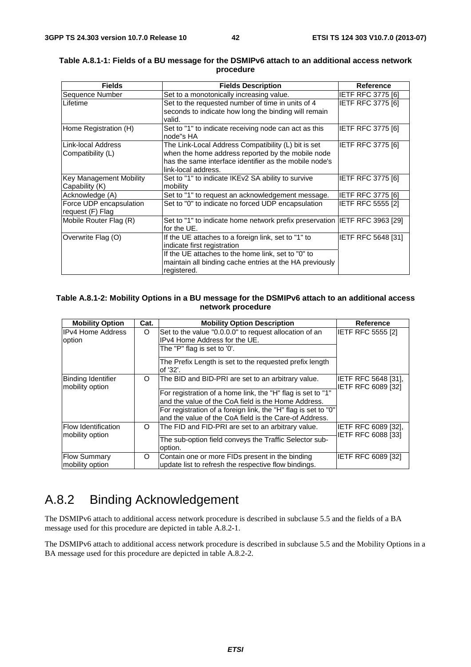| <b>Fields</b>                  | <b>Fields Description</b>                                                   | <b>Reference</b>          |
|--------------------------------|-----------------------------------------------------------------------------|---------------------------|
| Sequence Number                | Set to a monotonically increasing value.                                    | <b>IETF RFC 3775 [6]</b>  |
| ILifetime                      | Set to the requested number of time in units of 4                           | IETF RFC 3775 [6]         |
|                                | seconds to indicate how long the binding will remain                        |                           |
|                                | valid.                                                                      |                           |
| Home Registration (H)          | Set to "1" to indicate receiving node can act as this                       | <b>IETF RFC 3775 [6]</b>  |
|                                | node"s HA                                                                   |                           |
| Link-local Address             | The Link-Local Address Compatibility (L) bit is set                         | <b>IETF RFC 3775 [6]</b>  |
| Compatibility (L)              | when the home address reported by the mobile node                           |                           |
|                                | has the same interface identifier as the mobile node's                      |                           |
|                                | link-local address.                                                         |                           |
| <b>Key Management Mobility</b> | Set to "1" to indicate IKEv2 SA ability to survive                          | <b>IETF RFC 3775 [6]</b>  |
| Capability (K)                 | mobility                                                                    |                           |
| Acknowledge (A)                | Set to "1" to request an acknowledgement message.                           | <b>IETF RFC 3775 [6]</b>  |
| Force UDP encapsulation        | Set to "0" to indicate no forced UDP encapsulation                          | <b>IETF RFC 5555 [2]</b>  |
| request (F) Flag               |                                                                             |                           |
| Mobile Router Flag (R)         | Set to "1" to indicate home network prefix preservation IIETF RFC 3963 [29] |                           |
|                                | for the UE.                                                                 |                           |
| Overwrite Flag (O)             | If the UE attaches to a foreign link, set to "1" to                         | <b>IETF RFC 5648 [31]</b> |
|                                | indicate first registration                                                 |                           |
|                                | If the UE attaches to the home link, set to "0" to                          |                           |
|                                | maintain all binding cache entries at the HA previously                     |                           |
|                                | registered.                                                                 |                           |

#### **Table A.8.1-1: Fields of a BU message for the DSMIPv6 attach to an additional access network procedure**

#### **Table A.8.1-2: Mobility Options in a BU message for the DSMIPv6 attach to an additional access network procedure**

| <b>Mobility Option</b>                        | Cat.     | <b>Mobility Option Description</b>                                  | Reference                                 |
|-----------------------------------------------|----------|---------------------------------------------------------------------|-------------------------------------------|
| IIPv4 Home Address                            | O        | Set to the value "0.0.0.0" to request allocation of an              | <b>IETF RFC 5555 [2]</b>                  |
| option                                        |          | IPv4 Home Address for the UE.                                       |                                           |
|                                               |          | The "P" flag is set to '0'.                                         |                                           |
|                                               |          | The Prefix Length is set to the requested prefix length<br>of '32'. |                                           |
| <b>Binding Identifier</b><br>mobility option  | O        | The BID and BID-PRI are set to an arbitrary value.                  | IETF RFC 5648 [31],<br>IETF RFC 6089 [32] |
|                                               |          | For registration of a home link, the "H" flag is set to "1"         |                                           |
|                                               |          | and the value of the CoA field is the Home Address.                 |                                           |
|                                               |          | For registration of a foreign link, the "H" flag is set to "0"      |                                           |
|                                               |          | and the value of the CoA field is the Care-of Address.              |                                           |
| <b>Flow Identification</b><br>mobility option | $\Omega$ | The FID and FID-PRI are set to an arbitrary value.                  | IETF RFC 6089 [32].<br>IETF RFC 6088 [33] |
|                                               |          | The sub-option field conveys the Traffic Selector sub-              |                                           |
|                                               |          | option.                                                             |                                           |
| <b>Flow Summary</b>                           | O        | Contain one or more FIDs present in the binding                     | IETF RFC 6089 [32]                        |
| mobility option                               |          | update list to refresh the respective flow bindings.                |                                           |

## A.8.2 Binding Acknowledgement

The DSMIPv6 attach to additional access network procedure is described in subclause 5.5 and the fields of a BA message used for this procedure are depicted in table A.8.2-1.

The DSMIPv6 attach to additional access network procedure is described in subclause 5.5 and the Mobility Options in a BA message used for this procedure are depicted in table A.8.2-2.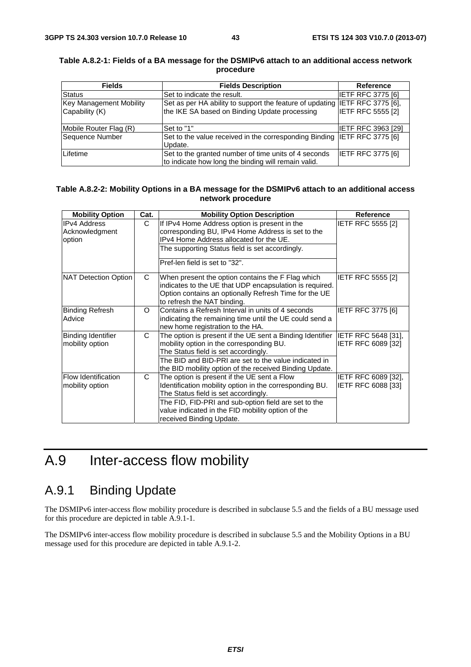| <b>Fields</b>                  | <b>Fields Description</b>                                                   | <b>Reference</b>          |
|--------------------------------|-----------------------------------------------------------------------------|---------------------------|
| <b>Status</b>                  | Set to indicate the result.                                                 | IETF RFC 3775 [6]         |
| <b>Key Management Mobility</b> | Set as per HA ability to support the feature of updating IETF RFC 3775 [6], |                           |
| Capability (K)                 | the IKE SA based on Binding Update processing                               | <b>IETF RFC 5555 [2]</b>  |
|                                |                                                                             |                           |
| Mobile Router Flag (R)         | Set to "1"                                                                  | <b>IETF RFC 3963 [29]</b> |
| Sequence Number                | Set to the value received in the corresponding Binding IETF RFC 3775 [6]    |                           |
|                                | Update.                                                                     |                           |
| Lifetime                       | Set to the granted number of time units of 4 seconds                        | <b>IETF RFC 3775 [6]</b>  |
|                                | to indicate how long the binding will remain valid.                         |                           |

#### **Table A.8.2-1: Fields of a BA message for the DSMIPv6 attach to an additional access network procedure**

#### **Table A.8.2-2: Mobility Options in a BA message for the DSMIPv6 attach to an additional access network procedure**

| <b>Mobility Option</b>                          | Cat. | <b>Mobility Option Description</b>                                                                                                                                                                                                                                                      | <b>Reference</b>                                        |
|-------------------------------------------------|------|-----------------------------------------------------------------------------------------------------------------------------------------------------------------------------------------------------------------------------------------------------------------------------------------|---------------------------------------------------------|
| <b>IPv4 Address</b><br>Acknowledgment<br>option | C    | If IPv4 Home Address option is present in the<br>corresponding BU, IPv4 Home Address is set to the<br>IPv4 Home Address allocated for the UE.<br>The supporting Status field is set accordingly.<br>Pref-len field is set to "32".                                                      | <b>IETF RFC 5555 [2]</b>                                |
| NAT Detection Option                            | C    | When present the option contains the F Flag which<br>indicates to the UE that UDP encapsulation is required.<br>Option contains an optionally Refresh Time for the UE<br>to refresh the NAT binding.                                                                                    | <b>IETF RFC 5555 [2]</b>                                |
| <b>Binding Refresh</b><br>Advice                | O    | Contains a Refresh Interval in units of 4 seconds<br>indicating the remaining time until the UE could send a<br>new home registration to the HA.                                                                                                                                        | <b>IETF RFC 3775 [6]</b>                                |
| Binding Identifier<br>mobility option           | C.   | The option is present if the UE sent a Binding Identifier IETF RFC 5648 [31],<br>mobility option in the corresponding BU.<br>The Status field is set accordingly.<br>The BID and BID-PRI are set to the value indicated in<br>the BID mobility option of the received Binding Update.   | IETF RFC 6089 [32]                                      |
| <b>Flow Identification</b><br>mobility option   | C    | The option is present if the UE sent a Flow<br>Identification mobility option in the corresponding BU.<br>The Status field is set accordingly.<br>The FID, FID-PRI and sub-option field are set to the<br>value indicated in the FID mobility option of the<br>received Binding Update. | <b>IETF RFC 6089 [32].</b><br><b>IETF RFC 6088 [33]</b> |

## A.9 Inter-access flow mobility

## A.9.1 Binding Update

The DSMIPv6 inter-access flow mobility procedure is described in subclause 5.5 and the fields of a BU message used for this procedure are depicted in table A.9.1-1.

The DSMIPv6 inter-access flow mobility procedure is described in subclause 5.5 and the Mobility Options in a BU message used for this procedure are depicted in table A.9.1-2.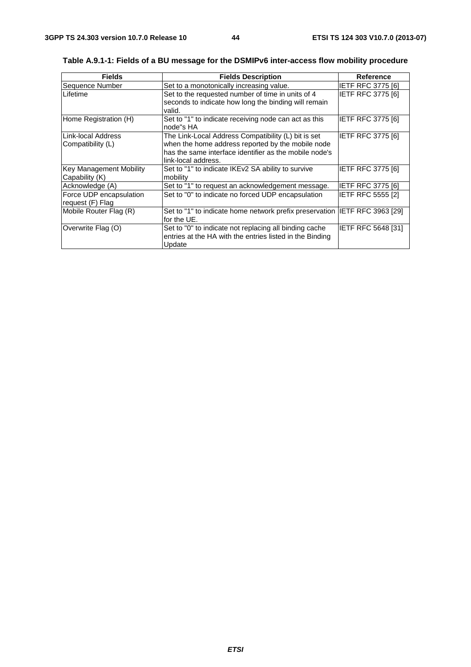| <b>Fields</b>                                    | <b>Fields Description</b>                                                                                                                                                                 | <b>Reference</b>         |
|--------------------------------------------------|-------------------------------------------------------------------------------------------------------------------------------------------------------------------------------------------|--------------------------|
| Sequence Number                                  | Set to a monotonically increasing value.                                                                                                                                                  | IETF RFC 3775 [6]        |
| <b>ILifetime</b>                                 | Set to the requested number of time in units of 4<br>seconds to indicate how long the binding will remain<br>valid.                                                                       | <b>IETF RFC 3775 [6]</b> |
| Home Registration (H)                            | Set to "1" to indicate receiving node can act as this<br>node"s HA                                                                                                                        | IETF RFC 3775 [6]        |
| Link-local Address<br>Compatibility (L)          | The Link-Local Address Compatibility (L) bit is set<br>when the home address reported by the mobile node<br>has the same interface identifier as the mobile node's<br>link-local address. | <b>IETF RFC 3775 [6]</b> |
| <b>Key Management Mobility</b><br>Capability (K) | Set to "1" to indicate IKEv2 SA ability to survive<br>mobility                                                                                                                            | <b>IETF RFC 3775 [6]</b> |
| Acknowledge (A)                                  | Set to "1" to request an acknowledgement message.                                                                                                                                         | IETF RFC 3775 [6]        |
| Force UDP encapsulation<br>request (F) Flag      | Set to "0" to indicate no forced UDP encapsulation                                                                                                                                        | <b>IETF RFC 5555 [2]</b> |
| Mobile Router Flag (R)                           | Set to "1" to indicate home network prefix preservation IETF RFC 3963 [29]<br>for the UE.                                                                                                 |                          |
| Overwrite Flag (O)                               | Set to "0" to indicate not replacing all binding cache<br>entries at the HA with the entries listed in the Binding<br>Update                                                              | IETF RFC 5648 [31]       |

**Table A.9.1-1: Fields of a BU message for the DSMIPv6 inter-access flow mobility procedure**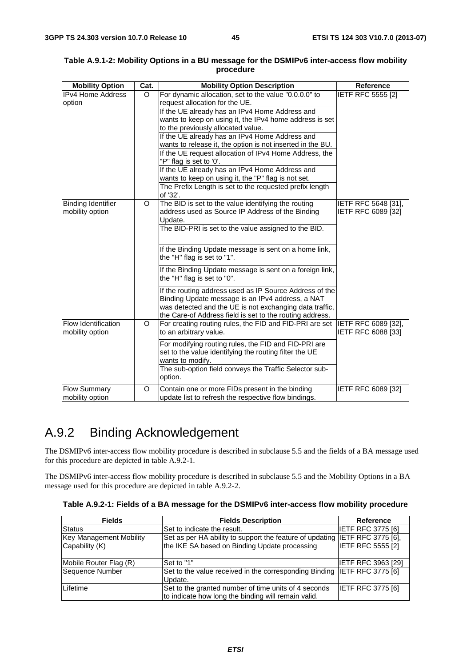| <b>Mobility Option</b>                 | Cat.    | <b>Mobility Option Description</b>                                                                                                                                                                                                 | <b>Reference</b>                          |
|----------------------------------------|---------|------------------------------------------------------------------------------------------------------------------------------------------------------------------------------------------------------------------------------------|-------------------------------------------|
| <b>IPv4 Home Address</b>               | O       | For dynamic allocation, set to the value "0.0.0.0" to                                                                                                                                                                              | <b>IETF RFC 5555 [2]</b>                  |
| option                                 |         | request allocation for the UE.                                                                                                                                                                                                     |                                           |
|                                        |         | If the UE already has an IPv4 Home Address and                                                                                                                                                                                     |                                           |
|                                        |         | wants to keep on using it, the IPv4 home address is set                                                                                                                                                                            |                                           |
|                                        |         | to the previously allocated value.                                                                                                                                                                                                 |                                           |
|                                        |         | If the UE already has an IPv4 Home Address and                                                                                                                                                                                     |                                           |
|                                        |         | wants to release it, the option is not inserted in the BU.                                                                                                                                                                         |                                           |
|                                        |         | If the UE request allocation of IPv4 Home Address, the                                                                                                                                                                             |                                           |
|                                        |         | "P" flag is set to '0'.                                                                                                                                                                                                            |                                           |
|                                        |         | If the UE already has an IPv4 Home Address and                                                                                                                                                                                     |                                           |
|                                        |         | wants to keep on using it, the "P" flag is not set.                                                                                                                                                                                |                                           |
|                                        |         | The Prefix Length is set to the requested prefix length<br>of '32'.                                                                                                                                                                |                                           |
| <b>Binding Identifier</b>              | $\circ$ | The BID is set to the value identifying the routing                                                                                                                                                                                | IETF RFC 5648 [31],                       |
| mobility option                        |         | address used as Source IP Address of the Binding                                                                                                                                                                                   | IETF RFC 6089 [32]                        |
|                                        |         | Update.                                                                                                                                                                                                                            |                                           |
|                                        |         | The BID-PRI is set to the value assigned to the BID.                                                                                                                                                                               |                                           |
|                                        |         |                                                                                                                                                                                                                                    |                                           |
|                                        |         | If the Binding Update message is sent on a home link,<br>the "H" flag is set to "1".                                                                                                                                               |                                           |
|                                        |         | If the Binding Update message is sent on a foreign link,<br>the "H" flag is set to "0".                                                                                                                                            |                                           |
|                                        |         | If the routing address used as IP Source Address of the<br>Binding Update message is an IPv4 address, a NAT<br>was detected and the UE is not exchanging data traffic,<br>the Care-of Address field is set to the routing address. |                                           |
| Flow Identification<br>mobility option | $\circ$ | For creating routing rules, the FID and FID-PRI are set<br>to an arbitrary value.                                                                                                                                                  | IETF RFC 6089 [32],<br>IETF RFC 6088 [33] |
|                                        |         | For modifying routing rules, the FID and FID-PRI are<br>set to the value identifying the routing filter the UE<br>wants to modify.                                                                                                 |                                           |
|                                        |         | The sub-option field conveys the Traffic Selector sub-<br>option.                                                                                                                                                                  |                                           |
| <b>Flow Summary</b><br>mobility option | $\circ$ | Contain one or more FIDs present in the binding<br>update list to refresh the respective flow bindings.                                                                                                                            | IETF RFC 6089 [32]                        |

| Table A.9.1-2: Mobility Options in a BU message for the DSMIPv6 inter-access flow mobility |           |  |  |
|--------------------------------------------------------------------------------------------|-----------|--|--|
|                                                                                            | procedure |  |  |

## A.9.2 Binding Acknowledgement

The DSMIPv6 inter-access flow mobility procedure is described in subclause 5.5 and the fields of a BA message used for this procedure are depicted in table A.9.2-1.

The DSMIPv6 inter-access flow mobility procedure is described in subclause 5.5 and the Mobility Options in a BA message used for this procedure are depicted in table A.9.2-2.

|  |  | Table A.9.2-1: Fields of a BA message for the DSMIPv6 inter-access flow mobility procedure |
|--|--|--------------------------------------------------------------------------------------------|
|--|--|--------------------------------------------------------------------------------------------|

| <b>Fields</b>           | <b>Fields Description</b>                                                                                   | Reference                |
|-------------------------|-------------------------------------------------------------------------------------------------------------|--------------------------|
| <b>Status</b>           | Set to indicate the result.                                                                                 | IETF RFC 3775 [6]        |
| Key Management Mobility | Set as per HA ability to support the feature of updating IETF RFC 3775 [6],                                 |                          |
| Capability (K)          | the IKE SA based on Binding Update processing                                                               | <b>IETF RFC 5555 [2]</b> |
| Mobile Router Flag (R)  | Set to "1"                                                                                                  | IETF RFC 3963 [29]       |
| Sequence Number         | Set to the value received in the corresponding Binding IETF RFC 3775 [6]<br>Update.                         |                          |
| Lifetime                | Set to the granted number of time units of 4 seconds<br>to indicate how long the binding will remain valid. | <b>IETF RFC 3775 [6]</b> |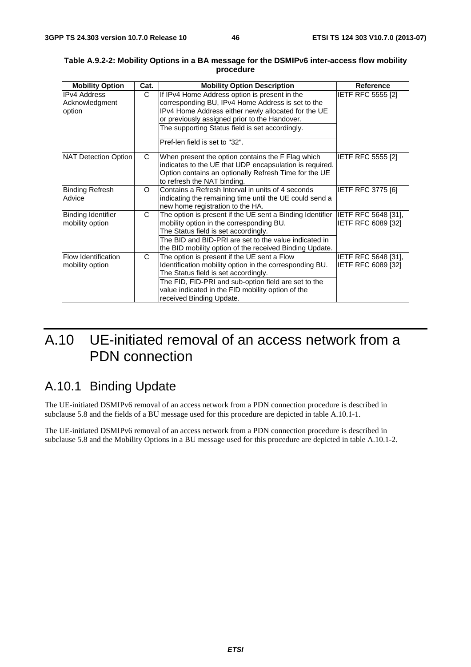| <b>Mobility Option</b>                        | Cat. | <b>Mobility Option Description</b>                                                                                                                                                                                         | <b>Reference</b>                          |
|-----------------------------------------------|------|----------------------------------------------------------------------------------------------------------------------------------------------------------------------------------------------------------------------------|-------------------------------------------|
| <b>IPv4 Address</b><br>Acknowledgment         | C.   | If IPv4 Home Address option is present in the<br>corresponding BU, IPv4 Home Address is set to the                                                                                                                         | <b>IETF RFC 5555 [2]</b>                  |
| option                                        |      | IPv4 Home Address either newly allocated for the UE<br>or previously assigned prior to the Handover.                                                                                                                       |                                           |
|                                               |      | The supporting Status field is set accordingly.                                                                                                                                                                            |                                           |
|                                               |      | Pref-len field is set to "32".                                                                                                                                                                                             |                                           |
| NAT Detection Option                          | C.   | When present the option contains the F Flag which<br>indicates to the UE that UDP encapsulation is required.<br>Option contains an optionally Refresh Time for the UE<br>to refresh the NAT binding.                       | <b>IETF RFC 5555 [2]</b>                  |
| <b>Binding Refresh</b><br>Advice              | O    | Contains a Refresh Interval in units of 4 seconds<br>indicating the remaining time until the UE could send a<br>new home registration to the HA.                                                                           | <b>IETF RFC 3775 [6]</b>                  |
| <b>Binding Identifier</b><br>mobility option  | C.   | The option is present if the UE sent a Binding Identifier IETF RFC 5648 [31],<br>mobility option in the corresponding BU.<br>The Status field is set accordingly.<br>The BID and BID-PRI are set to the value indicated in | IETF RFC 6089 [32]                        |
|                                               |      | the BID mobility option of the received Binding Update.                                                                                                                                                                    |                                           |
| <b>Flow Identification</b><br>mobility option | C    | The option is present if the UE sent a Flow<br>Identification mobility option in the corresponding BU.<br>The Status field is set accordingly.                                                                             | IETF RFC 5648 [31],<br>IETF RFC 6089 [32] |
|                                               |      | The FID, FID-PRI and sub-option field are set to the<br>value indicated in the FID mobility option of the<br>received Binding Update.                                                                                      |                                           |

#### **Table A.9.2-2: Mobility Options in a BA message for the DSMIPv6 inter-access flow mobility procedure**

## A.10 UE-initiated removal of an access network from a PDN connection

## A.10.1 Binding Update

The UE-initiated DSMIPv6 removal of an access network from a PDN connection procedure is described in subclause 5.8 and the fields of a BU message used for this procedure are depicted in table A.10.1-1.

The UE-initiated DSMIPv6 removal of an access network from a PDN connection procedure is described in subclause 5.8 and the Mobility Options in a BU message used for this procedure are depicted in table A.10.1-2.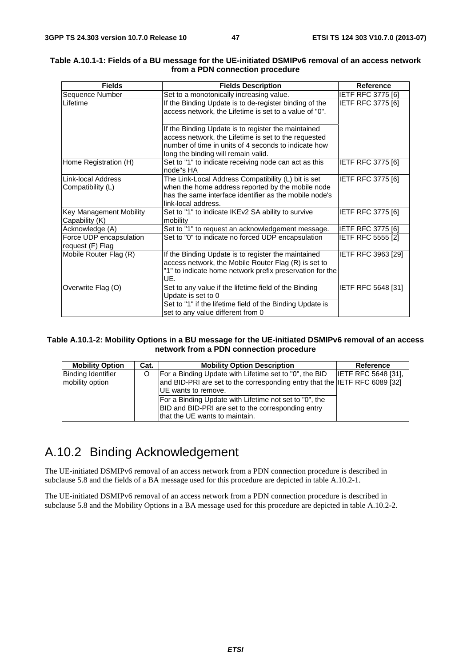| <b>Fields</b>                               | <b>Fields Description</b>                                                                                                                                                                                  | <b>Reference</b>          |
|---------------------------------------------|------------------------------------------------------------------------------------------------------------------------------------------------------------------------------------------------------------|---------------------------|
| Sequence Number                             | Set to a monotonically increasing value.                                                                                                                                                                   | <b>IETF RFC 3775 [6]</b>  |
| Lifetime                                    | If the Binding Update is to de-register binding of the<br>access network, the Lifetime is set to a value of "0".                                                                                           | <b>IETF RFC 3775 [6]</b>  |
|                                             | If the Binding Update is to register the maintained<br>access network, the Lifetime is set to the requested<br>number of time in units of 4 seconds to indicate how<br>long the binding will remain valid. |                           |
| Home Registration (H)                       | Set to "1" to indicate receiving node can act as this<br>node"s HA                                                                                                                                         | <b>IETF RFC 3775 [6]</b>  |
| Link-local Address<br>Compatibility (L)     | The Link-Local Address Compatibility (L) bit is set<br>when the home address reported by the mobile node<br>has the same interface identifier as the mobile node's<br>link-local address.                  | <b>IETF RFC 3775 [6]</b>  |
| Key Management Mobility<br>Capability (K)   | Set to "1" to indicate IKEv2 SA ability to survive<br>mobility                                                                                                                                             | <b>IETF RFC 3775 [6]</b>  |
| Acknowledge (A)                             | Set to "1" to request an acknowledgement message.                                                                                                                                                          | <b>IETF RFC 3775 [6]</b>  |
| Force UDP encapsulation<br>request (F) Flag | Set to "0" to indicate no forced UDP encapsulation                                                                                                                                                         | IETF RFC 5555 [2]         |
| Mobile Router Flag (R)                      | If the Binding Update is to register the maintained<br>access network, the Mobile Router Flag (R) is set to<br>"1" to indicate home network prefix preservation for the<br>UE.                             | IETF RFC 3963 [29]        |
| Overwrite Flag (O)                          | Set to any value if the lifetime field of the Binding<br>Update is set to 0<br>Set to "1" if the lifetime field of the Binding Update is<br>set to any value different from 0                              | <b>IETF RFC 5648 [31]</b> |

#### **Table A.10.1-1: Fields of a BU message for the UE-initiated DSMIPv6 removal of an access network from a PDN connection procedure**

#### **Table A.10.1-2: Mobility Options in a BU message for the UE-initiated DSMIPv6 removal of an access network from a PDN connection procedure**

| <b>Mobility Option</b>                       | Cat. | <b>Mobility Option Description</b>                                                                                                                          | Reference                  |
|----------------------------------------------|------|-------------------------------------------------------------------------------------------------------------------------------------------------------------|----------------------------|
| <b>Binding Identifier</b><br>mobility option |      | For a Binding Update with Lifetime set to "0", the BID<br>and BID-PRI are set to the corresponding entry that the IETF RFC 6089 [32]<br>UE wants to remove. | <b>IETF RFC 5648 [31].</b> |
|                                              |      | For a Binding Update with Lifetime not set to "0", the<br>BID and BID-PRI are set to the corresponding entry<br>that the UE wants to maintain.              |                            |

## A.10.2 Binding Acknowledgement

The UE-initiated DSMIPv6 removal of an access network from a PDN connection procedure is described in subclause 5.8 and the fields of a BA message used for this procedure are depicted in table A.10.2-1.

The UE-initiated DSMIPv6 removal of an access network from a PDN connection procedure is described in subclause 5.8 and the Mobility Options in a BA message used for this procedure are depicted in table A.10.2-2.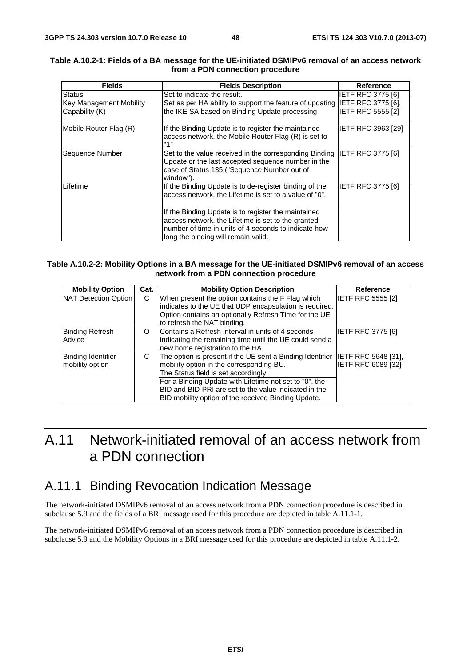| <b>Fields</b>                                    | <b>Fields Description</b>                                                                                                                                                                                | Reference                 |
|--------------------------------------------------|----------------------------------------------------------------------------------------------------------------------------------------------------------------------------------------------------------|---------------------------|
| <b>Status</b>                                    | Set to indicate the result.                                                                                                                                                                              | <b>IETF RFC 3775 [6]</b>  |
| <b>Key Management Mobility</b><br>Capability (K) | Set as per HA ability to support the feature of updating IETF RFC 3775 [6],<br>the IKE SA based on Binding Update processing                                                                             | <b>IETF RFC 5555 [2]</b>  |
| Mobile Router Flag (R)                           | If the Binding Update is to register the maintained<br>access network, the Mobile Router Flag (R) is set to<br>"1"                                                                                       | <b>IETF RFC 3963 [29]</b> |
| Sequence Number                                  | Set to the value received in the corresponding Binding IETF RFC 3775 [6]<br>Update or the last accepted sequence number in the<br>case of Status 135 ("Sequence Number out of<br>window").               |                           |
| Lifetime                                         | If the Binding Update is to de-register binding of the<br>access network, the Lifetime is set to a value of "0".                                                                                         | IETF RFC 3775 [6]         |
|                                                  | If the Binding Update is to register the maintained<br>access network, the Lifetime is set to the granted<br>number of time in units of 4 seconds to indicate how<br>long the binding will remain valid. |                           |

#### **Table A.10.2-1: Fields of a BA message for the UE-initiated DSMIPv6 removal of an access network from a PDN connection procedure**

#### **Table A.10.2-2: Mobility Options in a BA message for the UE-initiated DSMIPv6 removal of an access network from a PDN connection procedure**

| <b>Mobility Option</b>                       | Cat. | <b>Mobility Option Description</b>                                                                                                                                                                                                                                                                                      | <b>Reference</b>                          |
|----------------------------------------------|------|-------------------------------------------------------------------------------------------------------------------------------------------------------------------------------------------------------------------------------------------------------------------------------------------------------------------------|-------------------------------------------|
| NAT Detection Option                         | C    | When present the option contains the F Flag which<br>indicates to the UE that UDP encapsulation is required.<br>Option contains an optionally Refresh Time for the UE<br>to refresh the NAT binding.                                                                                                                    | <b>IETF RFC 5555 [2]</b>                  |
| <b>Binding Refresh</b><br>Advice             | O    | Contains a Refresh Interval in units of 4 seconds<br>indicating the remaining time until the UE could send a<br>new home registration to the HA.                                                                                                                                                                        | <b>IETF RFC 3775 [6]</b>                  |
| <b>Binding Identifier</b><br>mobility option | C    | The option is present if the UE sent a Binding Identifier<br>mobility option in the corresponding BU.<br>The Status field is set accordingly.<br>For a Binding Update with Lifetime not set to "0", the<br>BID and BID-PRI are set to the value indicated in the<br>BID mobility option of the received Binding Update. | IETF RFC 5648 [31],<br>IETF RFC 6089 [32] |

## A.11 Network-initiated removal of an access network from a PDN connection

### A.11.1 Binding Revocation Indication Message

The network-initiated DSMIPv6 removal of an access network from a PDN connection procedure is described in subclause 5.9 and the fields of a BRI message used for this procedure are depicted in table A.11.1-1.

The network-initiated DSMIPv6 removal of an access network from a PDN connection procedure is described in subclause 5.9 and the Mobility Options in a BRI message used for this procedure are depicted in table A.11.1-2.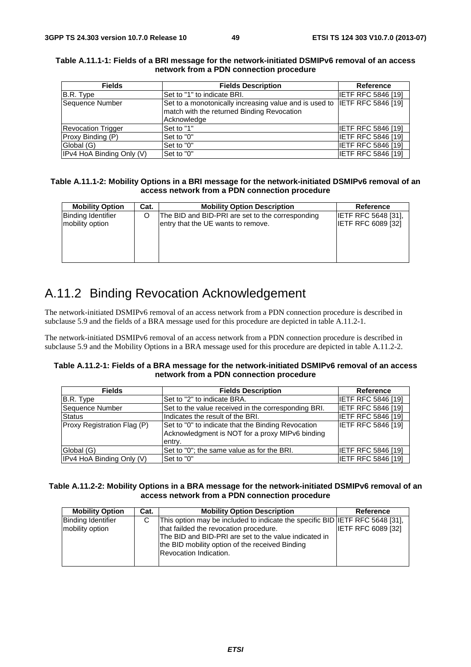| <b>Fields</b>             | <b>Fields Description</b>                                                 | Reference                 |
|---------------------------|---------------------------------------------------------------------------|---------------------------|
| B.R. Type                 | ISet to "1" to indicate BRI.                                              | <b>IETF RFC 5846 [19]</b> |
| Sequence Number           | Set to a monotonically increasing value and is used to IETF RFC 5846 [19] |                           |
|                           | match with the returned Binding Revocation                                |                           |
|                           | Acknowledge                                                               |                           |
| <b>Revocation Trigger</b> | Set to "1"                                                                | <b>IETF RFC 5846 [19]</b> |
| Proxy Binding (P)         | Set to "0"                                                                | <b>IETF RFC 5846 [19]</b> |
| Global (G)                | Set to "0"                                                                | IETF RFC 5846 [19]        |
| IPv4 HoA Binding Only (V) | Set to "0"                                                                | <b>IETF RFC 5846 [19]</b> |

#### **Table A.11.1-1: Fields of a BRI message for the network-initiated DSMIPv6 removal of an access network from a PDN connection procedure**

#### **Table A.11.1-2: Mobility Options in a BRI message for the network-initiated DSMIPv6 removal of an access network from a PDN connection procedure**

| <b>Mobility Option</b>    | Cat. | <b>Mobility Option Description</b>               | Reference                  |
|---------------------------|------|--------------------------------------------------|----------------------------|
| <b>Binding Identifier</b> |      | The BID and BID-PRI are set to the corresponding | <b>IETF RFC 5648 [31].</b> |
| mobility option           |      | entry that the UE wants to remove.               | <b>IETF RFC 6089 [32]</b>  |
|                           |      |                                                  |                            |
|                           |      |                                                  |                            |
|                           |      |                                                  |                            |
|                           |      |                                                  |                            |

## A.11.2 Binding Revocation Acknowledgement

The network-initiated DSMIPv6 removal of an access network from a PDN connection procedure is described in subclause 5.9 and the fields of a BRA message used for this procedure are depicted in table A.11.2-1.

The network-initiated DSMIPv6 removal of an access network from a PDN connection procedure is described in subclause 5.9 and the Mobility Options in a BRA message used for this procedure are depicted in table A.11.2-2.

#### **Table A.11.2-1: Fields of a BRA message for the network-initiated DSMIPv6 removal of an access network from a PDN connection procedure**

| <b>Fields</b>               | <b>Fields Description</b>                                                                                       | <b>Reference</b>          |
|-----------------------------|-----------------------------------------------------------------------------------------------------------------|---------------------------|
| B.R. Type                   | Set to "2" to indicate BRA.                                                                                     | <b>IETF RFC 5846 [19]</b> |
| Sequence Number             | Set to the value received in the corresponding BRI.                                                             | <b>IETF RFC 5846 [19]</b> |
| <b>Status</b>               | Indicates the result of the BRI.                                                                                | <b>IETF RFC 5846 [19]</b> |
| Proxy Registration Flag (P) | Set to "0" to indicate that the Binding Revocation<br>Acknowledgment is NOT for a proxy MIPv6 binding<br>entry. | <b>IETF RFC 5846 [19]</b> |
| Global (G)                  | Set to "0"; the same value as for the BRI.                                                                      | <b>IETF RFC 5846 [19]</b> |
| IPv4 HoA Binding Only (V)   | Set to "0"                                                                                                      | <b>IETF RFC 5846 [19]</b> |

#### **Table A.11.2-2: Mobility Options in a BRA message for the network-initiated DSMIPv6 removal of an access network from a PDN connection procedure**

| <b>Mobility Option</b>                       | Cat. | <b>Mobility Option Description</b>                                                                                                                                                                                                                                  | <b>Reference</b>          |
|----------------------------------------------|------|---------------------------------------------------------------------------------------------------------------------------------------------------------------------------------------------------------------------------------------------------------------------|---------------------------|
| <b>Binding Identifier</b><br>mobility option | C    | This option may be included to indicate the specific BID IETF RFC 5648 [31],<br>that failded the revocation procedure.<br>The BID and BID-PRI are set to the value indicated in<br>the BID mobility option of the received Binding<br><b>Revocation Indication.</b> | <b>IETF RFC 6089 [32]</b> |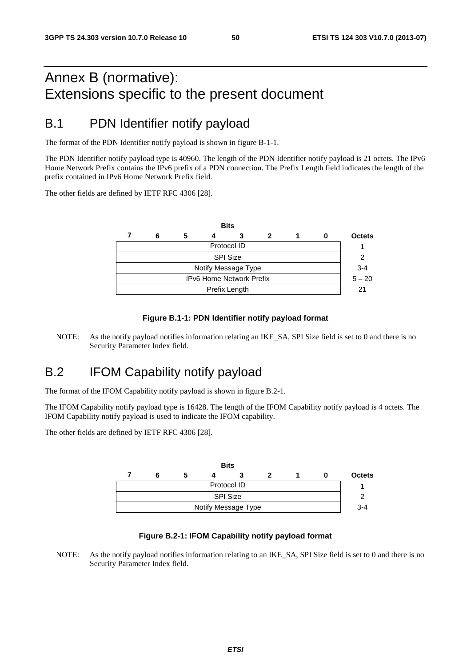## Annex B (normative): Extensions specific to the present document

### B.1 PDN Identifier notify payload

The format of the PDN Identifier notify payload is shown in figure B-1-1.

The PDN Identifier notify payload type is 40960. The length of the PDN Identifier notify payload is 21 octets. The IPv6 Home Network Prefix contains the IPv6 prefix of a PDN connection. The Prefix Length field indicates the length of the prefix contained in IPv6 Home Network Prefix field.

The other fields are defined by IETF RFC 4306 [28].

|                          |               |   |  | <b>Bits</b> |   |  |  |               |  |
|--------------------------|---------------|---|--|-------------|---|--|--|---------------|--|
|                          | 6             | 5 |  | 3           | 2 |  |  | <b>Octets</b> |  |
| Protocol ID              |               |   |  |             |   |  |  |               |  |
| <b>SPI Size</b>          |               |   |  |             |   |  |  |               |  |
| Notify Message Type      |               |   |  |             |   |  |  |               |  |
| IPv6 Home Network Prefix |               |   |  |             |   |  |  | $5 - 20$      |  |
|                          | Prefix Length |   |  |             |   |  |  |               |  |
|                          |               |   |  |             |   |  |  |               |  |

#### **Figure B.1-1: PDN Identifier notify payload format**

NOTE: As the notify payload notifies information relating an IKE\_SA, SPI Size field is set to 0 and there is no Security Parameter Index field.

### B.2 IFOM Capability notify payload

The format of the IFOM Capability notify payload is shown in figure B.2-1.

The IFOM Capability notify payload type is 16428. The length of the IFOM Capability notify payload is 4 octets. The IFOM Capability notify payload is used to indicate the IFOM capability.

The other fields are defined by IETF RFC 4306 [28].



#### **Figure B.2-1: IFOM Capability notify payload format**

NOTE: As the notify payload notifies information relating to an IKE\_SA, SPI Size field is set to 0 and there is no Security Parameter Index field.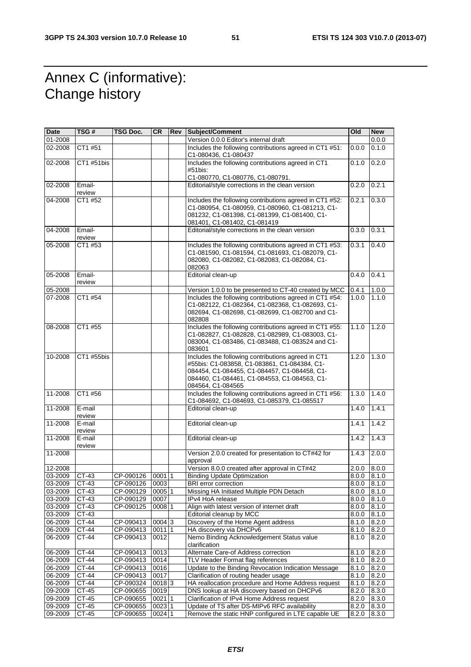## Annex C (informative): Change history

| Date    | TSG #            | TSG Doc.       | <b>CR</b> | Rev Subject/Comment                                                                                                                                                                                                     | Old                 | New   |
|---------|------------------|----------------|-----------|-------------------------------------------------------------------------------------------------------------------------------------------------------------------------------------------------------------------------|---------------------|-------|
| 01-2008 |                  |                |           | Version 0.0.0 Editor's internal draft                                                                                                                                                                                   |                     | 0.0.0 |
| 02-2008 | CT1 #51          |                |           | Includes the following contributions agreed in CT1 #51:<br>C1-080436, C1-080437                                                                                                                                         | 0.0.0               | 0.1.0 |
| 02-2008 | CT1 #51bis       |                |           | Includes the following contributions agreed in CT1<br>#51bis:                                                                                                                                                           | 0.1.0               | 0.2.0 |
|         |                  |                |           | C1-080770, C1-080776, C1-080791.                                                                                                                                                                                        |                     |       |
| 02-2008 | Email-<br>review |                |           | Editorial/style corrections in the clean version                                                                                                                                                                        | 0.2.0               | 0.2.1 |
| 04-2008 | CT1 #52          |                |           | Includes the following contributions agreed in CT1 #52:<br>C1-080954, C1-080959, C1-080960, C1-081213, C1-<br>081232, C1-081398, C1-081399, C1-081400, C1-<br>081401, C1-081402, C1-081419                              | 0.2.1               | 0.3.0 |
| 04-2008 | Email-<br>review |                |           | Editorial/style corrections in the clean version                                                                                                                                                                        | 0.3.0               | 0.3.1 |
| 05-2008 | CT1 #53          |                |           | Includes the following contributions agreed in CT1 #53:                                                                                                                                                                 | 0.3.1               | 0.4.0 |
|         |                  |                |           | C1-081590, C1-081594, C1-081693, C1-082079, C1-<br>082080, C1-082082, C1-082083, C1-082084, C1-<br>082063                                                                                                               |                     |       |
| 05-2008 | Email-<br>review |                |           | Editorial clean-up                                                                                                                                                                                                      | 0.4.0               | 0.4.1 |
| 05-2008 |                  |                |           | Version 1.0.0 to be presented to CT-40 created by MCC                                                                                                                                                                   | 0.4.1               | 1.0.0 |
| 07-2008 | CT1 #54          |                |           | Includes the following contributions agreed in CT1 #54:<br>C1-082122, C1-082364, C1-082368, C1-082693, C1-<br>082694, C1-082698, C1-082699, C1-082700 and C1-<br>082808                                                 | 1.0.0               | 1.1.0 |
| 08-2008 | CT1 #55          |                |           | Includes the following contributions agreed in CT1 #55:<br>C1-082827, C1-082828, C1-082989, C1-083003, C1-<br>083004, C1-083486, C1-083488, C1-083524 and C1-<br>083601                                                 | 1.1.0               | 1.2.0 |
| 10-2008 | CT1 #55bis       |                |           | Includes the following contributions agreed in CT1<br>#55bis: C1-083858, C1-083861, C1-084384, C1-<br>084454, C1-084455, C1-084457, C1-084458, C1-<br>084460, C1-084461, C1-084553, C1-084563, C1-<br>084564, C1-084565 | $\overline{1}$ .2.0 | 1.3.0 |
| 11-2008 | CT1 #56          |                |           | Includes the following contributions agreed in CT1 #56:<br>C1-084692, C1-084693, C1-085379, C1-085517                                                                                                                   | 1.3.0               | 1.4.0 |
| 11-2008 | E-mail           |                |           | Editorial clean-up                                                                                                                                                                                                      | 1.4.0               | 1.4.1 |
| 11-2008 | review<br>E-mail |                |           | Editorial clean-up                                                                                                                                                                                                      | 1.4.1               | 1.4.2 |
| 11-2008 | review<br>E-mail |                |           | Editorial clean-up                                                                                                                                                                                                      | 1.4.2               | 1.4.3 |
| 11-2008 | review           |                |           | Version 2.0.0 created for presentation to CT#42 for                                                                                                                                                                     | 1.4.3               | 2.0.0 |
|         |                  |                |           | approval                                                                                                                                                                                                                |                     |       |
| 12-2008 |                  |                |           | Version 8.0.0 created after approval in CT#42                                                                                                                                                                           | 2.0.0               | 8.0.0 |
| 03-2009 | CT-43            | CP-090126      | 00011     | <b>Binding Update Optimization</b>                                                                                                                                                                                      | 8.0.0               | 8.1.0 |
| 03-2009 | CT-43            | CP-090126 0003 |           | <b>BRI</b> error correction                                                                                                                                                                                             | 8.0.0               | 8.1.0 |
| 03-2009 | CT-43            | CP-090129      | 000511    | Missing HA Initiated Multiple PDN Detach                                                                                                                                                                                | 8.0.0               | 8.1.0 |
| 03-2009 | CT-43            | CP-090129      | 0007      | IPv4 HoA release                                                                                                                                                                                                        | 8.0.0               | 8.1.0 |
| 03-2009 | CT-43            | CP-090125      | 000811    | Align with latest version of internet draft                                                                                                                                                                             | 8.0.0               | 8.1.0 |
| 03-2009 | CT-43            |                |           | Editorial cleanup by MCC                                                                                                                                                                                                | 8.0.0               | 8.1.0 |
| 06-2009 | CT-44            | CP-090413      | 00043     | Discovery of the Home Agent address                                                                                                                                                                                     | 8.1.0               | 8.2.0 |
| 06-2009 | CT-44            | CP-090413      | 0011 1    | HA discovery via DHCPv6                                                                                                                                                                                                 | 8.1.0               | 8.2.0 |
| 06-2009 | CT-44            | CP-090413      | 0012      | Nemo Binding Acknowledgement Status value<br>clarification                                                                                                                                                              | 8.1.0               | 8.2.0 |
| 06-2009 | CT-44            | CP-090413      | 0013      | Alternate Care-of Address correction                                                                                                                                                                                    | 8.1.0               | 8.2.0 |
| 06-2009 | CT-44            | CP-090413      | 0014      | TLV Header Format flag references                                                                                                                                                                                       | 8.1.0               | 8.2.0 |
| 06-2009 | CT-44            | CP-090413      | 0016      | Update to the Binding Revocation Indication Message                                                                                                                                                                     | 8.1.0               | 8.2.0 |
| 06-2009 | CT-44            | CP-090413      | 0017      | Clarification of routing header usage                                                                                                                                                                                   | 8.1.0               | 8.2.0 |
| 06-2009 | CT-44            | CP-090324      | 00183     | HA reallocation procedure and Home Address request                                                                                                                                                                      | 8.1.0               | 8.2.0 |
| 09-2009 | CT-45            | CP-090655      | 0019      | DNS lookup at HA discovery based on DHCPv6                                                                                                                                                                              | 8.2.0               | 8.3.0 |
| 09-2009 | CT-45            | CP-090655      | 0021 1    | Clarification of IPv4 Home Address request                                                                                                                                                                              | 8.2.0               | 8.3.0 |
| 09-2009 | CT-45            | CP-090655      | 0023 1    | Update of TS after DS-MIPv6 RFC availability                                                                                                                                                                            | 8.2.0               | 8.3.0 |
| 09-2009 | $CT-45$          | CP-090655      | 0024 1    | Remove the static HNP configured in LTE capable UE                                                                                                                                                                      | 8.2.0               | 8.3.0 |
|         |                  |                |           |                                                                                                                                                                                                                         |                     |       |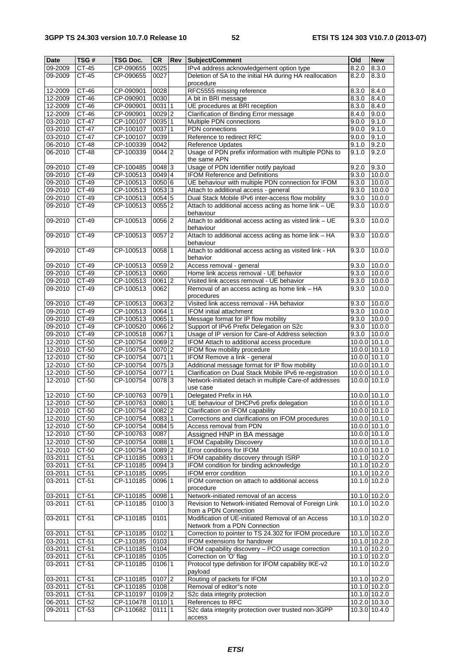| <b>Date</b>   | TSG#         | TSG Doc.  | <b>CR</b>           | Rev | Subject/Comment                                                                                             | Old   | <b>New</b>      |
|---------------|--------------|-----------|---------------------|-----|-------------------------------------------------------------------------------------------------------------|-------|-----------------|
| 09-2009       | CT-45        | CP-090655 | 0025                |     | IPv4 address acknowledgement option type                                                                    | 8.2.0 | 8.3.0           |
| 09-2009       | CT-45        | CP-090655 | 0027                |     | Deletion of SA to the initial HA during HA reallocation<br>procedure                                        | 8.2.0 | 8.3.0           |
| 12-2009       | CT-46        | CP-090901 | 0028                |     | RFC5555 missing reference                                                                                   | 8.3.0 | 8.4.0           |
| 12-2009       | CT-46        | CP-090901 | 0030                |     | A bit in BRI message                                                                                        | 8.3.0 | 8.4.0           |
| 12-2009       | CT-46        | CP-090901 | 00311               |     | UE procedures at BRI reception                                                                              | 8.3.0 | 8.4.0           |
| 12-2009       | CT-46        | CP-090901 | $0029$ <sub>2</sub> |     | Clarification of Binding Error message                                                                      | 8.4.0 | 9.0.0           |
|               | CT-47        |           | 0035 1              |     |                                                                                                             |       | 9.1.0           |
| 03-2010       |              | CP-100107 |                     |     | Multiple PDN connections                                                                                    | 9.0.0 |                 |
| 03-2010       | $CT-47$      | CP-100107 | 0037 1              |     | PDN connections                                                                                             | 9.0.0 | 9.1.0           |
| 03-2010       | CT-47        | CP-100107 | 0039                |     | Reference to redirect RFC                                                                                   | 9.0.0 | 9.1.0           |
| 06-2010       | CT-48        | CP-100339 | 0042                |     | Reference Updates                                                                                           | 9.1.0 | 9.2.0           |
| 06-2010       | <b>CT-48</b> | CP-100339 | $0044$ 2            |     | Usage of PDN prefix information with multiple PDNs to<br>the same APN                                       | 9.1.0 | 9.2.0           |
| 09-2010       | CT-49        | CP-100485 | 0048 3              |     | Usage of PDN Identifier notify payload                                                                      | 9.2.0 | 9.3.0           |
| 09-2010       | CT-49        | CP-100513 | 0049 4              |     | <b>IFOM Reference and Definitions</b>                                                                       | 9.3.0 | 10.0.0          |
| 09-2010       | CT-49        | CP-100513 | 0050 6              |     | UE behaviour with multiple PDN connection for IFOM                                                          | 9.3.0 | 10.0.0          |
| 09-2010       | CT-49        | CP-100513 | 0053 3              |     | Attach to additional access - general                                                                       | 9.3.0 | 10.0.0          |
| 09-2010       | CT-49        | CP-100513 | 0054 5              |     | Dual Stack Mobile IPv6 inter-access flow mobility                                                           | 9.3.0 | 10.0.0          |
| 09-2010       | CT-49        | CP-100513 | $0055$  2           |     | Attach to additional access acting as home link - UE<br>behaviour                                           | 9.3.0 | 10.0.0          |
| 09-2010       | CT-49        | CP-100513 | 0056 2              |     | Attach to additional access acting as visted link - UE<br>behaviour                                         | 9.3.0 | 10.0.0          |
| 09-2010       | $CT-49$      | CP-100513 | $0057$  2           |     | Attach to additional access acting as home link - HA                                                        | 9.3.0 | 10.0.0          |
| 09-2010       | $CT-49$      | CP-100513 | 0058 1              |     | behaviour<br>Attach to additional access acting as visited link - HA                                        | 9.3.0 | 10.00           |
| 09-2010       | CT-49        | CP-100513 | 0059 2              |     | behavior<br>Access removal - general                                                                        | 9.3.0 | 10.0.0          |
| 09-2010       | $CT-49$      | CP-100513 | 0060                |     | Home link access removal - UE behavior                                                                      | 9.3.0 | 10.0.0          |
| 09-2010       | CT-49        | CP-100513 | 0061 2              |     | Visited link access removal - UE behavior                                                                   | 9.3.0 | 10.0.0          |
| 09-2010       | CT-49        | CP-100513 | 0062                |     | Removal of an access acting as home link - HA<br>procedures                                                 | 9.3.0 | 10.0.0          |
| 09-2010       | CT-49        | CP-100513 | 0063 2              |     | Visited link access removal - HA behavior                                                                   |       | 10.0.0          |
|               |              |           |                     |     |                                                                                                             | 9.3.0 |                 |
| $09 - 2010$   | CT-49        | CP-100513 | 0064 1              |     | IFOM initial attachment                                                                                     | 9.3.0 | 10.0.0          |
| 09-2010       | CT-49        | CP-100513 | 0065 1              |     | Message format for IP flow mobility                                                                         | 9.3.0 | 10.0.0          |
| 09-2010       | CT-49        | CP-100520 | 0066 2              |     | Support of IPv6 Prefix Delegation on S2c                                                                    | 9.3.0 | 10.0.0          |
| 09-2010       | CT-49        | CP-100518 | 006711              |     | Usage of IP version for Care-of Address selection                                                           | 9.3.0 | 10.0.0          |
| 12-2010       | CT-50        | CP-100754 | 0069 2              |     | IFOM Attach to additional access procedure                                                                  |       | 10.0.0 10.1.0   |
| 12-2010       | CT-50        | CP-100754 | 0070 2              |     | IFOM flow mobility procedure                                                                                |       | 10.0.0 10.1.0   |
| 12-2010       | CT-50        | CP-100754 | 00711               |     | IFOM Remove a link - general                                                                                |       | 10.0.0 10.1.0   |
| 12-2010       | CT-50        | CP-100754 | 0075 3              |     | Additional message format for IP flow mobility                                                              |       | 10.0.0 10.1.0   |
| $12 - 2010$   | CT-50        | CP-100754 | 00771               |     | Clarification on Dual Stack Mobile IPv6 re-registration                                                     |       | 10.0.0 10.1.0   |
| 12-2010       | CT-50        | CP-100754 | 0078 3              |     | Network-initiated detach in multiple Care-of addresses<br>use case                                          |       | 10.0.0 10.1.0   |
| 12-2010       | CT-50        | CP-100763 | $0079$ 1            |     | Delegated Prefix in HA                                                                                      |       | 10.0.0 10.1.0   |
| 12-2010       | CT-50        | CP-100763 | 0080 1              |     | UE behaviour of DHCPv6 prefix delegation                                                                    |       | 10.0.0 10.1.0   |
| 12-2010 CT-50 |              | CP-100754 | $0082$ 2            |     | Clarification on IFOM capability                                                                            |       | 10.0.0 10.1.0   |
|               |              |           |                     |     |                                                                                                             |       |                 |
| 12-2010       | CT-50        | CP-100754 | 0083 1              |     | Corrections and clarifications on IFOM procedures                                                           |       | 10.0.0 10.1.0   |
| $12 - 2010$   | CT-50        | CP-100754 | 0084 5              |     | Access removal from PDN                                                                                     |       | 10.0.0 10.1.0   |
| 12-2010       | CT-50        | CP-100763 | 0087                |     | Assigned HNP in BA message                                                                                  |       | 10.0.0 10.1.0   |
| 12-2010       | $CT-50$      | CP-100754 | 008811              |     | <b>IFOM Capability Discovery</b>                                                                            |       | 10.0.0 10.1.0   |
| 12-2010       | CT-50        | CP-100754 | $0089$ <sup>2</sup> |     | Error conditions for IFOM                                                                                   |       | $10.0.0$ 10.1.0 |
| 03-2011       | CT-51        | CP-110185 | 0093 1              |     | IFOM capability discovery through ISRP                                                                      |       | 10.1.0 10.2.0   |
| 03-2011       | CT-51        | CP-110185 | 0094 3              |     | IFOM condition for binding acknowledge                                                                      |       | 10.1.0 10.2.0   |
| 03-2011       | CT-51        | CP-110185 | 0095                |     | IFOM error condition                                                                                        |       | 10.1.0 10.2.0   |
| 03-2011       | CT-51        | CP-110185 | 0096 1              |     | IFOM correction on attach to additional access<br>procedure                                                 |       | 10.1.0 10.2.0   |
| 03-2011       | CT-51        | CP-110185 | 0098 1              |     | Network-initiated removal of an access                                                                      |       | 10.1.0 10.2.0   |
| 03-2011       | CT-51        | CP-110185 | 01003               |     | Revision to Network-initiated Removal of Foreign Link                                                       |       | 10.1.0 10.2.0   |
| 03-2011       | CT-51        | CP-110185 | 0101                |     | from a PDN Connection<br>Modification of UE-initiated Removal of an Access<br>Network from a PDN Connection |       | 10.1.0 10.2.0   |
| 03-2011       | $CT-51$      | CP-110185 | 0102 1              |     | Correction to pointer to TS 24.302 for IFOM procedure                                                       |       | 10.1.0 10.2.0   |
| 03-2011       | CT-51        | CP-110185 | 0103                |     | IFOM extensions for handover                                                                                |       | 10.1.0 10.2.0   |
| 03-2011       | CT-51        | CP-110185 | 0104                |     | IFOM capability discovery - PCO usage correction                                                            |       | 10.1.0 10.2.0   |
| 03-2011       | CT-51        | CP-110185 | 0105                |     | Correction on 'O' flag                                                                                      |       | $10.1.0$ 10.2.0 |
| 03-2011       | CT-51        | CP-110185 | 0106 1              |     | Protocol type definition for IFOM capability IKE-v2                                                         |       | 10.1.0 10.2.0   |
|               |              |           |                     |     | payload                                                                                                     |       |                 |
| 03-2011       | CT-51        | CP-110185 | 0107 2              |     | Routing of packets for IFOM                                                                                 |       | 10.1.0 10.2.0   |
| 03-2011       | CT-51        | CP-110185 | 0108                |     | Removal of editor"s note                                                                                    |       | 10.1.0 10.2.0   |
| 03-2011       | $CT-51$      | CP-110197 | 0109 2              |     | S2c data integrity protection                                                                               |       | 10.1.0 10.2.0   |
| 06-2011       | CT-52        | CP-110478 | 0110 1              |     | References to RFC                                                                                           |       | 10.2.0 10.3.0   |
| 09-2011       | CT-53        | CP-110682 | $0111$  1           |     | S2c data integrity protection over trusted non-3GPP<br>access                                               |       | 10.3.0 10.4.0   |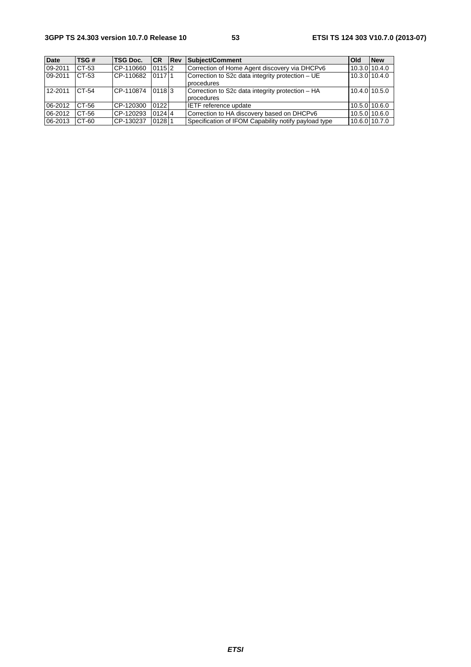| <b>Date</b> | TSG#    | <b>TSG Doc.</b> | <b>CR</b> | <b>IRev</b> | Subiect/Comment                                      | <b>Old</b>    | <b>New</b>    |
|-------------|---------|-----------------|-----------|-------------|------------------------------------------------------|---------------|---------------|
| 09-2011     | CT-53   | CP-110660       | $0115$  2 |             | Correction of Home Agent discovery via DHCPv6        | 10.3.0 10.4.0 |               |
| 09-2011     | CT-53   | CP-110682       | 011711    |             | Correction to S2c data integrity protection - UE     | 10.3.0 10.4.0 |               |
|             |         |                 |           |             | procedures                                           |               |               |
| 12-2011     | $CT-54$ | CP-110874       | 01183     |             | Correction to S2c data integrity protection - HA     | 10.4.0 10.5.0 |               |
|             |         |                 |           |             | procedures                                           |               |               |
| 06-2012     | CT-56   | CP-120300       | 0122      |             | IETF reference update                                |               | 10.5.0 10.6.0 |
| 06-2012     | CT-56   | CP-120293       | $0124$ 4  |             | Correction to HA discovery based on DHCPv6           | 10.5.0 10.6.0 |               |
| 06-2013     | CT-60   | CP-130237       | 01281     |             | Specification of IFOM Capability notify payload type | 10.6.0 10.7.0 |               |